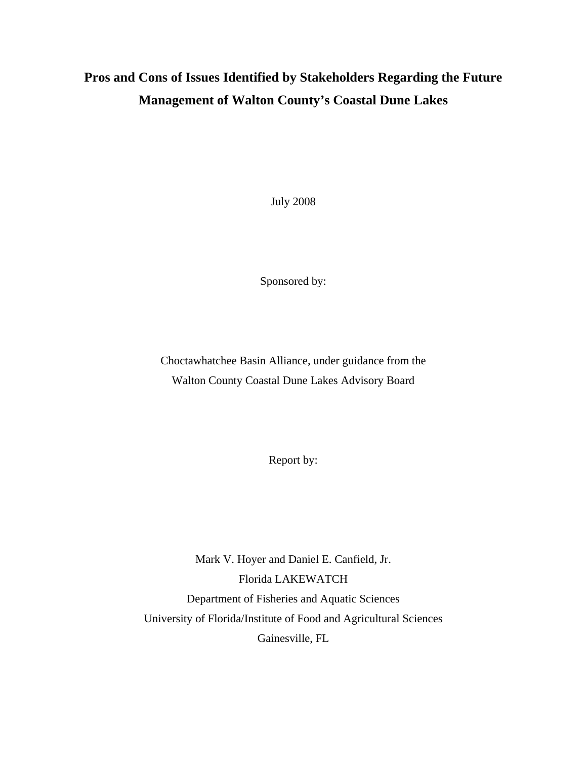# **Pros and Cons of Issues Identified by Stakeholders Regarding the Future Management of Walton County's Coastal Dune Lakes**

July 2008

Sponsored by:

Choctawhatchee Basin Alliance, under guidance from the Walton County Coastal Dune Lakes Advisory Board

Report by:

Mark V. Hoyer and Daniel E. Canfield, Jr. Florida LAKEWATCH Department of Fisheries and Aquatic Sciences University of Florida/Institute of Food and Agricultural Sciences Gainesville, FL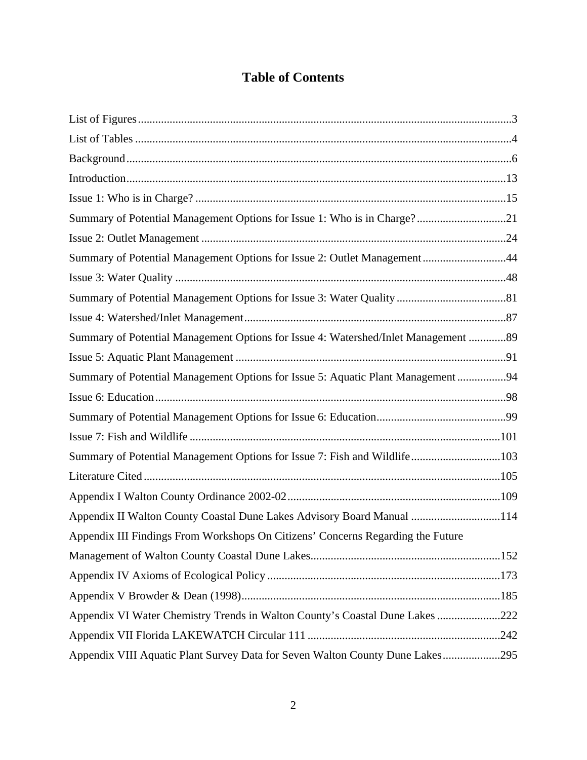# **Table of Contents**

| Summary of Potential Management Options for Issue 1: Who is in Charge?21           |  |
|------------------------------------------------------------------------------------|--|
|                                                                                    |  |
| Summary of Potential Management Options for Issue 2: Outlet Management44           |  |
|                                                                                    |  |
|                                                                                    |  |
|                                                                                    |  |
| Summary of Potential Management Options for Issue 4: Watershed/Inlet Management 89 |  |
|                                                                                    |  |
| Summary of Potential Management Options for Issue 5: Aquatic Plant Management 94   |  |
|                                                                                    |  |
|                                                                                    |  |
|                                                                                    |  |
| Summary of Potential Management Options for Issue 7: Fish and Wildlife103          |  |
|                                                                                    |  |
|                                                                                    |  |
| Appendix II Walton County Coastal Dune Lakes Advisory Board Manual 114             |  |
| Appendix III Findings From Workshops On Citizens' Concerns Regarding the Future    |  |
|                                                                                    |  |
|                                                                                    |  |
|                                                                                    |  |
|                                                                                    |  |
| Appendix VI Water Chemistry Trends in Walton County's Coastal Dune Lakes 222       |  |
|                                                                                    |  |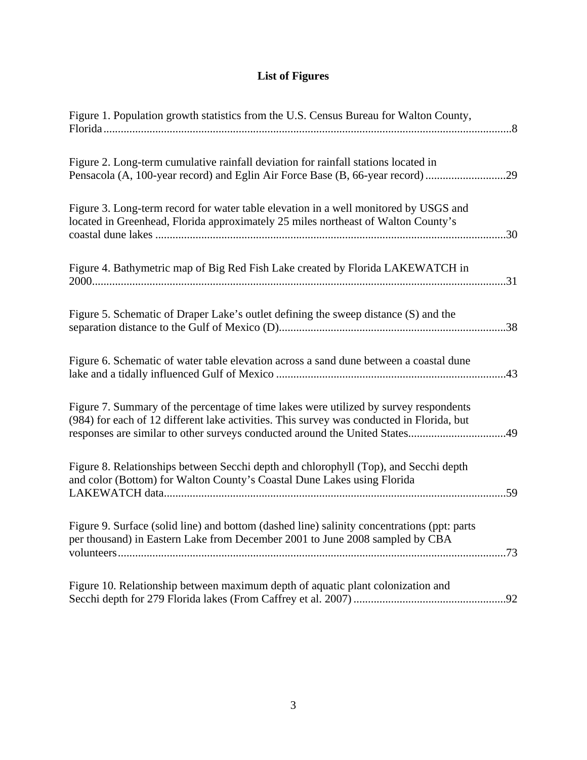# **List of Figures**

| Figure 1. Population growth statistics from the U.S. Census Bureau for Walton County,                                                                                                                                                                             |  |
|-------------------------------------------------------------------------------------------------------------------------------------------------------------------------------------------------------------------------------------------------------------------|--|
| Figure 2. Long-term cumulative rainfall deviation for rainfall stations located in<br>Pensacola (A, 100-year record) and Eglin Air Force Base (B, 66-year record) 29                                                                                              |  |
| Figure 3. Long-term record for water table elevation in a well monitored by USGS and<br>located in Greenhead, Florida approximately 25 miles northeast of Walton County's                                                                                         |  |
| Figure 4. Bathymetric map of Big Red Fish Lake created by Florida LAKEWATCH in                                                                                                                                                                                    |  |
| Figure 5. Schematic of Draper Lake's outlet defining the sweep distance (S) and the                                                                                                                                                                               |  |
| Figure 6. Schematic of water table elevation across a sand dune between a coastal dune                                                                                                                                                                            |  |
| Figure 7. Summary of the percentage of time lakes were utilized by survey respondents<br>(984) for each of 12 different lake activities. This survey was conducted in Florida, but<br>responses are similar to other surveys conducted around the United States49 |  |
| Figure 8. Relationships between Secchi depth and chlorophyll (Top), and Secchi depth<br>and color (Bottom) for Walton County's Coastal Dune Lakes using Florida                                                                                                   |  |
| Figure 9. Surface (solid line) and bottom (dashed line) salinity concentrations (ppt: parts<br>per thousand) in Eastern Lake from December 2001 to June 2008 sampled by CBA                                                                                       |  |
| Figure 10. Relationship between maximum depth of aquatic plant colonization and                                                                                                                                                                                   |  |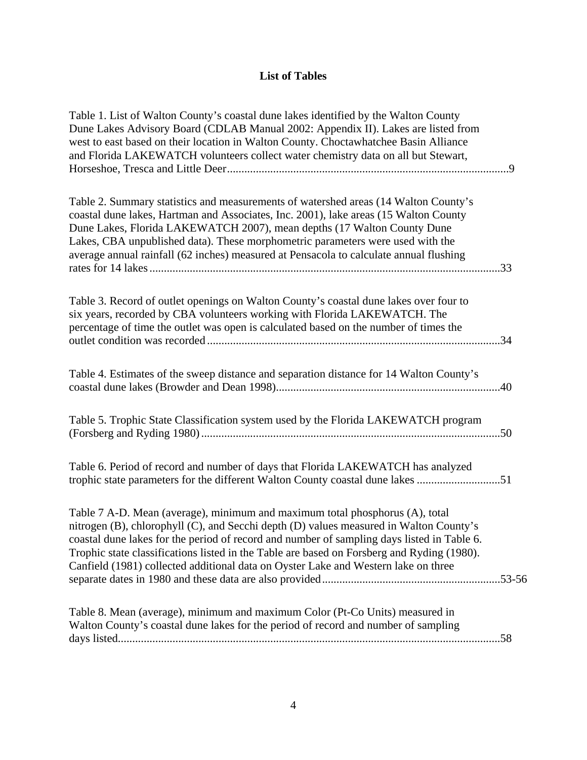## **List of Tables**

| Table 1. List of Walton County's coastal dune lakes identified by the Walton County<br>Dune Lakes Advisory Board (CDLAB Manual 2002: Appendix II). Lakes are listed from<br>west to east based on their location in Walton County. Choctawhatchee Basin Alliance<br>and Florida LAKEWATCH volunteers collect water chemistry data on all but Stewart,                                                                                                    |  |
|----------------------------------------------------------------------------------------------------------------------------------------------------------------------------------------------------------------------------------------------------------------------------------------------------------------------------------------------------------------------------------------------------------------------------------------------------------|--|
| Table 2. Summary statistics and measurements of watershed areas (14 Walton County's<br>coastal dune lakes, Hartman and Associates, Inc. 2001), lake areas (15 Walton County<br>Dune Lakes, Florida LAKEWATCH 2007), mean depths (17 Walton County Dune<br>Lakes, CBA unpublished data). These morphometric parameters were used with the<br>average annual rainfall (62 inches) measured at Pensacola to calculate annual flushing                       |  |
| Table 3. Record of outlet openings on Walton County's coastal dune lakes over four to<br>six years, recorded by CBA volunteers working with Florida LAKEWATCH. The<br>percentage of time the outlet was open is calculated based on the number of times the                                                                                                                                                                                              |  |
| Table 4. Estimates of the sweep distance and separation distance for 14 Walton County's                                                                                                                                                                                                                                                                                                                                                                  |  |
| Table 5. Trophic State Classification system used by the Florida LAKEWATCH program                                                                                                                                                                                                                                                                                                                                                                       |  |
| Table 6. Period of record and number of days that Florida LAKEWATCH has analyzed<br>trophic state parameters for the different Walton County coastal dune lakes 51                                                                                                                                                                                                                                                                                       |  |
| Table 7 A-D. Mean (average), minimum and maximum total phosphorus (A), total<br>nitrogen (B), chlorophyll (C), and Secchi depth (D) values measured in Walton County's<br>coastal dune lakes for the period of record and number of sampling days listed in Table 6.<br>Trophic state classifications listed in the Table are based on Forsberg and Ryding (1980).<br>Canfield (1981) collected additional data on Oyster Lake and Western lake on three |  |
| Table 8. Mean (average), minimum and maximum Color (Pt-Co Units) measured in<br>Walton County's coastal dune lakes for the period of record and number of sampling                                                                                                                                                                                                                                                                                       |  |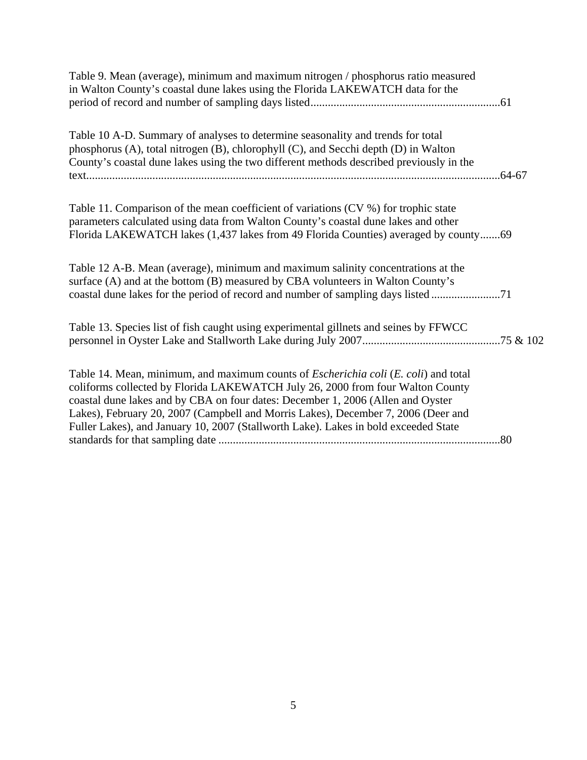| Table 9. Mean (average), minimum and maximum nitrogen / phosphorus ratio measured<br>in Walton County's coastal dune lakes using the Florida LAKEWATCH data for the |
|---------------------------------------------------------------------------------------------------------------------------------------------------------------------|
|                                                                                                                                                                     |
| Table 10 A-D. Summary of analyses to determine seasonality and trends for total                                                                                     |
| phosphorus (A), total nitrogen (B), chlorophyll (C), and Secchi depth (D) in Walton                                                                                 |
| County's coastal dune lakes using the two different methods described previously in the                                                                             |
|                                                                                                                                                                     |
| Table 11. Comparison of the mean coefficient of variations (CV %) for trophic state                                                                                 |
| parameters calculated using data from Walton County's coastal dune lakes and other                                                                                  |
| Florida LAKEWATCH lakes (1,437 lakes from 49 Florida Counties) averaged by county69                                                                                 |
| Table 12 A-B. Mean (average), minimum and maximum salinity concentrations at the                                                                                    |
| surface (A) and at the bottom (B) measured by CBA volunteers in Walton County's                                                                                     |
| coastal dune lakes for the period of record and number of sampling days listed71                                                                                    |
| Table 13. Species list of fish caught using experimental gillnets and seines by FFWCC                                                                               |
|                                                                                                                                                                     |
| Table 14. Mean, minimum, and maximum counts of <i>Escherichia coli</i> ( <i>E. coli</i> ) and total                                                                 |
| coliforms collected by Florida LAKEWATCH July 26, 2000 from four Walton County                                                                                      |
| coastal dune lakes and by CBA on four dates: December 1, 2006 (Allen and Oyster                                                                                     |
| Lakes), February 20, 2007 (Campbell and Morris Lakes), December 7, 2006 (Deer and                                                                                   |
| Fuller Lakes), and January 10, 2007 (Stallworth Lake). Lakes in bold exceeded State                                                                                 |
|                                                                                                                                                                     |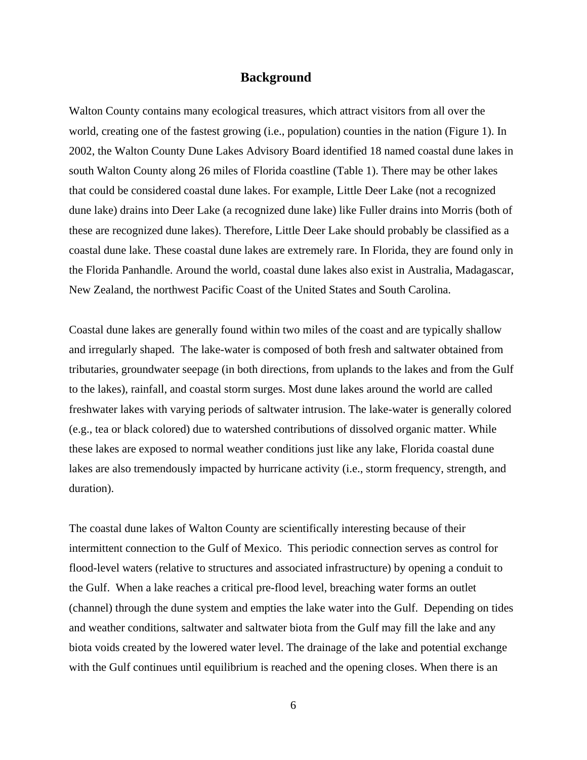### **Background**

Walton County contains many ecological treasures, which attract visitors from all over the world, creating one of the fastest growing (i.e., population) counties in the nation (Figure 1). In 2002, the Walton County Dune Lakes Advisory Board identified 18 named coastal dune lakes in south Walton County along 26 miles of Florida coastline (Table 1). There may be other lakes that could be considered coastal dune lakes. For example, Little Deer Lake (not a recognized dune lake) drains into Deer Lake (a recognized dune lake) like Fuller drains into Morris (both of these are recognized dune lakes). Therefore, Little Deer Lake should probably be classified as a coastal dune lake. These coastal dune lakes are extremely rare. In Florida, they are found only in the Florida Panhandle. Around the world, coastal dune lakes also exist in Australia, Madagascar, New Zealand, the northwest Pacific Coast of the United States and South Carolina.

Coastal dune lakes are generally found within two miles of the coast and are typically shallow and irregularly shaped. The lake-water is composed of both fresh and saltwater obtained from tributaries, groundwater seepage (in both directions, from uplands to the lakes and from the Gulf to the lakes), rainfall, and coastal storm surges. Most dune lakes around the world are called freshwater lakes with varying periods of saltwater intrusion. The lake-water is generally colored (e.g., tea or black colored) due to watershed contributions of dissolved organic matter. While these lakes are exposed to normal weather conditions just like any lake, Florida coastal dune lakes are also tremendously impacted by hurricane activity (i.e., storm frequency, strength, and duration).

The coastal dune lakes of Walton County are scientifically interesting because of their intermittent connection to the Gulf of Mexico. This periodic connection serves as control for flood-level waters (relative to structures and associated infrastructure) by opening a conduit to the Gulf. When a lake reaches a critical pre-flood level, breaching water forms an outlet (channel) through the dune system and empties the lake water into the Gulf. Depending on tides and weather conditions, saltwater and saltwater biota from the Gulf may fill the lake and any biota voids created by the lowered water level. The drainage of the lake and potential exchange with the Gulf continues until equilibrium is reached and the opening closes. When there is an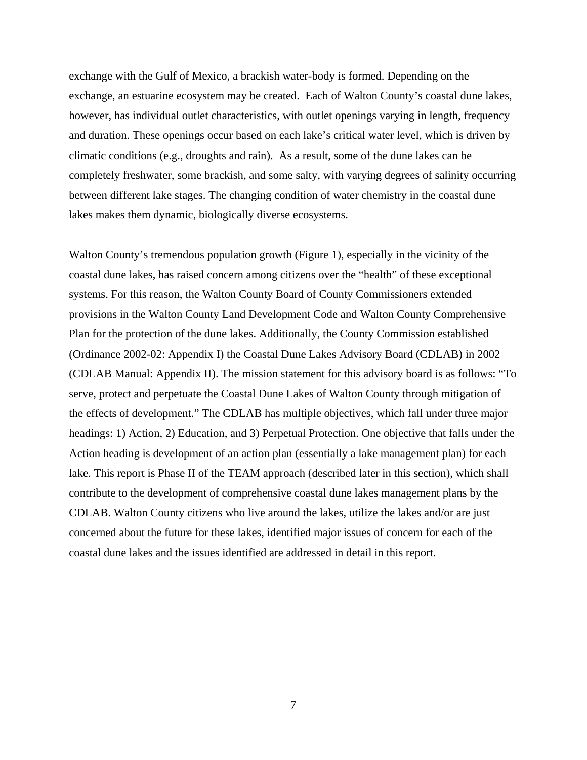exchange with the Gulf of Mexico, a brackish water-body is formed. Depending on the exchange, an estuarine ecosystem may be created. Each of Walton County's coastal dune lakes, however, has individual outlet characteristics, with outlet openings varying in length, frequency and duration. These openings occur based on each lake's critical water level, which is driven by climatic conditions (e.g., droughts and rain). As a result, some of the dune lakes can be completely freshwater, some brackish, and some salty, with varying degrees of salinity occurring between different lake stages. The changing condition of water chemistry in the coastal dune lakes makes them dynamic, biologically diverse ecosystems.

Walton County's tremendous population growth (Figure 1), especially in the vicinity of the coastal dune lakes, has raised concern among citizens over the "health" of these exceptional systems. For this reason, the Walton County Board of County Commissioners extended provisions in the Walton County Land Development Code and Walton County Comprehensive Plan for the protection of the dune lakes. Additionally, the County Commission established (Ordinance 2002-02: Appendix I) the Coastal Dune Lakes Advisory Board (CDLAB) in 2002 (CDLAB Manual: Appendix II). The mission statement for this advisory board is as follows: "To serve, protect and perpetuate the Coastal Dune Lakes of Walton County through mitigation of the effects of development." The CDLAB has multiple objectives, which fall under three major headings: 1) Action, 2) Education, and 3) Perpetual Protection. One objective that falls under the Action heading is development of an action plan (essentially a lake management plan) for each lake. This report is Phase II of the TEAM approach (described later in this section), which shall contribute to the development of comprehensive coastal dune lakes management plans by the CDLAB. Walton County citizens who live around the lakes, utilize the lakes and/or are just concerned about the future for these lakes, identified major issues of concern for each of the coastal dune lakes and the issues identified are addressed in detail in this report.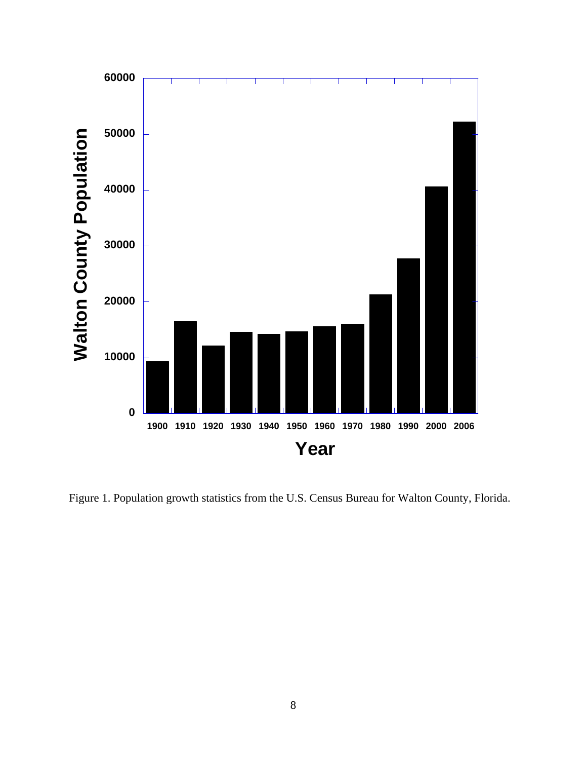

Figure 1. Population growth statistics from the U.S. Census Bureau for Walton County, Florida.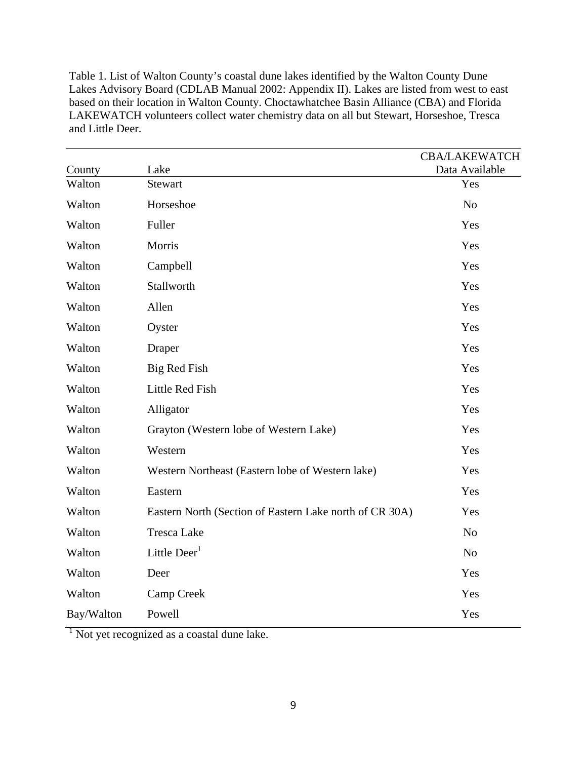Table 1. List of Walton County's coastal dune lakes identified by the Walton County Dune Lakes Advisory Board (CDLAB Manual 2002: Appendix II). Lakes are listed from west to east based on their location in Walton County. Choctawhatchee Basin Alliance (CBA) and Florida LAKEWATCH volunteers collect water chemistry data on all but Stewart, Horseshoe, Tresca and Little Deer.

|                  |                                                         | <b>CBA/LAKEWATCH</b>  |
|------------------|---------------------------------------------------------|-----------------------|
| County<br>Walton | Lake<br>Stewart                                         | Data Available<br>Yes |
| Walton           | Horseshoe                                               | N <sub>o</sub>        |
| Walton           | Fuller                                                  | Yes                   |
| Walton           | Morris                                                  | Yes                   |
| Walton           | Campbell                                                | Yes                   |
| Walton           | Stallworth                                              | Yes                   |
| Walton           | Allen                                                   | Yes                   |
| Walton           | Oyster                                                  | Yes                   |
| Walton           | Draper                                                  | Yes                   |
| Walton           | <b>Big Red Fish</b>                                     | Yes                   |
| Walton           | Little Red Fish                                         | Yes                   |
| Walton           | Alligator                                               | Yes                   |
| Walton           | Grayton (Western lobe of Western Lake)                  | Yes                   |
| Walton           | Western                                                 | Yes                   |
| Walton           | Western Northeast (Eastern lobe of Western lake)        | Yes                   |
| Walton           | Eastern                                                 | Yes                   |
| Walton           | Eastern North (Section of Eastern Lake north of CR 30A) | Yes                   |
| Walton           | <b>Tresca Lake</b>                                      | N <sub>o</sub>        |
| Walton           | Little Deer <sup>1</sup>                                | N <sub>o</sub>        |
| Walton           | Deer                                                    | Yes                   |
| Walton           | Camp Creek                                              | Yes                   |
| Bay/Walton       | Powell                                                  | Yes                   |

<sup>1</sup> Not yet recognized as a coastal dune lake.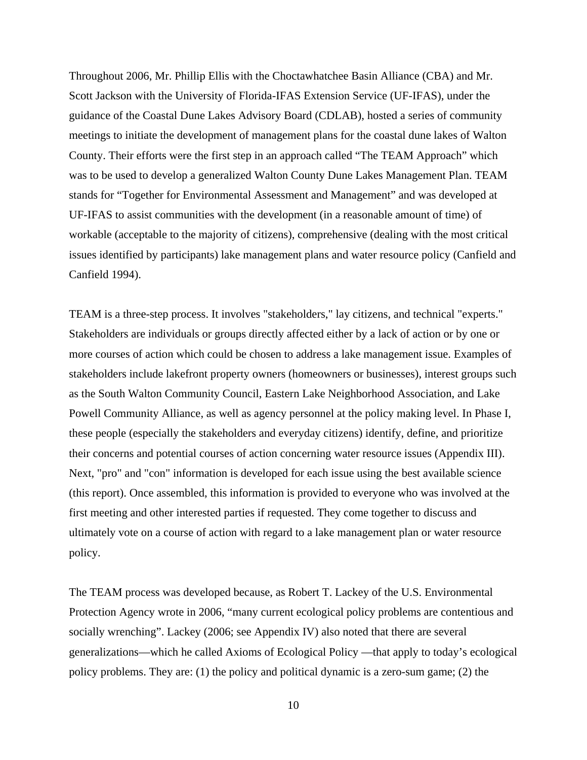Throughout 2006, Mr. Phillip Ellis with the Choctawhatchee Basin Alliance (CBA) and Mr. Scott Jackson with the University of Florida-IFAS Extension Service (UF-IFAS), under the guidance of the Coastal Dune Lakes Advisory Board (CDLAB), hosted a series of community meetings to initiate the development of management plans for the coastal dune lakes of Walton County. Their efforts were the first step in an approach called "The TEAM Approach" which was to be used to develop a generalized Walton County Dune Lakes Management Plan. TEAM stands for "Together for Environmental Assessment and Management" and was developed at UF-IFAS to assist communities with the development (in a reasonable amount of time) of workable (acceptable to the majority of citizens), comprehensive (dealing with the most critical issues identified by participants) lake management plans and water resource policy (Canfield and Canfield 1994).

TEAM is a three-step process. It involves "stakeholders," lay citizens, and technical "experts." Stakeholders are individuals or groups directly affected either by a lack of action or by one or more courses of action which could be chosen to address a lake management issue. Examples of stakeholders include lakefront property owners (homeowners or businesses), interest groups such as the South Walton Community Council, Eastern Lake Neighborhood Association, and Lake Powell Community Alliance, as well as agency personnel at the policy making level. In Phase I, these people (especially the stakeholders and everyday citizens) identify, define, and prioritize their concerns and potential courses of action concerning water resource issues (Appendix III). Next, "pro" and "con" information is developed for each issue using the best available science (this report). Once assembled, this information is provided to everyone who was involved at the first meeting and other interested parties if requested. They come together to discuss and ultimately vote on a course of action with regard to a lake management plan or water resource policy.

The TEAM process was developed because, as Robert T. Lackey of the U.S. Environmental Protection Agency wrote in 2006, "many current ecological policy problems are contentious and socially wrenching". Lackey (2006; see Appendix IV) also noted that there are several generalizations—which he called Axioms of Ecological Policy —that apply to today's ecological policy problems. They are: (1) the policy and political dynamic is a zero-sum game; (2) the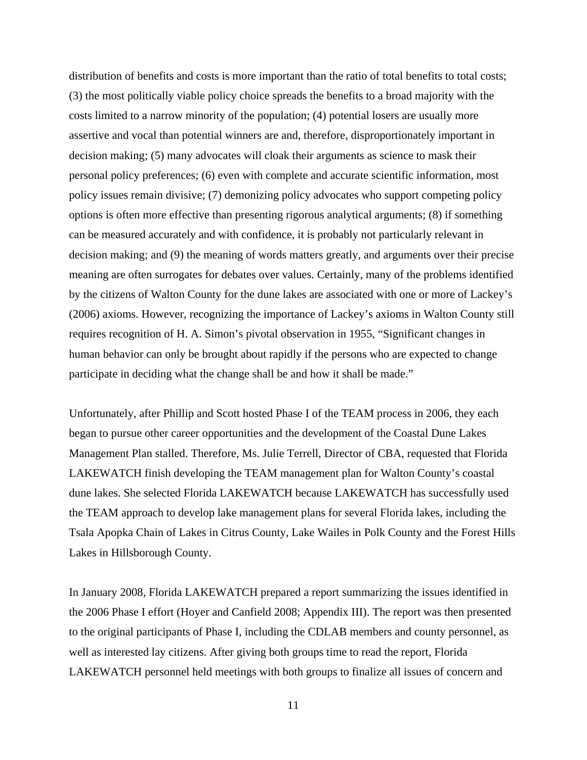distribution of benefits and costs is more important than the ratio of total benefits to total costs; (3) the most politically viable policy choice spreads the benefits to a broad majority with the costs limited to a narrow minority of the population; (4) potential losers are usually more assertive and vocal than potential winners are and, therefore, disproportionately important in decision making; (5) many advocates will cloak their arguments as science to mask their personal policy preferences; (6) even with complete and accurate scientific information, most policy issues remain divisive; (7) demonizing policy advocates who support competing policy options is often more effective than presenting rigorous analytical arguments; (8) if something can be measured accurately and with confidence, it is probably not particularly relevant in decision making; and (9) the meaning of words matters greatly, and arguments over their precise meaning are often surrogates for debates over values. Certainly, many of the problems identified by the citizens of Walton County for the dune lakes are associated with one or more of Lackey's (2006) axioms. However, recognizing the importance of Lackey's axioms in Walton County still requires recognition of H. A. Simon's pivotal observation in 1955, "Significant changes in human behavior can only be brought about rapidly if the persons who are expected to change participate in deciding what the change shall be and how it shall be made."

Unfortunately, after Phillip and Scott hosted Phase I of the TEAM process in 2006, they each began to pursue other career opportunities and the development of the Coastal Dune Lakes Management Plan stalled. Therefore, Ms. Julie Terrell, Director of CBA, requested that Florida LAKEWATCH finish developing the TEAM management plan for Walton County's coastal dune lakes. She selected Florida LAKEWATCH because LAKEWATCH has successfully used the TEAM approach to develop lake management plans for several Florida lakes, including the Tsala Apopka Chain of Lakes in Citrus County, Lake Wailes in Polk County and the Forest Hills Lakes in Hillsborough County.

In January 2008, Florida LAKEWATCH prepared a report summarizing the issues identified in the 2006 Phase I effort (Hoyer and Canfield 2008; Appendix III). The report was then presented to the original participants of Phase I, including the CDLAB members and county personnel, as well as interested lay citizens. After giving both groups time to read the report, Florida LAKEWATCH personnel held meetings with both groups to finalize all issues of concern and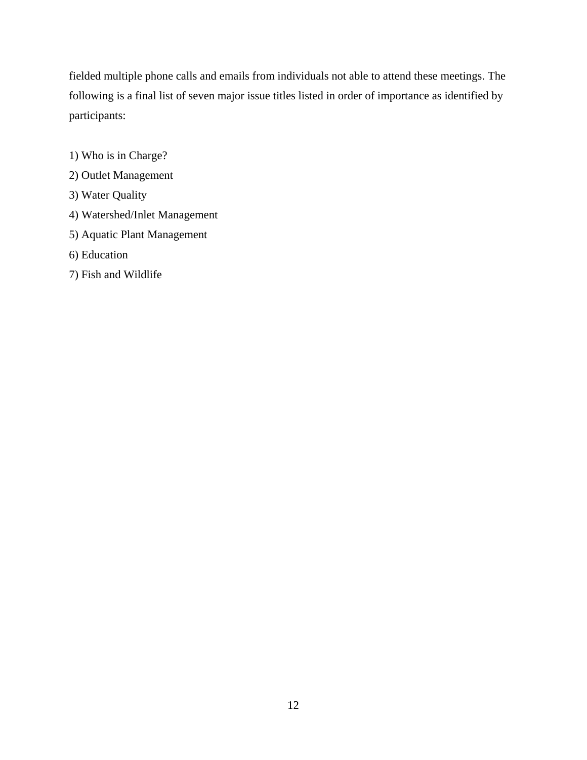fielded multiple phone calls and emails from individuals not able to attend these meetings. The following is a final list of seven major issue titles listed in order of importance as identified by participants:

- 1) Who is in Charge?
- 2) Outlet Management
- 3) Water Quality
- 4) Watershed/Inlet Management
- 5) Aquatic Plant Management
- 6) Education
- 7) Fish and Wildlife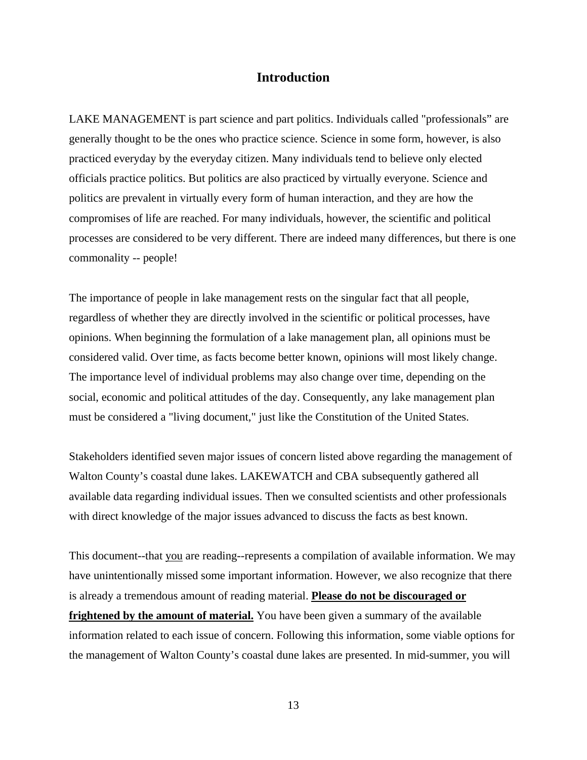## **Introduction**

LAKE MANAGEMENT is part science and part politics. Individuals called "professionals" are generally thought to be the ones who practice science. Science in some form, however, is also practiced everyday by the everyday citizen. Many individuals tend to believe only elected officials practice politics. But politics are also practiced by virtually everyone. Science and politics are prevalent in virtually every form of human interaction, and they are how the compromises of life are reached. For many individuals, however, the scientific and political processes are considered to be very different. There are indeed many differences, but there is one commonality -- people!

The importance of people in lake management rests on the singular fact that all people, regardless of whether they are directly involved in the scientific or political processes, have opinions. When beginning the formulation of a lake management plan, all opinions must be considered valid. Over time, as facts become better known, opinions will most likely change. The importance level of individual problems may also change over time, depending on the social, economic and political attitudes of the day. Consequently, any lake management plan must be considered a "living document," just like the Constitution of the United States.

Stakeholders identified seven major issues of concern listed above regarding the management of Walton County's coastal dune lakes. LAKEWATCH and CBA subsequently gathered all available data regarding individual issues. Then we consulted scientists and other professionals with direct knowledge of the major issues advanced to discuss the facts as best known.

This document--that you are reading--represents a compilation of available information. We may have unintentionally missed some important information. However, we also recognize that there is already a tremendous amount of reading material. **Please do not be discouraged or frightened by the amount of material.** You have been given a summary of the available information related to each issue of concern. Following this information, some viable options for the management of Walton County's coastal dune lakes are presented. In mid-summer, you will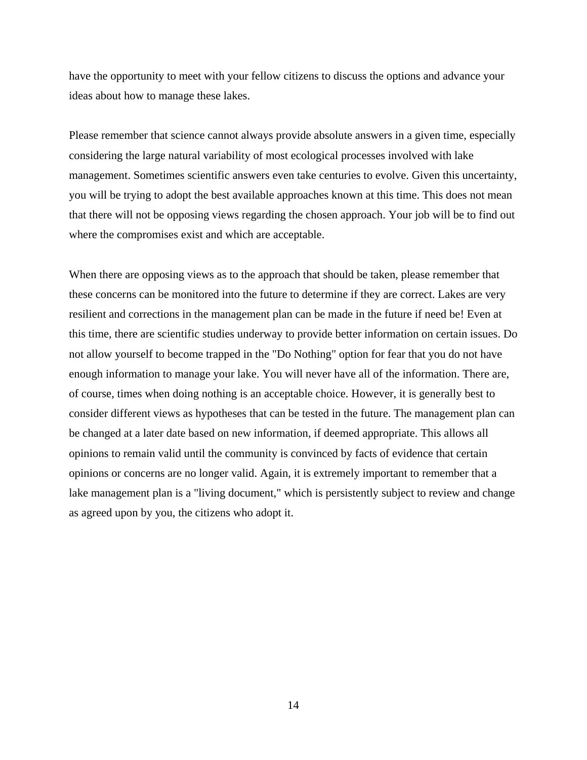have the opportunity to meet with your fellow citizens to discuss the options and advance your ideas about how to manage these lakes.

Please remember that science cannot always provide absolute answers in a given time, especially considering the large natural variability of most ecological processes involved with lake management. Sometimes scientific answers even take centuries to evolve. Given this uncertainty, you will be trying to adopt the best available approaches known at this time. This does not mean that there will not be opposing views regarding the chosen approach. Your job will be to find out where the compromises exist and which are acceptable.

When there are opposing views as to the approach that should be taken, please remember that these concerns can be monitored into the future to determine if they are correct. Lakes are very resilient and corrections in the management plan can be made in the future if need be! Even at this time, there are scientific studies underway to provide better information on certain issues. Do not allow yourself to become trapped in the "Do Nothing" option for fear that you do not have enough information to manage your lake. You will never have all of the information. There are, of course, times when doing nothing is an acceptable choice. However, it is generally best to consider different views as hypotheses that can be tested in the future. The management plan can be changed at a later date based on new information, if deemed appropriate. This allows all opinions to remain valid until the community is convinced by facts of evidence that certain opinions or concerns are no longer valid. Again, it is extremely important to remember that a lake management plan is a "living document," which is persistently subject to review and change as agreed upon by you, the citizens who adopt it.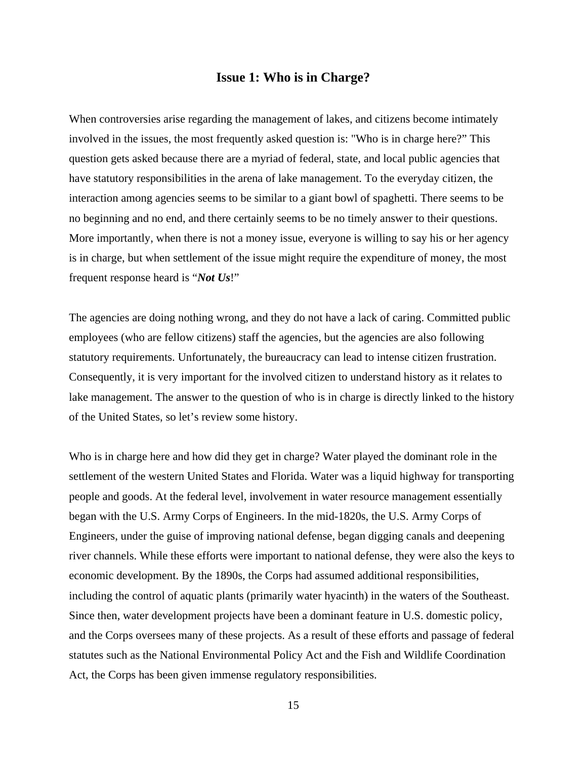### **Issue 1: Who is in Charge?**

When controversies arise regarding the management of lakes, and citizens become intimately involved in the issues, the most frequently asked question is: "Who is in charge here?" This question gets asked because there are a myriad of federal, state, and local public agencies that have statutory responsibilities in the arena of lake management. To the everyday citizen, the interaction among agencies seems to be similar to a giant bowl of spaghetti. There seems to be no beginning and no end, and there certainly seems to be no timely answer to their questions. More importantly, when there is not a money issue, everyone is willing to say his or her agency is in charge, but when settlement of the issue might require the expenditure of money, the most frequent response heard is "*Not Us*!"

The agencies are doing nothing wrong, and they do not have a lack of caring. Committed public employees (who are fellow citizens) staff the agencies, but the agencies are also following statutory requirements. Unfortunately, the bureaucracy can lead to intense citizen frustration. Consequently, it is very important for the involved citizen to understand history as it relates to lake management. The answer to the question of who is in charge is directly linked to the history of the United States, so let's review some history.

Who is in charge here and how did they get in charge? Water played the dominant role in the settlement of the western United States and Florida. Water was a liquid highway for transporting people and goods. At the federal level, involvement in water resource management essentially began with the U.S. Army Corps of Engineers. In the mid-1820s, the U.S. Army Corps of Engineers, under the guise of improving national defense, began digging canals and deepening river channels. While these efforts were important to national defense, they were also the keys to economic development. By the 1890s, the Corps had assumed additional responsibilities, including the control of aquatic plants (primarily water hyacinth) in the waters of the Southeast. Since then, water development projects have been a dominant feature in U.S. domestic policy, and the Corps oversees many of these projects. As a result of these efforts and passage of federal statutes such as the National Environmental Policy Act and the Fish and Wildlife Coordination Act, the Corps has been given immense regulatory responsibilities.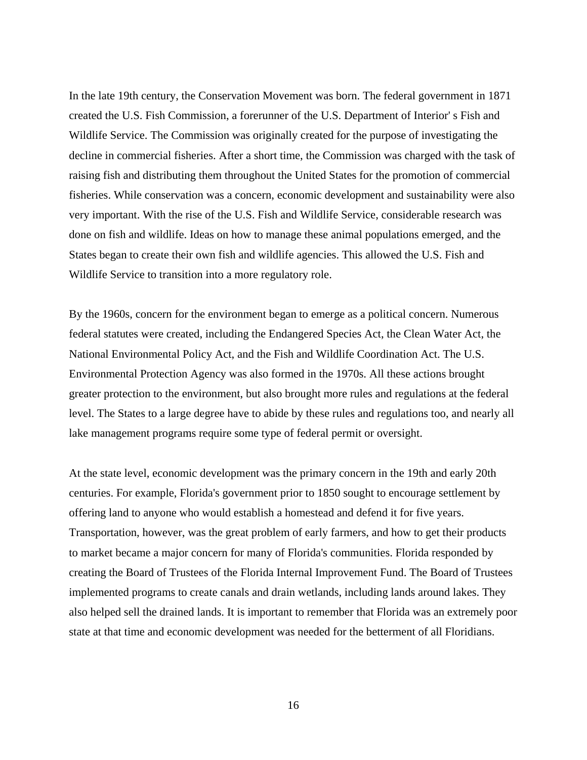In the late 19th century, the Conservation Movement was born. The federal government in 1871 created the U.S. Fish Commission, a forerunner of the U.S. Department of Interior' s Fish and Wildlife Service. The Commission was originally created for the purpose of investigating the decline in commercial fisheries. After a short time, the Commission was charged with the task of raising fish and distributing them throughout the United States for the promotion of commercial fisheries. While conservation was a concern, economic development and sustainability were also very important. With the rise of the U.S. Fish and Wildlife Service, considerable research was done on fish and wildlife. Ideas on how to manage these animal populations emerged, and the States began to create their own fish and wildlife agencies. This allowed the U.S. Fish and Wildlife Service to transition into a more regulatory role.

By the 1960s, concern for the environment began to emerge as a political concern. Numerous federal statutes were created, including the Endangered Species Act, the Clean Water Act, the National Environmental Policy Act, and the Fish and Wildlife Coordination Act. The U.S. Environmental Protection Agency was also formed in the 1970s. All these actions brought greater protection to the environment, but also brought more rules and regulations at the federal level. The States to a large degree have to abide by these rules and regulations too, and nearly all lake management programs require some type of federal permit or oversight.

At the state level, economic development was the primary concern in the 19th and early 20th centuries. For example, Florida's government prior to 1850 sought to encourage settlement by offering land to anyone who would establish a homestead and defend it for five years. Transportation, however, was the great problem of early farmers, and how to get their products to market became a major concern for many of Florida's communities. Florida responded by creating the Board of Trustees of the Florida Internal Improvement Fund. The Board of Trustees implemented programs to create canals and drain wetlands, including lands around lakes. They also helped sell the drained lands. It is important to remember that Florida was an extremely poor state at that time and economic development was needed for the betterment of all Floridians.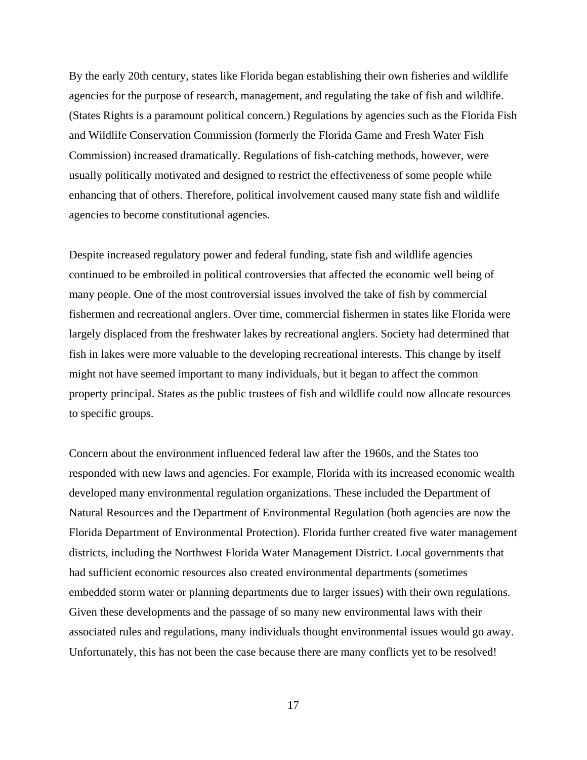By the early 20th century, states like Florida began establishing their own fisheries and wildlife agencies for the purpose of research, management, and regulating the take of fish and wildlife. (States Rights is a paramount political concern.) Regulations by agencies such as the Florida Fish and Wildlife Conservation Commission (formerly the Florida Game and Fresh Water Fish Commission) increased dramatically. Regulations of fish-catching methods, however, were usually politically motivated and designed to restrict the effectiveness of some people while enhancing that of others. Therefore, political involvement caused many state fish and wildlife agencies to become constitutional agencies.

Despite increased regulatory power and federal funding, state fish and wildlife agencies continued to be embroiled in political controversies that affected the economic well being of many people. One of the most controversial issues involved the take of fish by commercial fishermen and recreational anglers. Over time, commercial fishermen in states like Florida were largely displaced from the freshwater lakes by recreational anglers. Society had determined that fish in lakes were more valuable to the developing recreational interests. This change by itself might not have seemed important to many individuals, but it began to affect the common property principal. States as the public trustees of fish and wildlife could now allocate resources to specific groups.

Concern about the environment influenced federal law after the 1960s, and the States too responded with new laws and agencies. For example, Florida with its increased economic wealth developed many environmental regulation organizations. These included the Department of Natural Resources and the Department of Environmental Regulation (both agencies are now the Florida Department of Environmental Protection). Florida further created five water management districts, including the Northwest Florida Water Management District. Local governments that had sufficient economic resources also created environmental departments (sometimes embedded storm water or planning departments due to larger issues) with their own regulations. Given these developments and the passage of so many new environmental laws with their associated rules and regulations, many individuals thought environmental issues would go away. Unfortunately, this has not been the case because there are many conflicts yet to be resolved!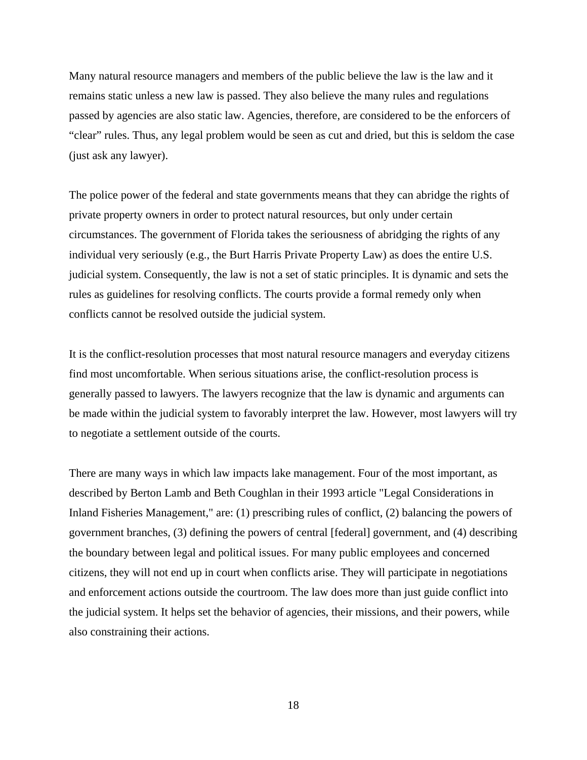Many natural resource managers and members of the public believe the law is the law and it remains static unless a new law is passed. They also believe the many rules and regulations passed by agencies are also static law. Agencies, therefore, are considered to be the enforcers of "clear" rules. Thus, any legal problem would be seen as cut and dried, but this is seldom the case (just ask any lawyer).

The police power of the federal and state governments means that they can abridge the rights of private property owners in order to protect natural resources, but only under certain circumstances. The government of Florida takes the seriousness of abridging the rights of any individual very seriously (e.g., the Burt Harris Private Property Law) as does the entire U.S. judicial system. Consequently, the law is not a set of static principles. It is dynamic and sets the rules as guidelines for resolving conflicts. The courts provide a formal remedy only when conflicts cannot be resolved outside the judicial system.

It is the conflict-resolution processes that most natural resource managers and everyday citizens find most uncomfortable. When serious situations arise, the conflict-resolution process is generally passed to lawyers. The lawyers recognize that the law is dynamic and arguments can be made within the judicial system to favorably interpret the law. However, most lawyers will try to negotiate a settlement outside of the courts.

There are many ways in which law impacts lake management. Four of the most important, as described by Berton Lamb and Beth Coughlan in their 1993 article "Legal Considerations in Inland Fisheries Management," are: (1) prescribing rules of conflict, (2) balancing the powers of government branches, (3) defining the powers of central [federal] government, and (4) describing the boundary between legal and political issues. For many public employees and concerned citizens, they will not end up in court when conflicts arise. They will participate in negotiations and enforcement actions outside the courtroom. The law does more than just guide conflict into the judicial system. It helps set the behavior of agencies, their missions, and their powers, while also constraining their actions.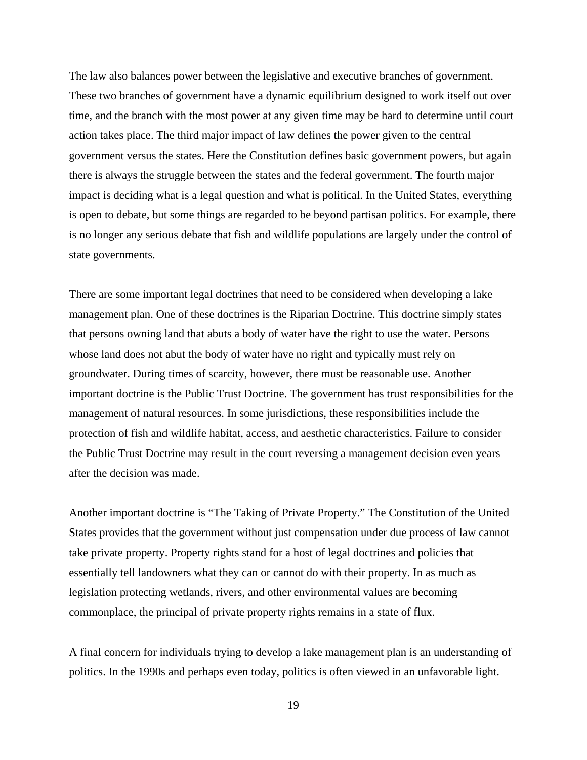The law also balances power between the legislative and executive branches of government. These two branches of government have a dynamic equilibrium designed to work itself out over time, and the branch with the most power at any given time may be hard to determine until court action takes place. The third major impact of law defines the power given to the central government versus the states. Here the Constitution defines basic government powers, but again there is always the struggle between the states and the federal government. The fourth major impact is deciding what is a legal question and what is political. In the United States, everything is open to debate, but some things are regarded to be beyond partisan politics. For example, there is no longer any serious debate that fish and wildlife populations are largely under the control of state governments.

There are some important legal doctrines that need to be considered when developing a lake management plan. One of these doctrines is the Riparian Doctrine. This doctrine simply states that persons owning land that abuts a body of water have the right to use the water. Persons whose land does not abut the body of water have no right and typically must rely on groundwater. During times of scarcity, however, there must be reasonable use. Another important doctrine is the Public Trust Doctrine. The government has trust responsibilities for the management of natural resources. In some jurisdictions, these responsibilities include the protection of fish and wildlife habitat, access, and aesthetic characteristics. Failure to consider the Public Trust Doctrine may result in the court reversing a management decision even years after the decision was made.

Another important doctrine is "The Taking of Private Property." The Constitution of the United States provides that the government without just compensation under due process of law cannot take private property. Property rights stand for a host of legal doctrines and policies that essentially tell landowners what they can or cannot do with their property. In as much as legislation protecting wetlands, rivers, and other environmental values are becoming commonplace, the principal of private property rights remains in a state of flux.

A final concern for individuals trying to develop a lake management plan is an understanding of politics. In the 1990s and perhaps even today, politics is often viewed in an unfavorable light.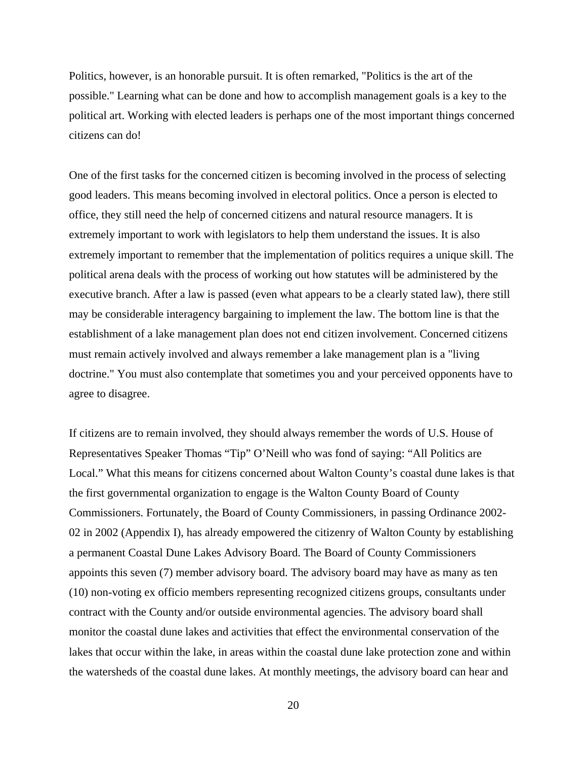Politics, however, is an honorable pursuit. It is often remarked, "Politics is the art of the possible." Learning what can be done and how to accomplish management goals is a key to the political art. Working with elected leaders is perhaps one of the most important things concerned citizens can do!

One of the first tasks for the concerned citizen is becoming involved in the process of selecting good leaders. This means becoming involved in electoral politics. Once a person is elected to office, they still need the help of concerned citizens and natural resource managers. It is extremely important to work with legislators to help them understand the issues. It is also extremely important to remember that the implementation of politics requires a unique skill. The political arena deals with the process of working out how statutes will be administered by the executive branch. After a law is passed (even what appears to be a clearly stated law), there still may be considerable interagency bargaining to implement the law. The bottom line is that the establishment of a lake management plan does not end citizen involvement. Concerned citizens must remain actively involved and always remember a lake management plan is a "living doctrine." You must also contemplate that sometimes you and your perceived opponents have to agree to disagree.

If citizens are to remain involved, they should always remember the words of U.S. House of Representatives Speaker Thomas "Tip" O'Neill who was fond of saying: "All Politics are Local." What this means for citizens concerned about Walton County's coastal dune lakes is that the first governmental organization to engage is the Walton County Board of County Commissioners. Fortunately, the Board of County Commissioners, in passing Ordinance 2002- 02 in 2002 (Appendix I), has already empowered the citizenry of Walton County by establishing a permanent Coastal Dune Lakes Advisory Board. The Board of County Commissioners appoints this seven (7) member advisory board. The advisory board may have as many as ten (10) non-voting ex officio members representing recognized citizens groups, consultants under contract with the County and/or outside environmental agencies. The advisory board shall monitor the coastal dune lakes and activities that effect the environmental conservation of the lakes that occur within the lake, in areas within the coastal dune lake protection zone and within the watersheds of the coastal dune lakes. At monthly meetings, the advisory board can hear and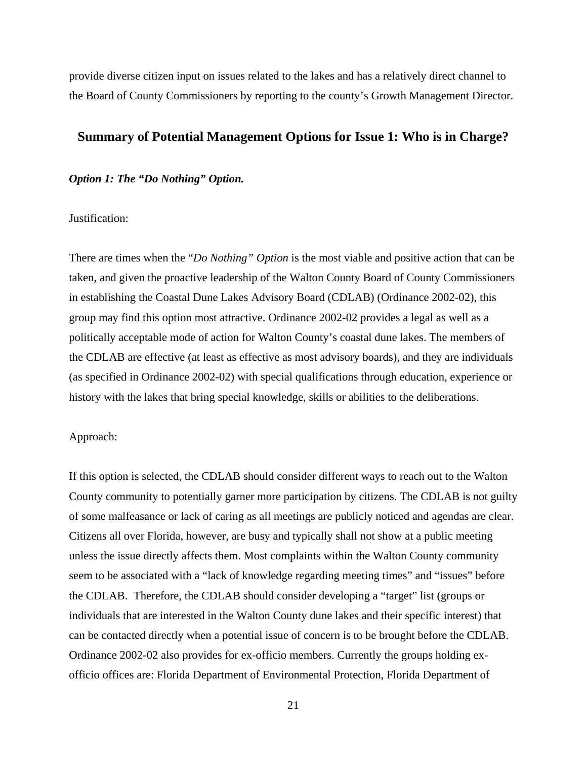provide diverse citizen input on issues related to the lakes and has a relatively direct channel to the Board of County Commissioners by reporting to the county's Growth Management Director.

## **Summary of Potential Management Options for Issue 1: Who is in Charge?**

#### *Option 1: The "Do Nothing" Option.*

### Justification:

There are times when the "*Do Nothing" Option* is the most viable and positive action that can be taken, and given the proactive leadership of the Walton County Board of County Commissioners in establishing the Coastal Dune Lakes Advisory Board (CDLAB) (Ordinance 2002-02), this group may find this option most attractive. Ordinance 2002-02 provides a legal as well as a politically acceptable mode of action for Walton County's coastal dune lakes. The members of the CDLAB are effective (at least as effective as most advisory boards), and they are individuals (as specified in Ordinance 2002-02) with special qualifications through education, experience or history with the lakes that bring special knowledge, skills or abilities to the deliberations.

#### Approach:

If this option is selected, the CDLAB should consider different ways to reach out to the Walton County community to potentially garner more participation by citizens. The CDLAB is not guilty of some malfeasance or lack of caring as all meetings are publicly noticed and agendas are clear. Citizens all over Florida, however, are busy and typically shall not show at a public meeting unless the issue directly affects them. Most complaints within the Walton County community seem to be associated with a "lack of knowledge regarding meeting times" and "issues" before the CDLAB. Therefore, the CDLAB should consider developing a "target" list (groups or individuals that are interested in the Walton County dune lakes and their specific interest) that can be contacted directly when a potential issue of concern is to be brought before the CDLAB. Ordinance 2002-02 also provides for ex-officio members. Currently the groups holding exofficio offices are: Florida Department of Environmental Protection, Florida Department of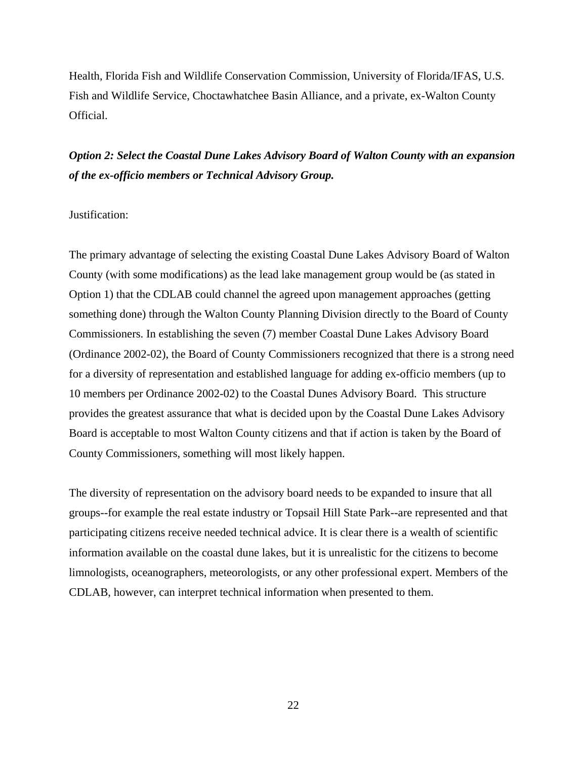Health, Florida Fish and Wildlife Conservation Commission, University of Florida/IFAS, U.S. Fish and Wildlife Service, Choctawhatchee Basin Alliance, and a private, ex-Walton County Official.

# *Option 2: Select the Coastal Dune Lakes Advisory Board of Walton County with an expansion of the ex-officio members or Technical Advisory Group.*

#### Justification:

The primary advantage of selecting the existing Coastal Dune Lakes Advisory Board of Walton County (with some modifications) as the lead lake management group would be (as stated in Option 1) that the CDLAB could channel the agreed upon management approaches (getting something done) through the Walton County Planning Division directly to the Board of County Commissioners. In establishing the seven (7) member Coastal Dune Lakes Advisory Board (Ordinance 2002-02), the Board of County Commissioners recognized that there is a strong need for a diversity of representation and established language for adding ex-officio members (up to 10 members per Ordinance 2002-02) to the Coastal Dunes Advisory Board. This structure provides the greatest assurance that what is decided upon by the Coastal Dune Lakes Advisory Board is acceptable to most Walton County citizens and that if action is taken by the Board of County Commissioners, something will most likely happen.

The diversity of representation on the advisory board needs to be expanded to insure that all groups--for example the real estate industry or Topsail Hill State Park--are represented and that participating citizens receive needed technical advice. It is clear there is a wealth of scientific information available on the coastal dune lakes, but it is unrealistic for the citizens to become limnologists, oceanographers, meteorologists, or any other professional expert. Members of the CDLAB, however, can interpret technical information when presented to them.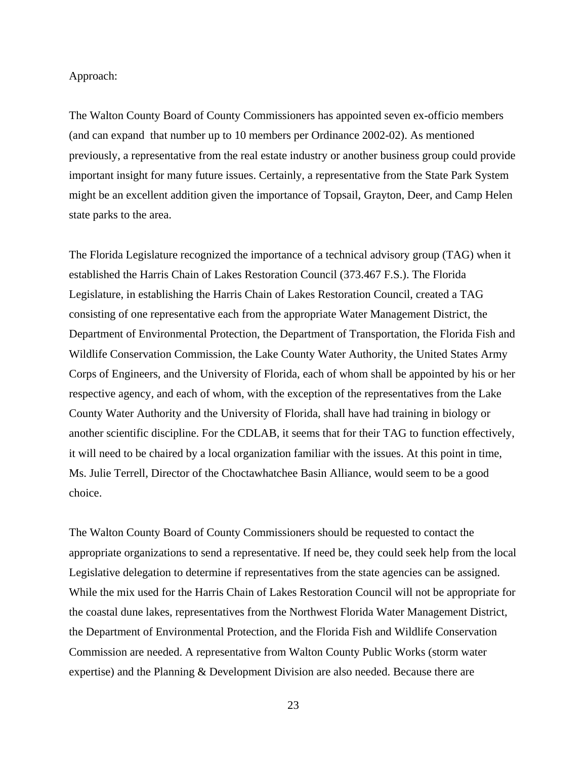#### Approach:

The Walton County Board of County Commissioners has appointed seven ex-officio members (and can expand that number up to 10 members per Ordinance 2002-02). As mentioned previously, a representative from the real estate industry or another business group could provide important insight for many future issues. Certainly, a representative from the State Park System might be an excellent addition given the importance of Topsail, Grayton, Deer, and Camp Helen state parks to the area.

The Florida Legislature recognized the importance of a technical advisory group (TAG) when it established the Harris Chain of Lakes Restoration Council (373.467 F.S.). The Florida Legislature, in establishing the Harris Chain of Lakes Restoration Council, created a TAG consisting of one representative each from the appropriate Water Management District, the Department of Environmental Protection, the Department of Transportation, the Florida Fish and Wildlife Conservation Commission, the Lake County Water Authority, the United States Army Corps of Engineers, and the University of Florida, each of whom shall be appointed by his or her respective agency, and each of whom, with the exception of the representatives from the Lake County Water Authority and the University of Florida, shall have had training in biology or another scientific discipline. For the CDLAB, it seems that for their TAG to function effectively, it will need to be chaired by a local organization familiar with the issues. At this point in time, Ms. Julie Terrell, Director of the Choctawhatchee Basin Alliance, would seem to be a good choice.

The Walton County Board of County Commissioners should be requested to contact the appropriate organizations to send a representative. If need be, they could seek help from the local Legislative delegation to determine if representatives from the state agencies can be assigned. While the mix used for the Harris Chain of Lakes Restoration Council will not be appropriate for the coastal dune lakes, representatives from the Northwest Florida Water Management District, the Department of Environmental Protection, and the Florida Fish and Wildlife Conservation Commission are needed. A representative from Walton County Public Works (storm water expertise) and the Planning & Development Division are also needed. Because there are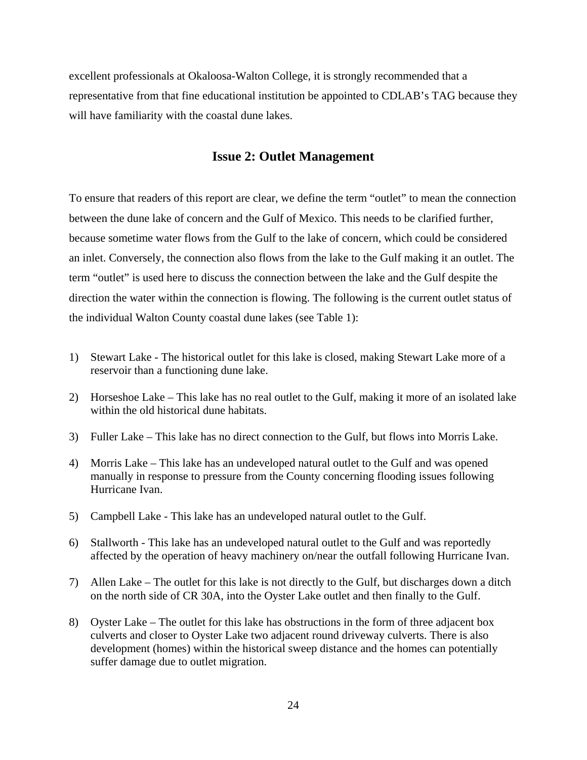excellent professionals at Okaloosa-Walton College, it is strongly recommended that a representative from that fine educational institution be appointed to CDLAB's TAG because they will have familiarity with the coastal dune lakes.

## **Issue 2: Outlet Management**

To ensure that readers of this report are clear, we define the term "outlet" to mean the connection between the dune lake of concern and the Gulf of Mexico. This needs to be clarified further, because sometime water flows from the Gulf to the lake of concern, which could be considered an inlet. Conversely, the connection also flows from the lake to the Gulf making it an outlet. The term "outlet" is used here to discuss the connection between the lake and the Gulf despite the direction the water within the connection is flowing. The following is the current outlet status of the individual Walton County coastal dune lakes (see Table 1):

- 1) Stewart Lake The historical outlet for this lake is closed, making Stewart Lake more of a reservoir than a functioning dune lake.
- 2) Horseshoe Lake This lake has no real outlet to the Gulf, making it more of an isolated lake within the old historical dune habitats.
- 3) Fuller Lake This lake has no direct connection to the Gulf, but flows into Morris Lake.
- 4) Morris Lake This lake has an undeveloped natural outlet to the Gulf and was opened manually in response to pressure from the County concerning flooding issues following Hurricane Ivan.
- 5) Campbell Lake This lake has an undeveloped natural outlet to the Gulf.
- 6) Stallworth This lake has an undeveloped natural outlet to the Gulf and was reportedly affected by the operation of heavy machinery on/near the outfall following Hurricane Ivan.
- 7) Allen Lake The outlet for this lake is not directly to the Gulf, but discharges down a ditch on the north side of CR 30A, into the Oyster Lake outlet and then finally to the Gulf.
- 8) Oyster Lake The outlet for this lake has obstructions in the form of three adjacent box culverts and closer to Oyster Lake two adjacent round driveway culverts. There is also development (homes) within the historical sweep distance and the homes can potentially suffer damage due to outlet migration.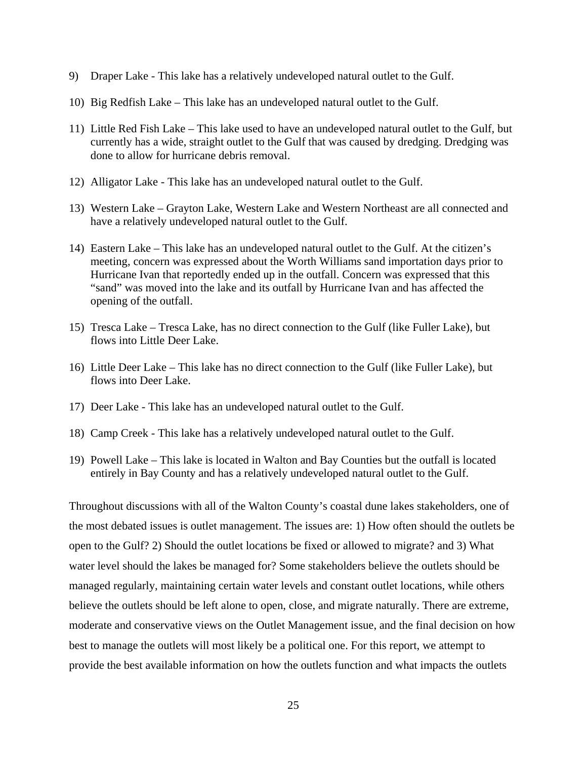- 9) Draper Lake This lake has a relatively undeveloped natural outlet to the Gulf.
- 10) Big Redfish Lake This lake has an undeveloped natural outlet to the Gulf.
- 11) Little Red Fish Lake This lake used to have an undeveloped natural outlet to the Gulf, but currently has a wide, straight outlet to the Gulf that was caused by dredging. Dredging was done to allow for hurricane debris removal.
- 12) Alligator Lake This lake has an undeveloped natural outlet to the Gulf.
- 13) Western Lake Grayton Lake, Western Lake and Western Northeast are all connected and have a relatively undeveloped natural outlet to the Gulf.
- 14) Eastern Lake This lake has an undeveloped natural outlet to the Gulf. At the citizen's meeting, concern was expressed about the Worth Williams sand importation days prior to Hurricane Ivan that reportedly ended up in the outfall. Concern was expressed that this "sand" was moved into the lake and its outfall by Hurricane Ivan and has affected the opening of the outfall.
- 15) Tresca Lake Tresca Lake, has no direct connection to the Gulf (like Fuller Lake), but flows into Little Deer Lake.
- 16) Little Deer Lake This lake has no direct connection to the Gulf (like Fuller Lake), but flows into Deer Lake.
- 17) Deer Lake This lake has an undeveloped natural outlet to the Gulf.
- 18) Camp Creek This lake has a relatively undeveloped natural outlet to the Gulf.
- 19) Powell Lake This lake is located in Walton and Bay Counties but the outfall is located entirely in Bay County and has a relatively undeveloped natural outlet to the Gulf.

Throughout discussions with all of the Walton County's coastal dune lakes stakeholders, one of the most debated issues is outlet management. The issues are: 1) How often should the outlets be open to the Gulf? 2) Should the outlet locations be fixed or allowed to migrate? and 3) What water level should the lakes be managed for? Some stakeholders believe the outlets should be managed regularly, maintaining certain water levels and constant outlet locations, while others believe the outlets should be left alone to open, close, and migrate naturally. There are extreme, moderate and conservative views on the Outlet Management issue, and the final decision on how best to manage the outlets will most likely be a political one. For this report, we attempt to provide the best available information on how the outlets function and what impacts the outlets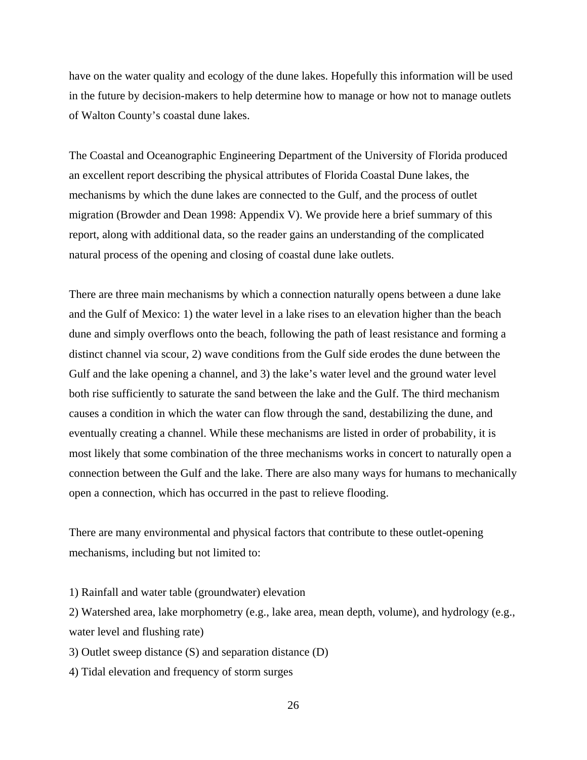have on the water quality and ecology of the dune lakes. Hopefully this information will be used in the future by decision-makers to help determine how to manage or how not to manage outlets of Walton County's coastal dune lakes.

The Coastal and Oceanographic Engineering Department of the University of Florida produced an excellent report describing the physical attributes of Florida Coastal Dune lakes, the mechanisms by which the dune lakes are connected to the Gulf, and the process of outlet migration (Browder and Dean 1998: Appendix V). We provide here a brief summary of this report, along with additional data, so the reader gains an understanding of the complicated natural process of the opening and closing of coastal dune lake outlets.

There are three main mechanisms by which a connection naturally opens between a dune lake and the Gulf of Mexico: 1) the water level in a lake rises to an elevation higher than the beach dune and simply overflows onto the beach, following the path of least resistance and forming a distinct channel via scour, 2) wave conditions from the Gulf side erodes the dune between the Gulf and the lake opening a channel, and 3) the lake's water level and the ground water level both rise sufficiently to saturate the sand between the lake and the Gulf. The third mechanism causes a condition in which the water can flow through the sand, destabilizing the dune, and eventually creating a channel. While these mechanisms are listed in order of probability, it is most likely that some combination of the three mechanisms works in concert to naturally open a connection between the Gulf and the lake. There are also many ways for humans to mechanically open a connection, which has occurred in the past to relieve flooding.

There are many environmental and physical factors that contribute to these outlet-opening mechanisms, including but not limited to:

1) Rainfall and water table (groundwater) elevation

2) Watershed area, lake morphometry (e.g., lake area, mean depth, volume), and hydrology (e.g., water level and flushing rate)

3) Outlet sweep distance (S) and separation distance (D)

4) Tidal elevation and frequency of storm surges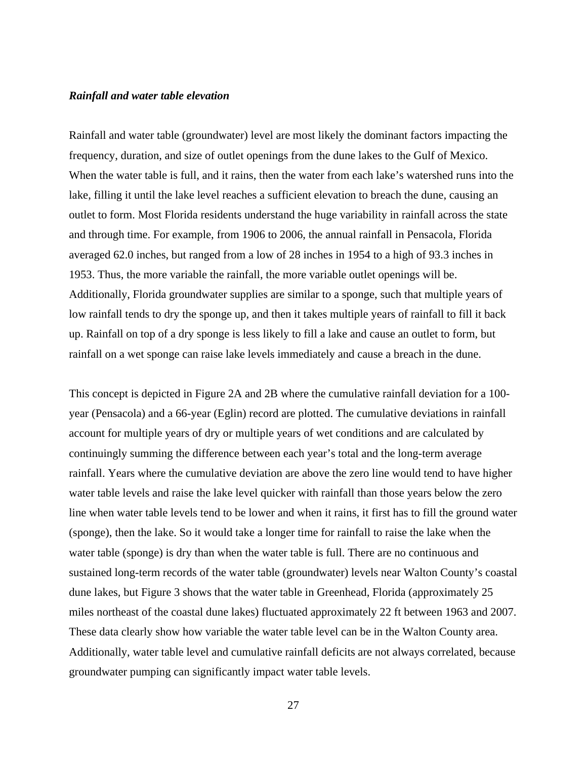#### *Rainfall and water table elevation*

Rainfall and water table (groundwater) level are most likely the dominant factors impacting the frequency, duration, and size of outlet openings from the dune lakes to the Gulf of Mexico. When the water table is full, and it rains, then the water from each lake's watershed runs into the lake, filling it until the lake level reaches a sufficient elevation to breach the dune, causing an outlet to form. Most Florida residents understand the huge variability in rainfall across the state and through time. For example, from 1906 to 2006, the annual rainfall in Pensacola, Florida averaged 62.0 inches, but ranged from a low of 28 inches in 1954 to a high of 93.3 inches in 1953. Thus, the more variable the rainfall, the more variable outlet openings will be. Additionally, Florida groundwater supplies are similar to a sponge, such that multiple years of low rainfall tends to dry the sponge up, and then it takes multiple years of rainfall to fill it back up. Rainfall on top of a dry sponge is less likely to fill a lake and cause an outlet to form, but rainfall on a wet sponge can raise lake levels immediately and cause a breach in the dune.

This concept is depicted in Figure 2A and 2B where the cumulative rainfall deviation for a 100 year (Pensacola) and a 66-year (Eglin) record are plotted. The cumulative deviations in rainfall account for multiple years of dry or multiple years of wet conditions and are calculated by continuingly summing the difference between each year's total and the long-term average rainfall. Years where the cumulative deviation are above the zero line would tend to have higher water table levels and raise the lake level quicker with rainfall than those years below the zero line when water table levels tend to be lower and when it rains, it first has to fill the ground water (sponge), then the lake. So it would take a longer time for rainfall to raise the lake when the water table (sponge) is dry than when the water table is full. There are no continuous and sustained long-term records of the water table (groundwater) levels near Walton County's coastal dune lakes, but Figure 3 shows that the water table in Greenhead, Florida (approximately 25 miles northeast of the coastal dune lakes) fluctuated approximately 22 ft between 1963 and 2007. These data clearly show how variable the water table level can be in the Walton County area. Additionally, water table level and cumulative rainfall deficits are not always correlated, because groundwater pumping can significantly impact water table levels.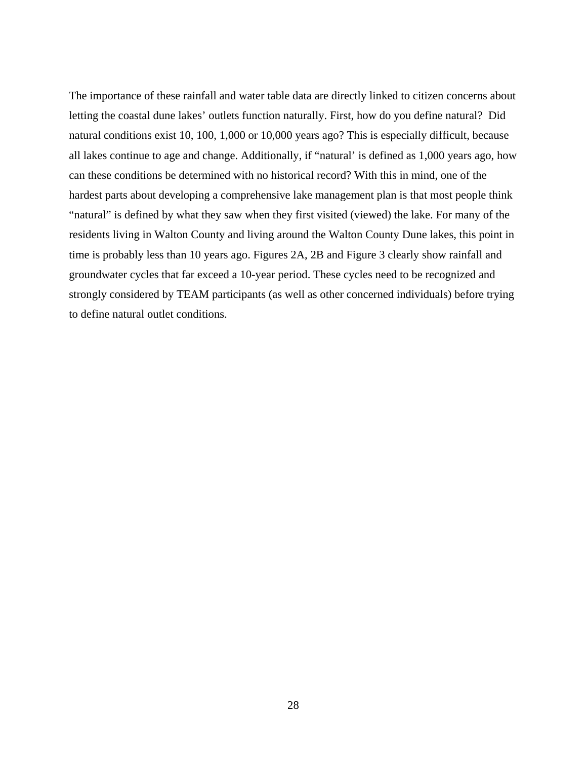The importance of these rainfall and water table data are directly linked to citizen concerns about letting the coastal dune lakes' outlets function naturally. First, how do you define natural? Did natural conditions exist 10, 100, 1,000 or 10,000 years ago? This is especially difficult, because all lakes continue to age and change. Additionally, if "natural' is defined as 1,000 years ago, how can these conditions be determined with no historical record? With this in mind, one of the hardest parts about developing a comprehensive lake management plan is that most people think "natural" is defined by what they saw when they first visited (viewed) the lake. For many of the residents living in Walton County and living around the Walton County Dune lakes, this point in time is probably less than 10 years ago. Figures 2A, 2B and Figure 3 clearly show rainfall and groundwater cycles that far exceed a 10-year period. These cycles need to be recognized and strongly considered by TEAM participants (as well as other concerned individuals) before trying to define natural outlet conditions.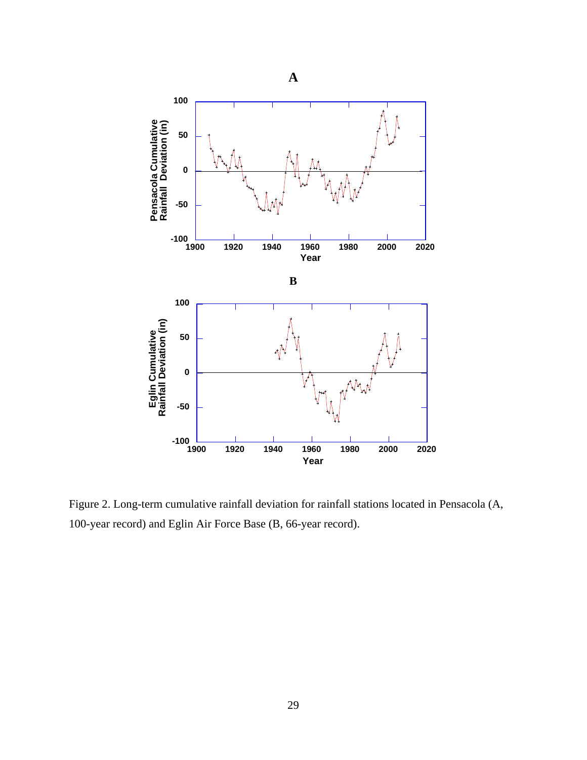

Figure 2. Long-term cumulative rainfall deviation for rainfall stations located in Pensacola (A, 100-year record) and Eglin Air Force Base (B, 66-year record).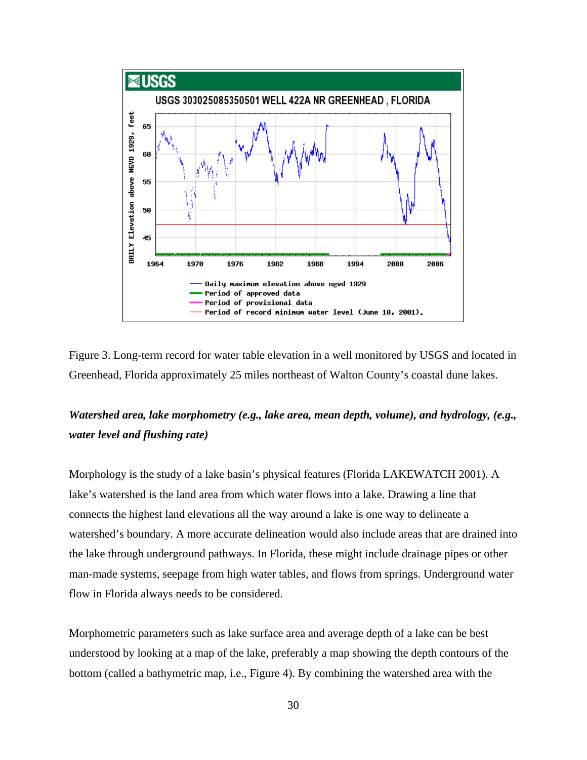

Figure 3. Long-term record for water table elevation in a well monitored by USGS and located in Greenhead, Florida approximately 25 miles northeast of Walton County's coastal dune lakes.

# *Watershed area, lake morphometry (e.g., lake area, mean depth, volume), and hydrology, (e.g., water level and flushing rate)*

Morphology is the study of a lake basin's physical features (Florida LAKEWATCH 2001). A lake's watershed is the land area from which water flows into a lake. Drawing a line that connects the highest land elevations all the way around a lake is one way to delineate a watershed's boundary. A more accurate delineation would also include areas that are drained into the lake through underground pathways. In Florida, these might include drainage pipes or other man-made systems, seepage from high water tables, and flows from springs. Underground water flow in Florida always needs to be considered.

Morphometric parameters such as lake surface area and average depth of a lake can be best understood by looking at a map of the lake, preferably a map showing the depth contours of the bottom (called a bathymetric map, i.e., Figure 4). By combining the watershed area with the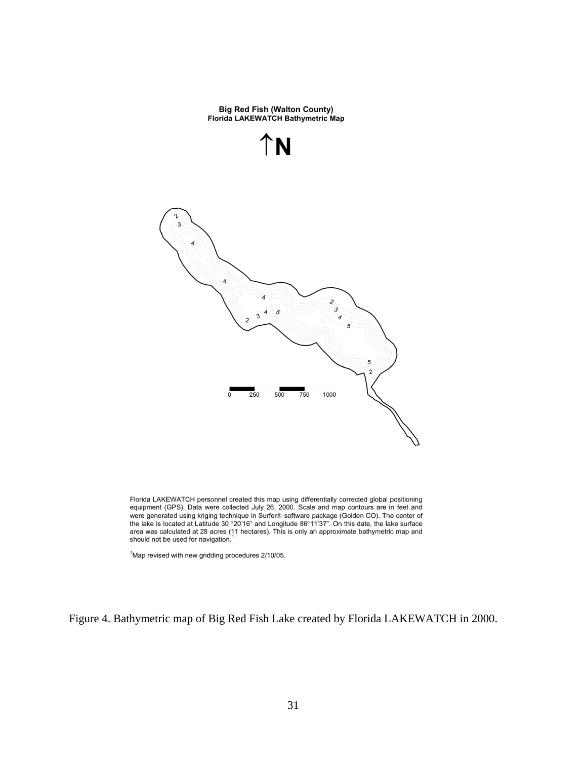





Florida LAKEWATCH personnel created this map using differentially corrected global positioning equipment (GPS). Data were collected July 26, 2000. Scale and map contours are in feet and were generated using kriging technique in Surfer® software package (Golden CO). The center of the lake is located at Latitude 30 °20'16" and Longitude 86°11'37". On this date, the lake surface area was calculated at 28 acres (11 hectares). This is only an approximate bathymetric map and<br>should not be used for navigation.<sup>1</sup>

<sup>1</sup>Map revised with new gridding procedures 2/10/05.

Figure 4. Bathymetric map of Big Red Fish Lake created by Florida LAKEWATCH in 2000.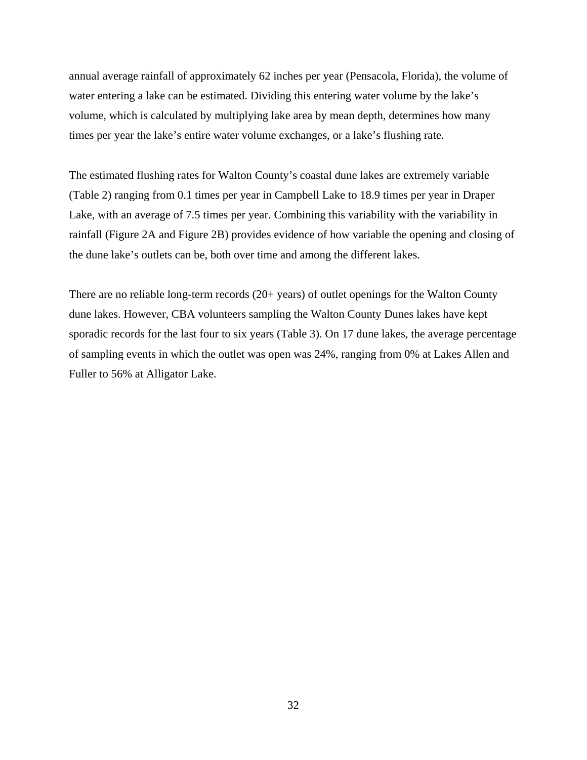annual average rainfall of approximately 62 inches per year (Pensacola, Florida), the volume of water entering a lake can be estimated. Dividing this entering water volume by the lake's volume, which is calculated by multiplying lake area by mean depth, determines how many times per year the lake's entire water volume exchanges, or a lake's flushing rate.

The estimated flushing rates for Walton County's coastal dune lakes are extremely variable (Table 2) ranging from 0.1 times per year in Campbell Lake to 18.9 times per year in Draper Lake, with an average of 7.5 times per year. Combining this variability with the variability in rainfall (Figure 2A and Figure 2B) provides evidence of how variable the opening and closing of the dune lake's outlets can be, both over time and among the different lakes.

There are no reliable long-term records (20+ years) of outlet openings for the Walton County dune lakes. However, CBA volunteers sampling the Walton County Dunes lakes have kept sporadic records for the last four to six years (Table 3). On 17 dune lakes, the average percentage of sampling events in which the outlet was open was 24%, ranging from 0% at Lakes Allen and Fuller to 56% at Alligator Lake.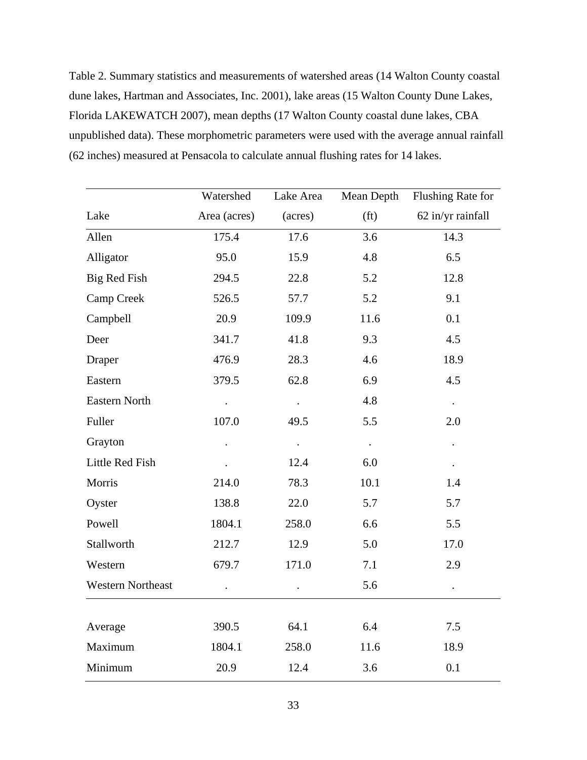Table 2. Summary statistics and measurements of watershed areas (14 Walton County coastal dune lakes, Hartman and Associates, Inc. 2001), lake areas (15 Walton County Dune Lakes, Florida LAKEWATCH 2007), mean depths (17 Walton County coastal dune lakes, CBA unpublished data). These morphometric parameters were used with the average annual rainfall (62 inches) measured at Pensacola to calculate annual flushing rates for 14 lakes.

|                          | Watershed    | Lake Area            | Mean Depth        | Flushing Rate for    |
|--------------------------|--------------|----------------------|-------------------|----------------------|
| Lake                     | Area (acres) | (acres)              | (f <sub>t</sub> ) | 62 in/yr rainfall    |
| Allen                    | 175.4        | 17.6                 | 3.6               | 14.3                 |
| Alligator                | 95.0         | 15.9                 | 4.8               | 6.5                  |
| <b>Big Red Fish</b>      | 294.5        | 22.8                 | 5.2               | 12.8                 |
| Camp Creek               | 526.5        | 57.7                 | 5.2               | 9.1                  |
| Campbell                 | 20.9         | 109.9                | 11.6              | 0.1                  |
| Deer                     | 341.7        | 41.8                 | 9.3               | 4.5                  |
| Draper                   | 476.9        | 28.3                 | 4.6               | 18.9                 |
| Eastern                  | 379.5        | 62.8                 | 6.9               | 4.5                  |
| <b>Eastern North</b>     |              | $\ddot{\phantom{0}}$ | 4.8               | $\ddot{\phantom{a}}$ |
| Fuller                   | 107.0        | 49.5                 | 5.5               | 2.0                  |
| Grayton                  |              | $\bullet$            |                   |                      |
| Little Red Fish          |              | 12.4                 | 6.0               |                      |
| Morris                   | 214.0        | 78.3                 | 10.1              | 1.4                  |
| Oyster                   | 138.8        | 22.0                 | 5.7               | 5.7                  |
| Powell                   | 1804.1       | 258.0                | 6.6               | 5.5                  |
| Stallworth               | 212.7        | 12.9                 | 5.0               | 17.0                 |
| Western                  | 679.7        | 171.0                | 7.1               | 2.9                  |
| <b>Western Northeast</b> |              |                      | 5.6               | $\ddot{\phantom{0}}$ |
|                          |              |                      |                   |                      |
| Average                  | 390.5        | 64.1                 | 6.4               | 7.5                  |
| Maximum                  | 1804.1       | 258.0                | 11.6              | 18.9                 |
| Minimum                  | 20.9         | 12.4                 | 3.6               | 0.1                  |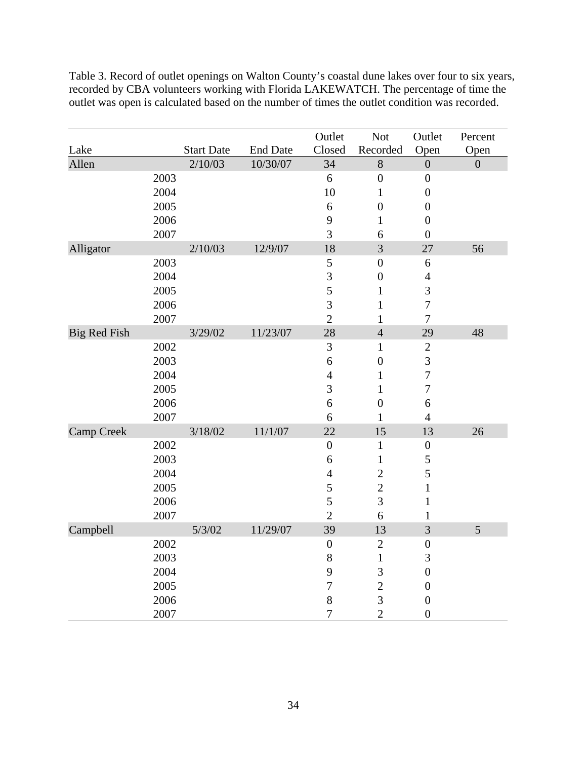|                     |      |                   |                 | Outlet           | <b>Not</b>       | Outlet           | Percent          |
|---------------------|------|-------------------|-----------------|------------------|------------------|------------------|------------------|
| Lake                |      | <b>Start Date</b> | <b>End Date</b> | Closed           | Recorded         | Open             | Open             |
| Allen               |      | 2/10/03           | 10/30/07        | 34               | 8                | $\boldsymbol{0}$ | $\boldsymbol{0}$ |
|                     | 2003 |                   |                 | 6                | $\boldsymbol{0}$ | $\boldsymbol{0}$ |                  |
|                     | 2004 |                   |                 | 10               | $\mathbf{1}$     | $\boldsymbol{0}$ |                  |
|                     | 2005 |                   |                 | 6                | $\boldsymbol{0}$ | $\boldsymbol{0}$ |                  |
|                     | 2006 |                   |                 | 9                | $\mathbf{1}$     | $\boldsymbol{0}$ |                  |
|                     | 2007 |                   |                 | 3                | 6                | $\boldsymbol{0}$ |                  |
| Alligator           |      | 2/10/03           | 12/9/07         | 18               | 3                | 27               | 56               |
|                     | 2003 |                   |                 | $\mathfrak s$    | $\boldsymbol{0}$ | 6                |                  |
|                     | 2004 |                   |                 | 3                | $\boldsymbol{0}$ | $\overline{4}$   |                  |
|                     | 2005 |                   |                 | 5                | $\mathbf{1}$     | 3                |                  |
|                     | 2006 |                   |                 | 3                | $\mathbf{1}$     | $\boldsymbol{7}$ |                  |
|                     | 2007 |                   |                 | $\overline{2}$   | $\mathbf{1}$     | $\overline{7}$   |                  |
| <b>Big Red Fish</b> |      | 3/29/02           | 11/23/07        | 28               | $\overline{4}$   | 29               | 48               |
|                     | 2002 |                   |                 | 3                | 1                | $\mathbf{2}$     |                  |
|                     | 2003 |                   |                 | 6                | $\overline{0}$   | $\mathfrak{Z}$   |                  |
|                     | 2004 |                   |                 | $\overline{4}$   | 1                | $\overline{7}$   |                  |
|                     | 2005 |                   |                 | 3                | $\mathbf{1}$     | $\boldsymbol{7}$ |                  |
|                     | 2006 |                   |                 | 6                | $\boldsymbol{0}$ | 6                |                  |
|                     | 2007 |                   |                 | 6                | 1                | $\overline{4}$   |                  |
| <b>Camp Creek</b>   |      | 3/18/02           | 11/1/07         | 22               | 15               | 13               | 26               |
|                     | 2002 |                   |                 | $\boldsymbol{0}$ | $\mathbf{1}$     | $\boldsymbol{0}$ |                  |
|                     | 2003 |                   |                 | 6                | $\mathbf{1}$     | $\mathfrak{S}$   |                  |
|                     | 2004 |                   |                 | $\overline{4}$   | $\overline{2}$   | 5                |                  |
|                     | 2005 |                   |                 | 5                | $\overline{c}$   | $\mathbf{1}$     |                  |
|                     | 2006 |                   |                 | 5                | 3                | $\mathbf{1}$     |                  |
|                     | 2007 |                   |                 | $\overline{2}$   | 6                | $\mathbf{1}$     |                  |
| Campbell            |      | 5/3/02            | 11/29/07        | 39               | 13               | 3                | 5                |
|                     | 2002 |                   |                 | $\boldsymbol{0}$ | $\mathbf{2}$     | $\boldsymbol{0}$ |                  |
|                     | 2003 |                   |                 | 8                | $\mathbf{1}$     | 3                |                  |
|                     | 2004 |                   |                 | 9                | 3                | $\boldsymbol{0}$ |                  |
|                     | 2005 |                   |                 | $\boldsymbol{7}$ | $\overline{c}$   | $\boldsymbol{0}$ |                  |
|                     | 2006 |                   |                 | 8                | $\overline{3}$   | $\boldsymbol{0}$ |                  |
|                     | 2007 |                   |                 | $\overline{7}$   | $\overline{2}$   | $\boldsymbol{0}$ |                  |

Table 3. Record of outlet openings on Walton County's coastal dune lakes over four to six years, recorded by CBA volunteers working with Florida LAKEWATCH. The percentage of time the outlet was open is calculated based on the number of times the outlet condition was recorded.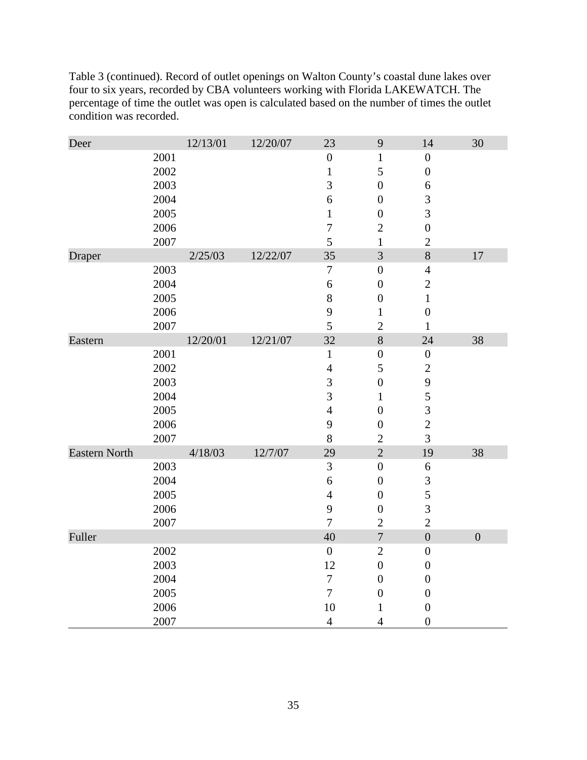| Deer                 |      | 12/13/01 | 12/20/07 | 23               | 9                | 14               | 30               |
|----------------------|------|----------|----------|------------------|------------------|------------------|------------------|
|                      | 2001 |          |          | $\boldsymbol{0}$ | $\mathbf{1}$     | $\boldsymbol{0}$ |                  |
|                      | 2002 |          |          | $\mathbf{1}$     | 5                | $\boldsymbol{0}$ |                  |
|                      | 2003 |          |          | $\overline{3}$   | $\overline{0}$   | 6                |                  |
|                      | 2004 |          |          | 6                | $\boldsymbol{0}$ | 3                |                  |
|                      | 2005 |          |          | $\mathbf{1}$     | $\boldsymbol{0}$ | $\overline{3}$   |                  |
|                      | 2006 |          |          | $\overline{7}$   | $\overline{2}$   | $\boldsymbol{0}$ |                  |
|                      | 2007 |          |          | 5                | $\mathbf{1}$     | $\overline{2}$   |                  |
| Draper               |      | 2/25/03  | 12/22/07 | 35               | $\overline{3}$   | 8                | 17               |
|                      | 2003 |          |          | $\tau$           | $\boldsymbol{0}$ | $\overline{4}$   |                  |
|                      | 2004 |          |          | $\boldsymbol{6}$ | $\boldsymbol{0}$ | $\overline{2}$   |                  |
|                      | 2005 |          |          | 8                | $\boldsymbol{0}$ | $\mathbf{1}$     |                  |
|                      | 2006 |          |          | $\mathbf{9}$     | $\mathbf{1}$     | $\boldsymbol{0}$ |                  |
|                      | 2007 |          |          | 5                | $\overline{2}$   | $\mathbf{1}$     |                  |
| Eastern              |      | 12/20/01 | 12/21/07 | 32               | 8                | 24               | 38               |
|                      | 2001 |          |          | $\mathbf{1}$     | $\boldsymbol{0}$ | $\boldsymbol{0}$ |                  |
|                      | 2002 |          |          | $\overline{4}$   | 5                | $\overline{c}$   |                  |
|                      | 2003 |          |          | 3                | $\boldsymbol{0}$ | 9                |                  |
|                      | 2004 |          |          | $\overline{3}$   | $\mathbf{1}$     | 5                |                  |
|                      | 2005 |          |          | $\overline{4}$   | $\boldsymbol{0}$ | 3                |                  |
|                      | 2006 |          |          | 9                | $\boldsymbol{0}$ | $\overline{2}$   |                  |
|                      | 2007 |          |          | 8                | $\overline{2}$   | $\overline{3}$   |                  |
| <b>Eastern North</b> |      | 4/18/03  | 12/7/07  | 29               | $\overline{2}$   | 19               | 38               |
|                      | 2003 |          |          | $\mathfrak{Z}$   | $\boldsymbol{0}$ | 6                |                  |
|                      | 2004 |          |          | 6                | $\boldsymbol{0}$ | 3                |                  |
|                      | 2005 |          |          | $\overline{4}$   | $\boldsymbol{0}$ | 5                |                  |
|                      | 2006 |          |          | 9                | $\boldsymbol{0}$ | 3                |                  |
|                      | 2007 |          |          | $\overline{7}$   | $\overline{2}$   | $\overline{2}$   |                  |
| Fuller               |      |          |          | 40               | $\overline{7}$   | $\overline{0}$   | $\boldsymbol{0}$ |
|                      | 2002 |          |          | $\boldsymbol{0}$ | $\overline{2}$   | $\boldsymbol{0}$ |                  |
|                      | 2003 |          |          | 12               | $\boldsymbol{0}$ | $\boldsymbol{0}$ |                  |
|                      | 2004 |          |          | $\overline{7}$   | $\boldsymbol{0}$ | $\boldsymbol{0}$ |                  |
|                      | 2005 |          |          | $\overline{7}$   | $\boldsymbol{0}$ | $\boldsymbol{0}$ |                  |
|                      | 2006 |          |          | 10               | $\mathbf{1}$     | $\boldsymbol{0}$ |                  |
|                      | 2007 |          |          | $\overline{4}$   | $\overline{4}$   | $\boldsymbol{0}$ |                  |

Table 3 (continued). Record of outlet openings on Walton County's coastal dune lakes over four to six years, recorded by CBA volunteers working with Florida LAKEWATCH. The percentage of time the outlet was open is calculated based on the number of times the outlet condition was recorded.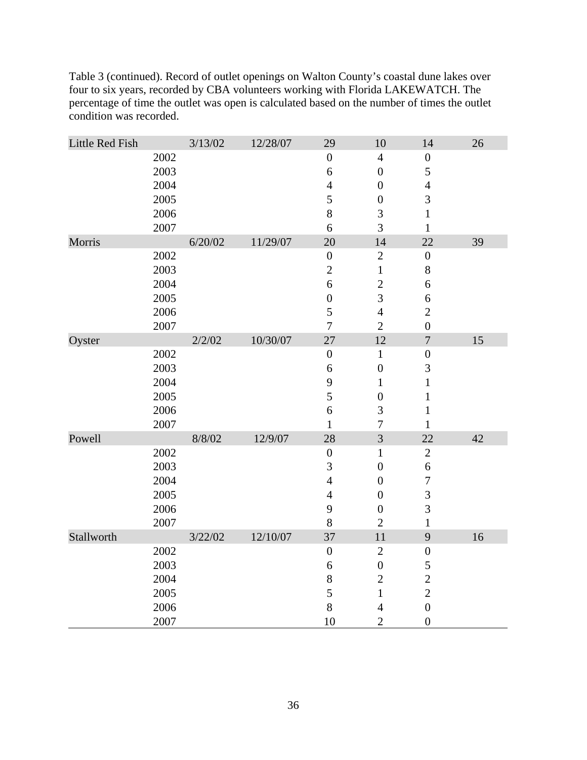| Little Red Fish |      | 3/13/02 | 12/28/07 | 29               | 10               | 14               | 26 |
|-----------------|------|---------|----------|------------------|------------------|------------------|----|
|                 | 2002 |         |          | $\overline{0}$   | $\overline{4}$   | $\boldsymbol{0}$ |    |
|                 | 2003 |         |          | 6                | $\boldsymbol{0}$ | 5                |    |
|                 | 2004 |         |          | $\overline{4}$   | $\boldsymbol{0}$ | $\overline{4}$   |    |
|                 | 2005 |         |          | 5                | $\boldsymbol{0}$ | $\mathfrak{Z}$   |    |
|                 | 2006 |         |          | 8                | $\mathfrak{Z}$   | $\mathbf{1}$     |    |
|                 | 2007 |         |          | 6                | $\overline{3}$   | $\mathbf{1}$     |    |
| Morris          |      | 6/20/02 | 11/29/07 | 20               | 14               | 22               | 39 |
|                 | 2002 |         |          | $\boldsymbol{0}$ | $\mathbf{2}$     | $\boldsymbol{0}$ |    |
|                 | 2003 |         |          | $\mathbf{2}$     | $\mathbf{1}$     | 8                |    |
|                 | 2004 |         |          | 6                | $\overline{2}$   | 6                |    |
|                 | 2005 |         |          | $\boldsymbol{0}$ | 3                | 6                |    |
|                 | 2006 |         |          | $\mathfrak s$    | $\overline{4}$   | $\overline{2}$   |    |
|                 | 2007 |         |          | $\overline{7}$   | $\overline{2}$   | $\boldsymbol{0}$ |    |
| Oyster          |      | 2/2/02  | 10/30/07 | 27               | 12               | $\overline{7}$   | 15 |
|                 | 2002 |         |          | $\boldsymbol{0}$ | $\mathbf{1}$     | $\boldsymbol{0}$ |    |
|                 | 2003 |         |          | 6                | $\boldsymbol{0}$ | $\mathfrak{Z}$   |    |
|                 | 2004 |         |          | 9                | $\mathbf{1}$     | $\mathbf{1}$     |    |
|                 | 2005 |         |          | 5                | $\boldsymbol{0}$ | $\mathbf{1}$     |    |
|                 | 2006 |         |          | 6                | 3                | $\mathbf{1}$     |    |
|                 | 2007 |         |          | $\mathbf{1}$     | $\overline{7}$   | $\mathbf{1}$     |    |
| Powell          |      | 8/8/02  | 12/9/07  | 28               | $\overline{3}$   | 22               | 42 |
|                 | 2002 |         |          | $\boldsymbol{0}$ | $\mathbf{1}$     | $\mathbf{2}$     |    |
|                 | 2003 |         |          | $\mathfrak{Z}$   | $\boldsymbol{0}$ | $\boldsymbol{6}$ |    |
|                 | 2004 |         |          | $\overline{4}$   | $\overline{0}$   | $\boldsymbol{7}$ |    |
|                 | 2005 |         |          | $\overline{4}$   | $\boldsymbol{0}$ | 3                |    |
|                 | 2006 |         |          | 9                | $\boldsymbol{0}$ | 3                |    |
|                 | 2007 |         |          | 8                | $\overline{2}$   | $\mathbf{1}$     |    |
| Stallworth      |      | 3/22/02 | 12/10/07 | 37               | 11               | 9                | 16 |
|                 | 2002 |         |          | $\boldsymbol{0}$ | $\mathbf{2}$     | $\boldsymbol{0}$ |    |
|                 | 2003 |         |          | 6                | $\boldsymbol{0}$ | $\mathfrak s$    |    |
|                 | 2004 |         |          | $8\,$            | $\mathbf{2}$     | $\overline{2}$   |    |
|                 | 2005 |         |          | 5                | $\mathbf{1}$     | $\overline{2}$   |    |
|                 | 2006 |         |          | 8                | $\overline{4}$   | $\boldsymbol{0}$ |    |
|                 | 2007 |         |          | 10               | $\overline{2}$   | $\boldsymbol{0}$ |    |

Table 3 (continued). Record of outlet openings on Walton County's coastal dune lakes over four to six years, recorded by CBA volunteers working with Florida LAKEWATCH. The percentage of time the outlet was open is calculated based on the number of times the outlet condition was recorded.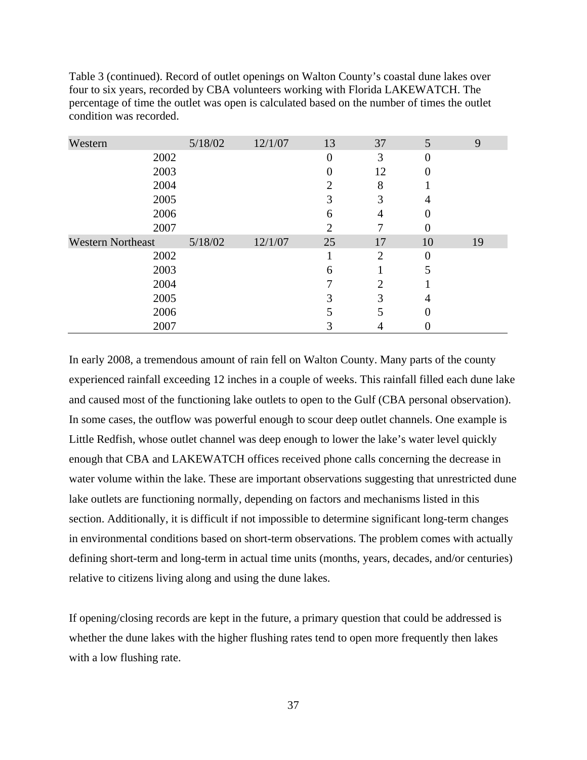| Western                  | 5/18/02 | 12/1/07 | 13             | 37             | 5              | 9  |
|--------------------------|---------|---------|----------------|----------------|----------------|----|
| 2002                     |         |         | $\overline{0}$ | 3              | $\overline{0}$ |    |
| 2003                     |         |         |                | 12             | 0              |    |
| 2004                     |         |         | 2              | 8              |                |    |
| 2005                     |         |         | 3              | 3              | 4              |    |
| 2006                     |         |         | 6              | 4              | 0              |    |
| 2007                     |         |         | っ              |                |                |    |
| <b>Western Northeast</b> | 5/18/02 | 12/1/07 | 25             | 17             | 10             | 19 |
| 2002                     |         |         |                | $\overline{2}$ | 0              |    |
| 2003                     |         |         | 6              |                |                |    |
| 2004                     |         |         |                | 2              |                |    |
| 2005                     |         |         | 3              | 3              | 4              |    |
| 2006                     |         |         |                |                | 0              |    |
| 2007                     |         |         | 3              | 4              | 0              |    |

Table 3 (continued). Record of outlet openings on Walton County's coastal dune lakes over four to six years, recorded by CBA volunteers working with Florida LAKEWATCH. The percentage of time the outlet was open is calculated based on the number of times the outlet condition was recorded.

In early 2008, a tremendous amount of rain fell on Walton County. Many parts of the county experienced rainfall exceeding 12 inches in a couple of weeks. This rainfall filled each dune lake and caused most of the functioning lake outlets to open to the Gulf (CBA personal observation). In some cases, the outflow was powerful enough to scour deep outlet channels. One example is Little Redfish, whose outlet channel was deep enough to lower the lake's water level quickly enough that CBA and LAKEWATCH offices received phone calls concerning the decrease in water volume within the lake. These are important observations suggesting that unrestricted dune lake outlets are functioning normally, depending on factors and mechanisms listed in this section. Additionally, it is difficult if not impossible to determine significant long-term changes in environmental conditions based on short-term observations. The problem comes with actually defining short-term and long-term in actual time units (months, years, decades, and/or centuries) relative to citizens living along and using the dune lakes.

If opening/closing records are kept in the future, a primary question that could be addressed is whether the dune lakes with the higher flushing rates tend to open more frequently then lakes with a low flushing rate.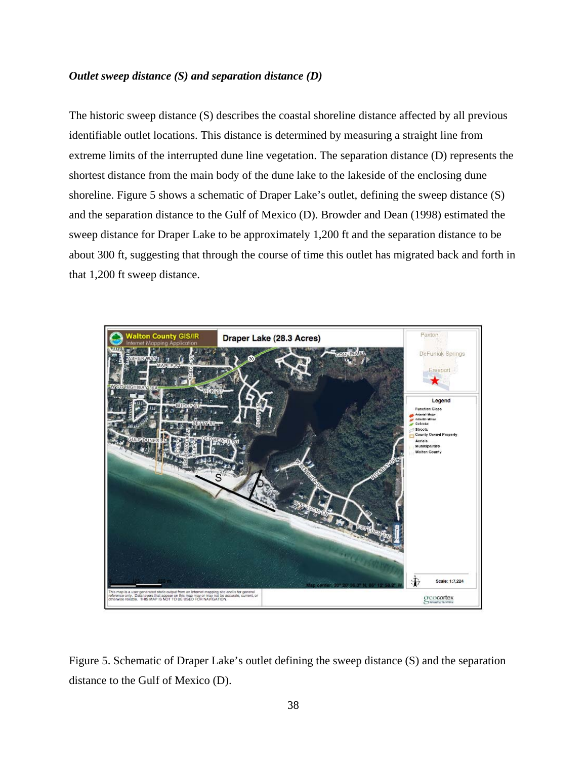### *Outlet sweep distance (S) and separation distance (D)*

The historic sweep distance (S) describes the coastal shoreline distance affected by all previous identifiable outlet locations. This distance is determined by measuring a straight line from extreme limits of the interrupted dune line vegetation. The separation distance (D) represents the shortest distance from the main body of the dune lake to the lakeside of the enclosing dune shoreline. Figure 5 shows a schematic of Draper Lake's outlet, defining the sweep distance (S) and the separation distance to the Gulf of Mexico (D). Browder and Dean (1998) estimated the sweep distance for Draper Lake to be approximately 1,200 ft and the separation distance to be about 300 ft, suggesting that through the course of time this outlet has migrated back and forth in that 1,200 ft sweep distance.



Figure 5. Schematic of Draper Lake's outlet defining the sweep distance (S) and the separation distance to the Gulf of Mexico (D).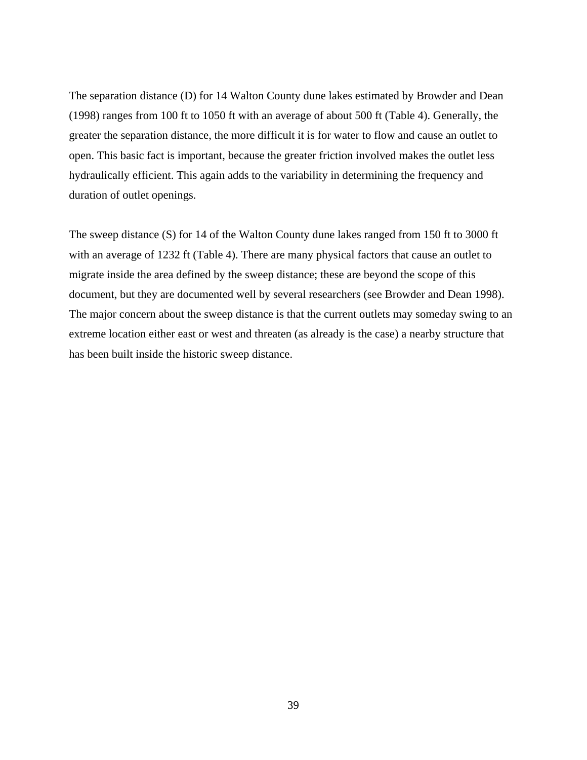The separation distance (D) for 14 Walton County dune lakes estimated by Browder and Dean (1998) ranges from 100 ft to 1050 ft with an average of about 500 ft (Table 4). Generally, the greater the separation distance, the more difficult it is for water to flow and cause an outlet to open. This basic fact is important, because the greater friction involved makes the outlet less hydraulically efficient. This again adds to the variability in determining the frequency and duration of outlet openings.

The sweep distance (S) for 14 of the Walton County dune lakes ranged from 150 ft to 3000 ft with an average of 1232 ft (Table 4). There are many physical factors that cause an outlet to migrate inside the area defined by the sweep distance; these are beyond the scope of this document, but they are documented well by several researchers (see Browder and Dean 1998). The major concern about the sweep distance is that the current outlets may someday swing to an extreme location either east or west and threaten (as already is the case) a nearby structure that has been built inside the historic sweep distance.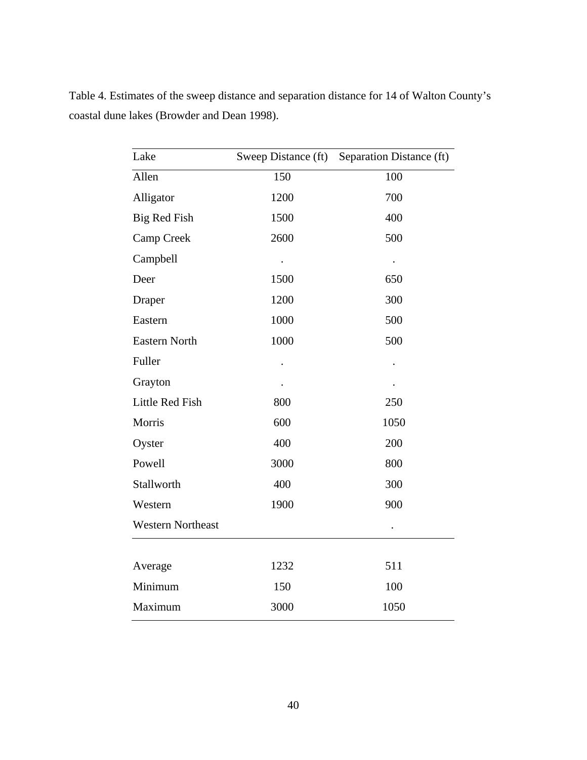| Lake                     | Sweep Distance (ft) | Separation Distance (ft) |  |  |
|--------------------------|---------------------|--------------------------|--|--|
| Allen                    | 150                 | 100                      |  |  |
| Alligator                | 1200                | 700                      |  |  |
| <b>Big Red Fish</b>      | 1500                | 400                      |  |  |
| Camp Creek               | 2600                | 500                      |  |  |
| Campbell                 |                     | $\ddot{\phantom{0}}$     |  |  |
| Deer                     | 1500                | 650                      |  |  |
| Draper                   | 1200                | 300                      |  |  |
| Eastern                  | 1000                | 500                      |  |  |
| <b>Eastern North</b>     | 1000                | 500                      |  |  |
| Fuller                   |                     |                          |  |  |
| Grayton                  |                     |                          |  |  |
| Little Red Fish          | 800                 | 250                      |  |  |
| Morris                   | 600                 | 1050                     |  |  |
| Oyster                   | 400                 | 200                      |  |  |
| Powell                   | 3000                | 800                      |  |  |
| Stallworth               | 400                 | 300                      |  |  |
| Western                  | 1900                | 900                      |  |  |
| <b>Western Northeast</b> |                     |                          |  |  |
| Average                  | 1232                | 511                      |  |  |
| Minimum                  | 150                 | 100                      |  |  |
| Maximum                  | 3000                | 1050                     |  |  |

Table 4. Estimates of the sweep distance and separation distance for 14 of Walton County's coastal dune lakes (Browder and Dean 1998).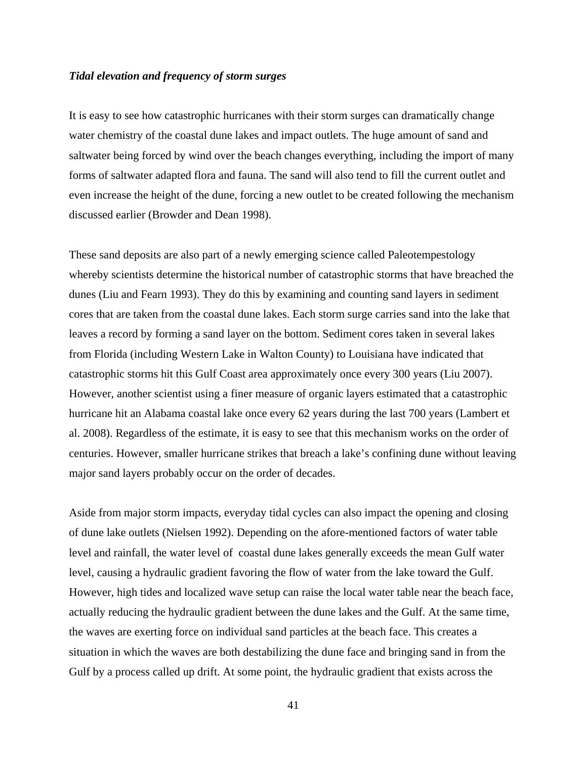### *Tidal elevation and frequency of storm surges*

It is easy to see how catastrophic hurricanes with their storm surges can dramatically change water chemistry of the coastal dune lakes and impact outlets. The huge amount of sand and saltwater being forced by wind over the beach changes everything, including the import of many forms of saltwater adapted flora and fauna. The sand will also tend to fill the current outlet and even increase the height of the dune, forcing a new outlet to be created following the mechanism discussed earlier (Browder and Dean 1998).

These sand deposits are also part of a newly emerging science called Paleotempestology whereby scientists determine the historical number of catastrophic storms that have breached the dunes (Liu and Fearn 1993). They do this by examining and counting sand layers in sediment cores that are taken from the coastal dune lakes. Each storm surge carries sand into the lake that leaves a record by forming a sand layer on the bottom. Sediment cores taken in several lakes from Florida (including Western Lake in Walton County) to Louisiana have indicated that catastrophic storms hit this Gulf Coast area approximately once every 300 years (Liu 2007). However, another scientist using a finer measure of organic layers estimated that a catastrophic hurricane hit an Alabama coastal lake once every 62 years during the last 700 years (Lambert et al. 2008). Regardless of the estimate, it is easy to see that this mechanism works on the order of centuries. However, smaller hurricane strikes that breach a lake's confining dune without leaving major sand layers probably occur on the order of decades.

Aside from major storm impacts, everyday tidal cycles can also impact the opening and closing of dune lake outlets (Nielsen 1992). Depending on the afore-mentioned factors of water table level and rainfall, the water level of coastal dune lakes generally exceeds the mean Gulf water level, causing a hydraulic gradient favoring the flow of water from the lake toward the Gulf. However, high tides and localized wave setup can raise the local water table near the beach face, actually reducing the hydraulic gradient between the dune lakes and the Gulf. At the same time, the waves are exerting force on individual sand particles at the beach face. This creates a situation in which the waves are both destabilizing the dune face and bringing sand in from the Gulf by a process called up drift. At some point, the hydraulic gradient that exists across the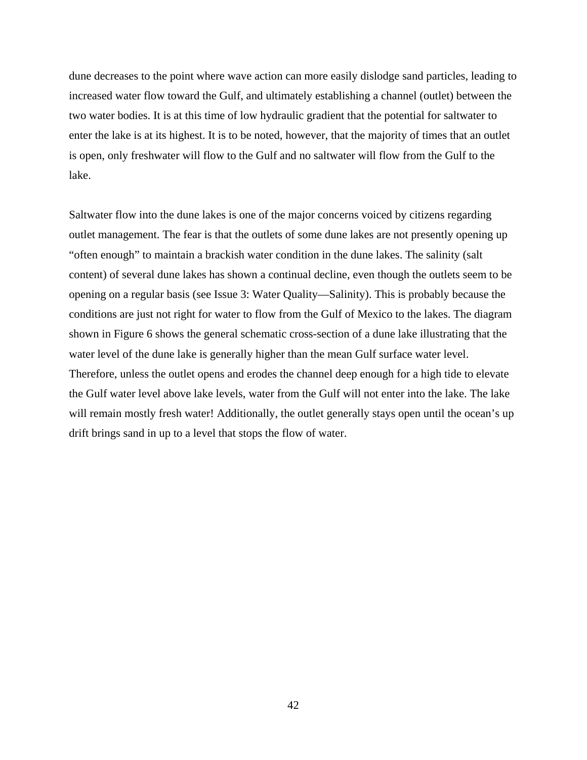dune decreases to the point where wave action can more easily dislodge sand particles, leading to increased water flow toward the Gulf, and ultimately establishing a channel (outlet) between the two water bodies. It is at this time of low hydraulic gradient that the potential for saltwater to enter the lake is at its highest. It is to be noted, however, that the majority of times that an outlet is open, only freshwater will flow to the Gulf and no saltwater will flow from the Gulf to the lake.

Saltwater flow into the dune lakes is one of the major concerns voiced by citizens regarding outlet management. The fear is that the outlets of some dune lakes are not presently opening up "often enough" to maintain a brackish water condition in the dune lakes. The salinity (salt content) of several dune lakes has shown a continual decline, even though the outlets seem to be opening on a regular basis (see Issue 3: Water Quality—Salinity). This is probably because the conditions are just not right for water to flow from the Gulf of Mexico to the lakes. The diagram shown in Figure 6 shows the general schematic cross-section of a dune lake illustrating that the water level of the dune lake is generally higher than the mean Gulf surface water level. Therefore, unless the outlet opens and erodes the channel deep enough for a high tide to elevate the Gulf water level above lake levels, water from the Gulf will not enter into the lake. The lake will remain mostly fresh water! Additionally, the outlet generally stays open until the ocean's up drift brings sand in up to a level that stops the flow of water.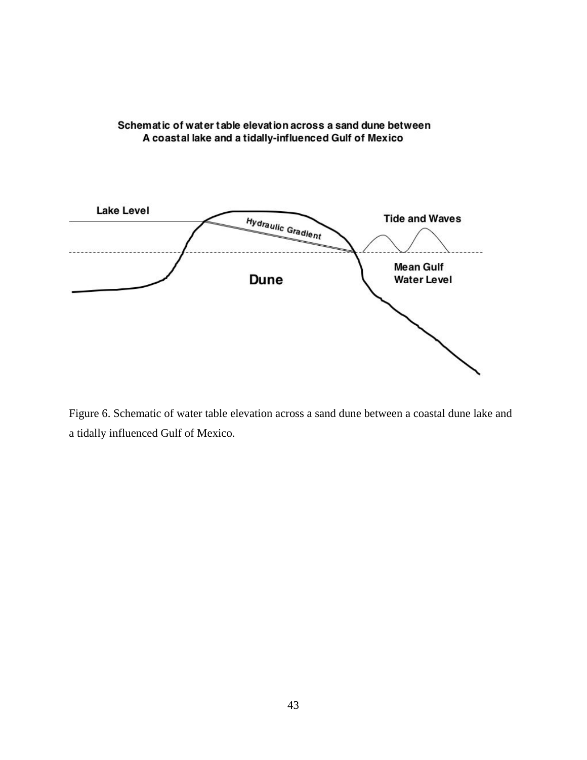

Schematic of water table elevation across a sand dune between A coastal lake and a tidally-influenced Gulf of Mexico

Figure 6. Schematic of water table elevation across a sand dune between a coastal dune lake and a tidally influenced Gulf of Mexico.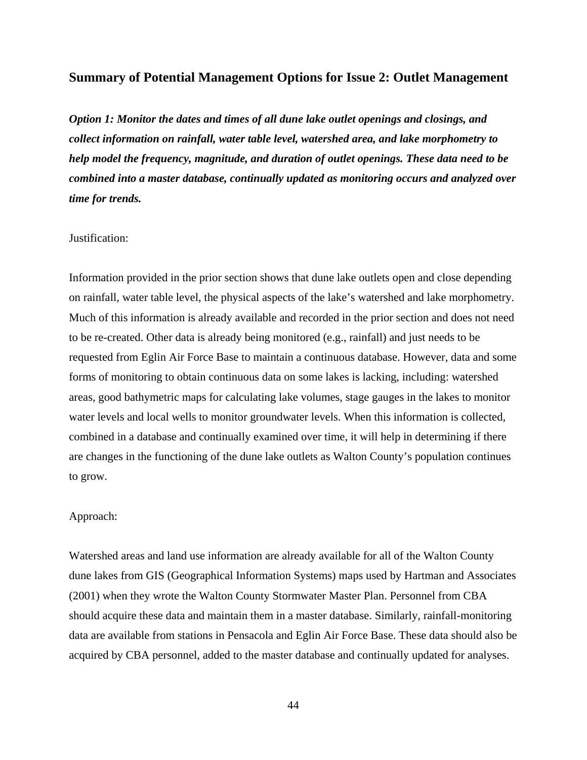## **Summary of Potential Management Options for Issue 2: Outlet Management**

*Option 1: Monitor the dates and times of all dune lake outlet openings and closings, and collect information on rainfall, water table level, watershed area, and lake morphometry to help model the frequency, magnitude, and duration of outlet openings. These data need to be combined into a master database, continually updated as monitoring occurs and analyzed over time for trends.* 

### Justification:

Information provided in the prior section shows that dune lake outlets open and close depending on rainfall, water table level, the physical aspects of the lake's watershed and lake morphometry. Much of this information is already available and recorded in the prior section and does not need to be re-created. Other data is already being monitored (e.g., rainfall) and just needs to be requested from Eglin Air Force Base to maintain a continuous database. However, data and some forms of monitoring to obtain continuous data on some lakes is lacking, including: watershed areas, good bathymetric maps for calculating lake volumes, stage gauges in the lakes to monitor water levels and local wells to monitor groundwater levels. When this information is collected, combined in a database and continually examined over time, it will help in determining if there are changes in the functioning of the dune lake outlets as Walton County's population continues to grow.

### Approach:

Watershed areas and land use information are already available for all of the Walton County dune lakes from GIS (Geographical Information Systems) maps used by Hartman and Associates (2001) when they wrote the Walton County Stormwater Master Plan. Personnel from CBA should acquire these data and maintain them in a master database. Similarly, rainfall-monitoring data are available from stations in Pensacola and Eglin Air Force Base. These data should also be acquired by CBA personnel, added to the master database and continually updated for analyses.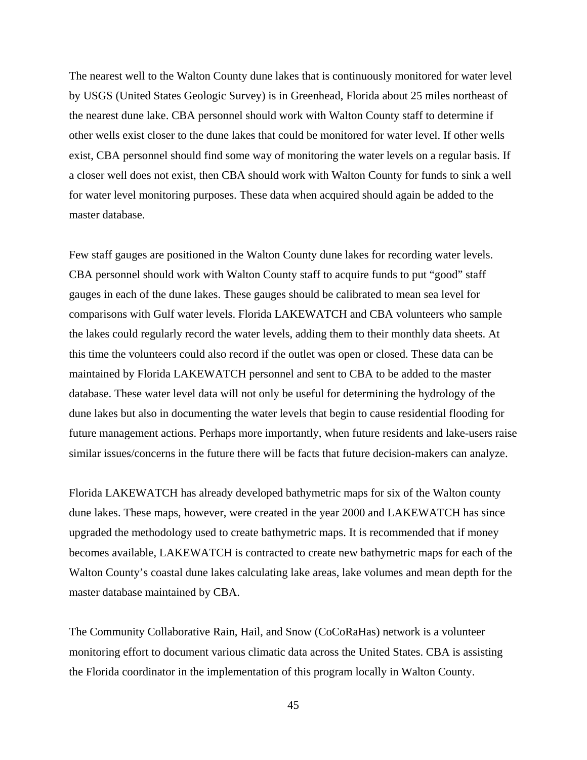The nearest well to the Walton County dune lakes that is continuously monitored for water level by USGS (United States Geologic Survey) is in Greenhead, Florida about 25 miles northeast of the nearest dune lake. CBA personnel should work with Walton County staff to determine if other wells exist closer to the dune lakes that could be monitored for water level. If other wells exist, CBA personnel should find some way of monitoring the water levels on a regular basis. If a closer well does not exist, then CBA should work with Walton County for funds to sink a well for water level monitoring purposes. These data when acquired should again be added to the master database.

Few staff gauges are positioned in the Walton County dune lakes for recording water levels. CBA personnel should work with Walton County staff to acquire funds to put "good" staff gauges in each of the dune lakes. These gauges should be calibrated to mean sea level for comparisons with Gulf water levels. Florida LAKEWATCH and CBA volunteers who sample the lakes could regularly record the water levels, adding them to their monthly data sheets. At this time the volunteers could also record if the outlet was open or closed. These data can be maintained by Florida LAKEWATCH personnel and sent to CBA to be added to the master database. These water level data will not only be useful for determining the hydrology of the dune lakes but also in documenting the water levels that begin to cause residential flooding for future management actions. Perhaps more importantly, when future residents and lake-users raise similar issues/concerns in the future there will be facts that future decision-makers can analyze.

Florida LAKEWATCH has already developed bathymetric maps for six of the Walton county dune lakes. These maps, however, were created in the year 2000 and LAKEWATCH has since upgraded the methodology used to create bathymetric maps. It is recommended that if money becomes available, LAKEWATCH is contracted to create new bathymetric maps for each of the Walton County's coastal dune lakes calculating lake areas, lake volumes and mean depth for the master database maintained by CBA.

The Community Collaborative Rain, Hail, and Snow (CoCoRaHas) network is a volunteer monitoring effort to document various climatic data across the United States. CBA is assisting the Florida coordinator in the implementation of this program locally in Walton County.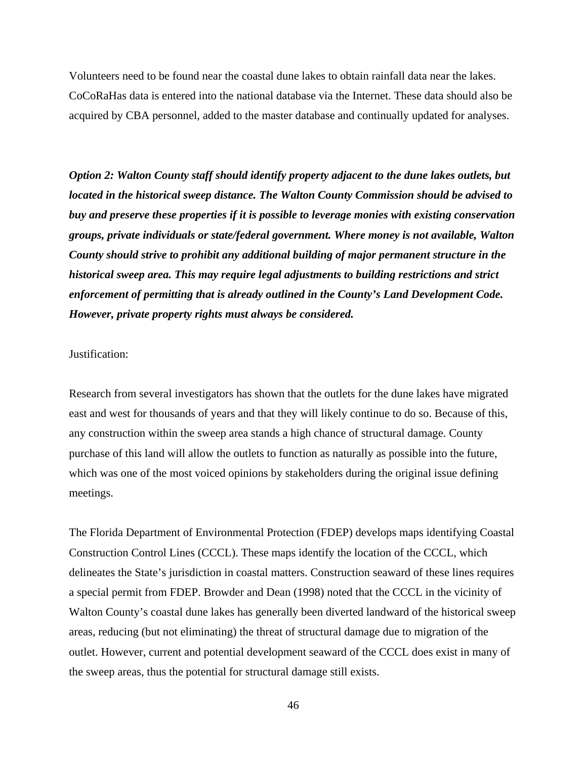Volunteers need to be found near the coastal dune lakes to obtain rainfall data near the lakes. CoCoRaHas data is entered into the national database via the Internet. These data should also be acquired by CBA personnel, added to the master database and continually updated for analyses.

*Option 2: Walton County staff should identify property adjacent to the dune lakes outlets, but located in the historical sweep distance. The Walton County Commission should be advised to buy and preserve these properties if it is possible to leverage monies with existing conservation groups, private individuals or state/federal government. Where money is not available, Walton County should strive to prohibit any additional building of major permanent structure in the historical sweep area. This may require legal adjustments to building restrictions and strict enforcement of permitting that is already outlined in the County's Land Development Code. However, private property rights must always be considered.* 

## Justification:

Research from several investigators has shown that the outlets for the dune lakes have migrated east and west for thousands of years and that they will likely continue to do so. Because of this, any construction within the sweep area stands a high chance of structural damage. County purchase of this land will allow the outlets to function as naturally as possible into the future, which was one of the most voiced opinions by stakeholders during the original issue defining meetings.

The Florida Department of Environmental Protection (FDEP) develops maps identifying Coastal Construction Control Lines (CCCL). These maps identify the location of the CCCL, which delineates the State's jurisdiction in coastal matters. Construction seaward of these lines requires a special permit from FDEP. Browder and Dean (1998) noted that the CCCL in the vicinity of Walton County's coastal dune lakes has generally been diverted landward of the historical sweep areas, reducing (but not eliminating) the threat of structural damage due to migration of the outlet. However, current and potential development seaward of the CCCL does exist in many of the sweep areas, thus the potential for structural damage still exists.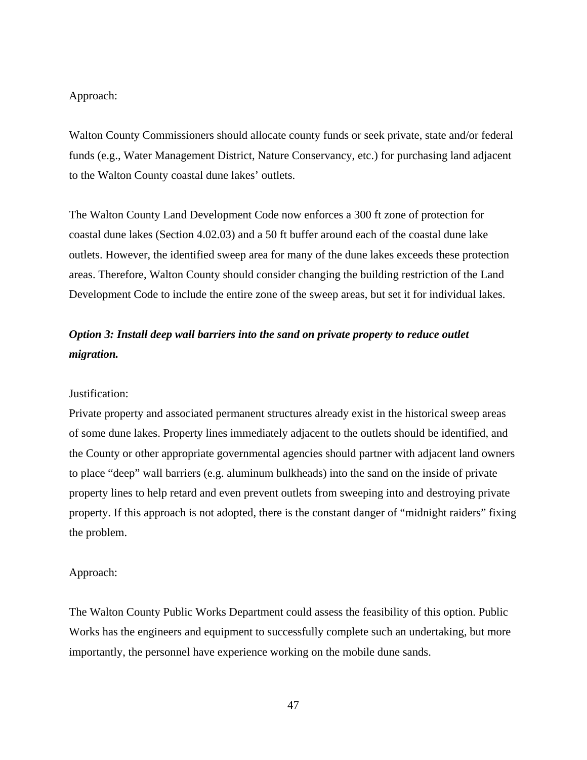### Approach:

Walton County Commissioners should allocate county funds or seek private, state and/or federal funds (e.g., Water Management District, Nature Conservancy, etc.) for purchasing land adjacent to the Walton County coastal dune lakes' outlets.

The Walton County Land Development Code now enforces a 300 ft zone of protection for coastal dune lakes (Section 4.02.03) and a 50 ft buffer around each of the coastal dune lake outlets. However, the identified sweep area for many of the dune lakes exceeds these protection areas. Therefore, Walton County should consider changing the building restriction of the Land Development Code to include the entire zone of the sweep areas, but set it for individual lakes.

# *Option 3: Install deep wall barriers into the sand on private property to reduce outlet migration.*

### Justification:

Private property and associated permanent structures already exist in the historical sweep areas of some dune lakes. Property lines immediately adjacent to the outlets should be identified, and the County or other appropriate governmental agencies should partner with adjacent land owners to place "deep" wall barriers (e.g. aluminum bulkheads) into the sand on the inside of private property lines to help retard and even prevent outlets from sweeping into and destroying private property. If this approach is not adopted, there is the constant danger of "midnight raiders" fixing the problem.

### Approach:

The Walton County Public Works Department could assess the feasibility of this option. Public Works has the engineers and equipment to successfully complete such an undertaking, but more importantly, the personnel have experience working on the mobile dune sands.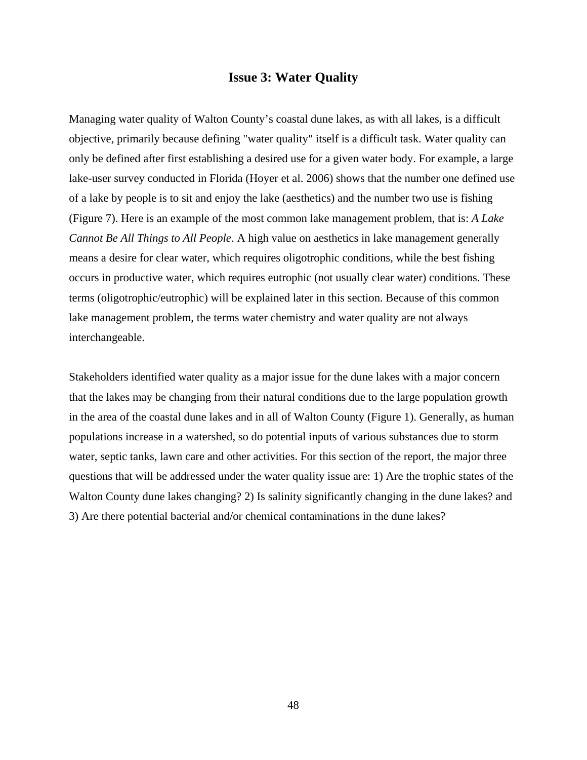## **Issue 3: Water Quality**

Managing water quality of Walton County's coastal dune lakes, as with all lakes, is a difficult objective, primarily because defining "water quality" itself is a difficult task. Water quality can only be defined after first establishing a desired use for a given water body. For example, a large lake-user survey conducted in Florida (Hoyer et al. 2006) shows that the number one defined use of a lake by people is to sit and enjoy the lake (aesthetics) and the number two use is fishing (Figure 7). Here is an example of the most common lake management problem, that is: *A Lake Cannot Be All Things to All People*. A high value on aesthetics in lake management generally means a desire for clear water, which requires oligotrophic conditions, while the best fishing occurs in productive water, which requires eutrophic (not usually clear water) conditions. These terms (oligotrophic/eutrophic) will be explained later in this section. Because of this common lake management problem, the terms water chemistry and water quality are not always interchangeable.

Stakeholders identified water quality as a major issue for the dune lakes with a major concern that the lakes may be changing from their natural conditions due to the large population growth in the area of the coastal dune lakes and in all of Walton County (Figure 1). Generally, as human populations increase in a watershed, so do potential inputs of various substances due to storm water, septic tanks, lawn care and other activities. For this section of the report, the major three questions that will be addressed under the water quality issue are: 1) Are the trophic states of the Walton County dune lakes changing? 2) Is salinity significantly changing in the dune lakes? and 3) Are there potential bacterial and/or chemical contaminations in the dune lakes?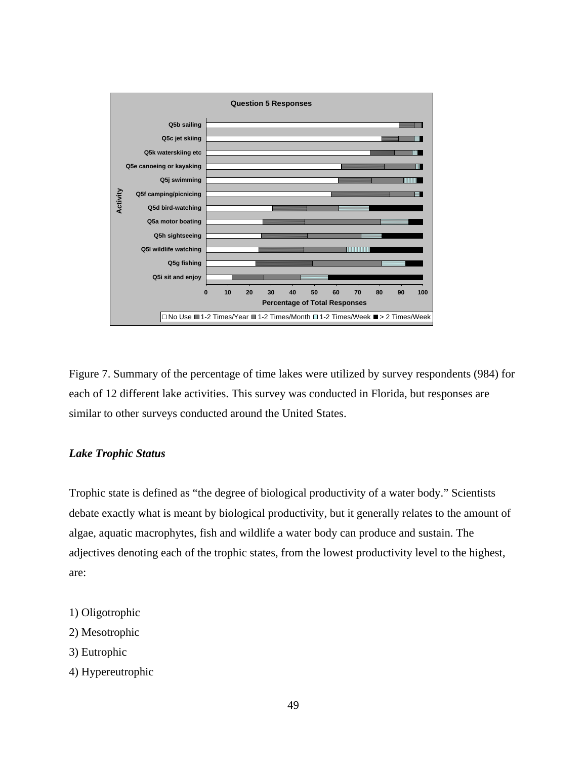

Figure 7. Summary of the percentage of time lakes were utilized by survey respondents (984) for each of 12 different lake activities. This survey was conducted in Florida, but responses are similar to other surveys conducted around the United States.

## *Lake Trophic Status*

Trophic state is defined as "the degree of biological productivity of a water body." Scientists debate exactly what is meant by biological productivity, but it generally relates to the amount of algae, aquatic macrophytes, fish and wildlife a water body can produce and sustain. The adjectives denoting each of the trophic states, from the lowest productivity level to the highest, are:

- 1) Oligotrophic
- 2) Mesotrophic
- 3) Eutrophic
- 4) Hypereutrophic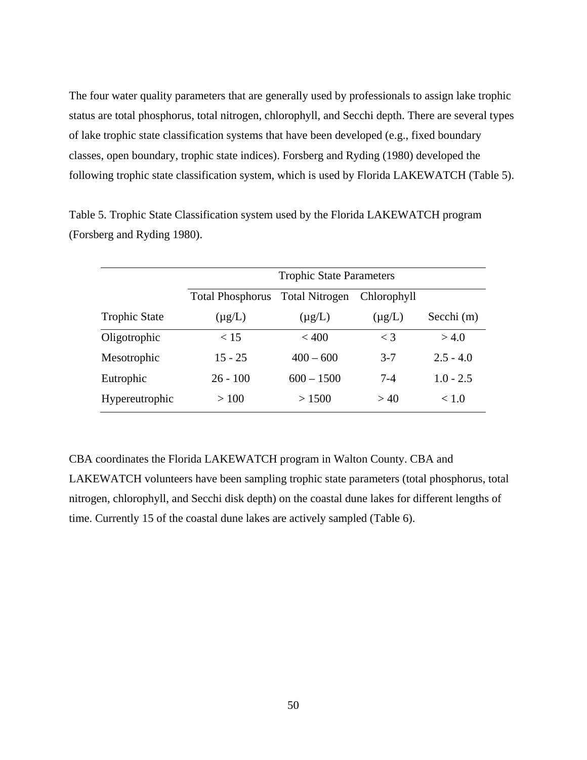The four water quality parameters that are generally used by professionals to assign lake trophic status are total phosphorus, total nitrogen, chlorophyll, and Secchi depth. There are several types of lake trophic state classification systems that have been developed (e.g., fixed boundary classes, open boundary, trophic state indices). Forsberg and Ryding (1980) developed the following trophic state classification system, which is used by Florida LAKEWATCH (Table 5).

Table 5. Trophic State Classification system used by the Florida LAKEWATCH program (Forsberg and Ryding 1980).

|                      | <b>Trophic State Parameters</b> |              |                     |             |  |  |
|----------------------|---------------------------------|--------------|---------------------|-------------|--|--|
|                      | Total Phosphorus Total Nitrogen |              | Chlorophyll         |             |  |  |
| <b>Trophic State</b> | $(\mu g/L)$                     | $(\mu g/L)$  | $(\mu g/L)$         | Secchi (m)  |  |  |
| Oligotrophic         | < 15                            | < 400        | $\langle 3 \rangle$ | >4.0        |  |  |
| Mesotrophic          | $15 - 25$                       | $400 - 600$  | $3 - 7$             | $2.5 - 4.0$ |  |  |
| Eutrophic            | $26 - 100$                      | $600 - 1500$ | $7-4$               | $1.0 - 2.5$ |  |  |
| Hypereutrophic       | >100                            | > 1500       | >40                 | < 1.0       |  |  |

CBA coordinates the Florida LAKEWATCH program in Walton County. CBA and LAKEWATCH volunteers have been sampling trophic state parameters (total phosphorus, total nitrogen, chlorophyll, and Secchi disk depth) on the coastal dune lakes for different lengths of time. Currently 15 of the coastal dune lakes are actively sampled (Table 6).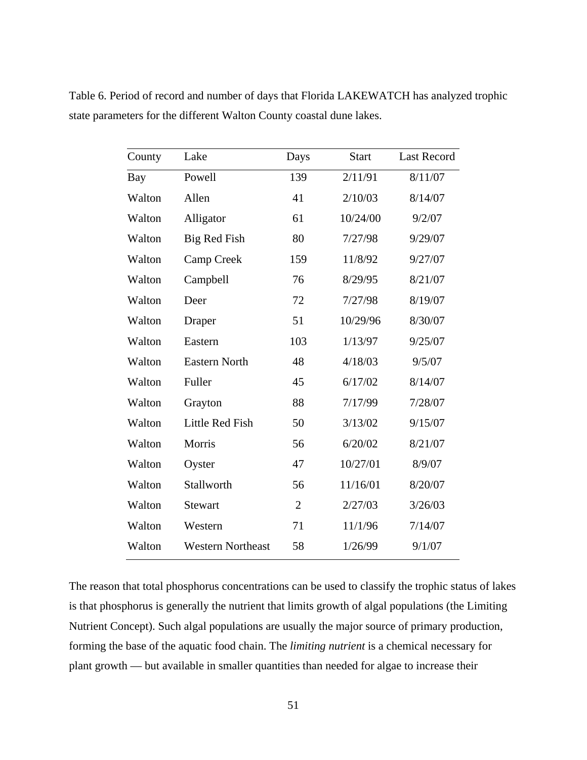| County | Lake                     | Days           | <b>Start</b> | <b>Last Record</b> |
|--------|--------------------------|----------------|--------------|--------------------|
| Bay    | Powell                   | 139            | 2/11/91      | 8/11/07            |
| Walton | Allen                    | 41             | 2/10/03      | 8/14/07            |
| Walton | Alligator                | 61             | 10/24/00     | 9/2/07             |
| Walton | Big Red Fish             | 80             | 7/27/98      | 9/29/07            |
| Walton | Camp Creek               | 159            | 11/8/92      | 9/27/07            |
| Walton | Campbell                 | 76             | 8/29/95      | 8/21/07            |
| Walton | Deer                     | 72             | 7/27/98      | 8/19/07            |
| Walton | Draper                   | 51             | 10/29/96     | 8/30/07            |
| Walton | Eastern                  | 103            | 1/13/97      | 9/25/07            |
| Walton | <b>Eastern North</b>     | 48             | 4/18/03      | 9/5/07             |
| Walton | Fuller                   | 45             | 6/17/02      | 8/14/07            |
| Walton | Grayton                  | 88             | 7/17/99      | 7/28/07            |
| Walton | Little Red Fish          | 50             | 3/13/02      | 9/15/07            |
| Walton | Morris                   | 56             | 6/20/02      | 8/21/07            |
| Walton | Oyster                   | 47             | 10/27/01     | 8/9/07             |
| Walton | Stallworth               | 56             | 11/16/01     | 8/20/07            |
| Walton | <b>Stewart</b>           | $\overline{2}$ | 2/27/03      | 3/26/03            |
| Walton | Western                  | 71             | 11/1/96      | 7/14/07            |
| Walton | <b>Western Northeast</b> | 58             | 1/26/99      | 9/1/07             |

Table 6. Period of record and number of days that Florida LAKEWATCH has analyzed trophic state parameters for the different Walton County coastal dune lakes.

The reason that total phosphorus concentrations can be used to classify the trophic status of lakes is that phosphorus is generally the nutrient that limits growth of algal populations (the Limiting Nutrient Concept). Such algal populations are usually the major source of primary production, forming the base of the aquatic food chain. The *limiting nutrient* is a chemical necessary for plant growth — but available in smaller quantities than needed for algae to increase their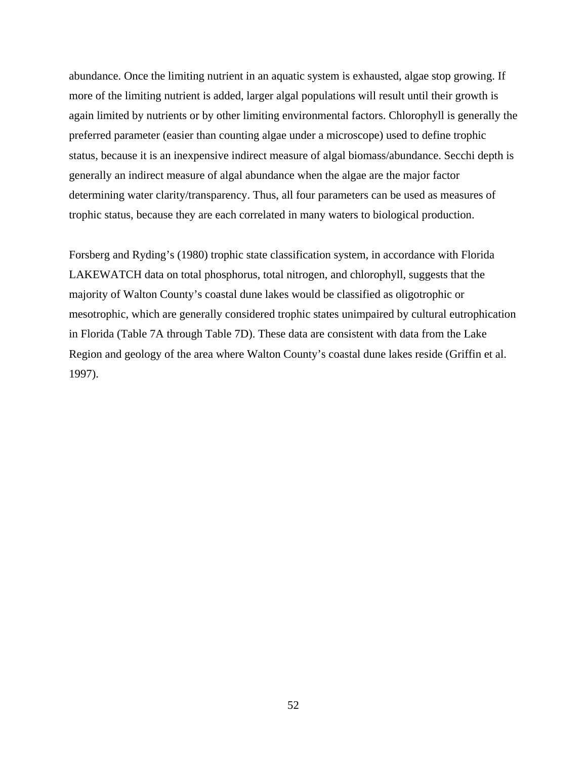abundance. Once the limiting nutrient in an aquatic system is exhausted, algae stop growing. If more of the limiting nutrient is added, larger algal populations will result until their growth is again limited by nutrients or by other limiting environmental factors. Chlorophyll is generally the preferred parameter (easier than counting algae under a microscope) used to define trophic status, because it is an inexpensive indirect measure of algal biomass/abundance. Secchi depth is generally an indirect measure of algal abundance when the algae are the major factor determining water clarity/transparency. Thus, all four parameters can be used as measures of trophic status, because they are each correlated in many waters to biological production.

Forsberg and Ryding's (1980) trophic state classification system, in accordance with Florida LAKEWATCH data on total phosphorus, total nitrogen, and chlorophyll, suggests that the majority of Walton County's coastal dune lakes would be classified as oligotrophic or mesotrophic, which are generally considered trophic states unimpaired by cultural eutrophication in Florida (Table 7A through Table 7D). These data are consistent with data from the Lake Region and geology of the area where Walton County's coastal dune lakes reside (Griffin et al. 1997).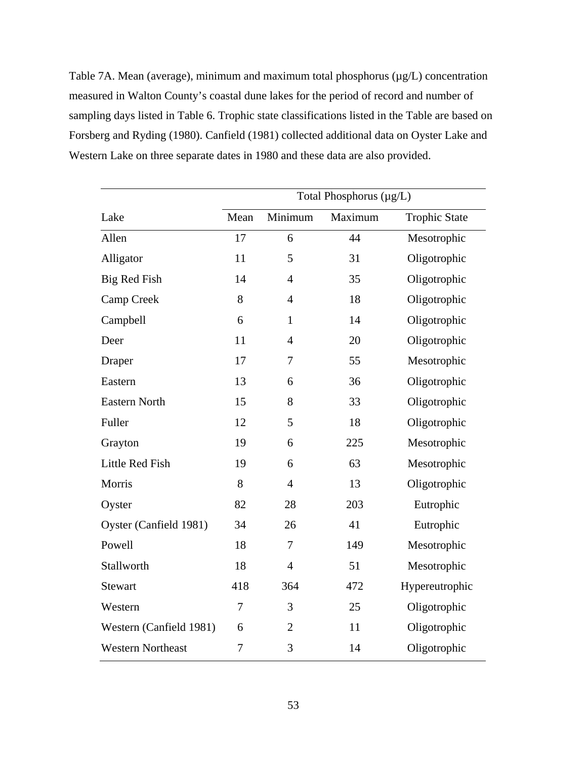Table 7A. Mean (average), minimum and maximum total phosphorus (µg/L) concentration measured in Walton County's coastal dune lakes for the period of record and number of sampling days listed in Table 6. Trophic state classifications listed in the Table are based on Forsberg and Ryding (1980). Canfield (1981) collected additional data on Oyster Lake and Western Lake on three separate dates in 1980 and these data are also provided.

|                          | Total Phosphorus (µg/L) |                |         |                      |  |
|--------------------------|-------------------------|----------------|---------|----------------------|--|
| Lake                     | Mean                    | Minimum        | Maximum | <b>Trophic State</b> |  |
| Allen                    | 17                      | 6              | 44      | Mesotrophic          |  |
| Alligator                | 11                      | 5              | 31      | Oligotrophic         |  |
| <b>Big Red Fish</b>      | 14                      | $\overline{4}$ | 35      | Oligotrophic         |  |
| Camp Creek               | 8                       | $\overline{4}$ | 18      | Oligotrophic         |  |
| Campbell                 | 6                       | $\mathbf{1}$   | 14      | Oligotrophic         |  |
| Deer                     | 11                      | $\overline{4}$ | 20      | Oligotrophic         |  |
| Draper                   | 17                      | 7              | 55      | Mesotrophic          |  |
| Eastern                  | 13                      | 6              | 36      | Oligotrophic         |  |
| <b>Eastern North</b>     | 15                      | 8              | 33      | Oligotrophic         |  |
| Fuller                   | 12                      | 5              | 18      | Oligotrophic         |  |
| Grayton                  | 19                      | 6              | 225     | Mesotrophic          |  |
| Little Red Fish          | 19                      | 6              | 63      | Mesotrophic          |  |
| Morris                   | 8                       | $\overline{4}$ | 13      | Oligotrophic         |  |
| Oyster                   | 82                      | 28             | 203     | Eutrophic            |  |
| Oyster (Canfield 1981)   | 34                      | 26             | 41      | Eutrophic            |  |
| Powell                   | 18                      | $\overline{7}$ | 149     | Mesotrophic          |  |
| Stallworth               | 18                      | $\overline{4}$ | 51      | Mesotrophic          |  |
| Stewart                  | 418                     | 364            | 472     | Hypereutrophic       |  |
| Western                  | $\tau$                  | 3              | 25      | Oligotrophic         |  |
| Western (Canfield 1981)  | 6                       | $\overline{2}$ | 11      | Oligotrophic         |  |
| <b>Western Northeast</b> | 7                       | 3              | 14      | Oligotrophic         |  |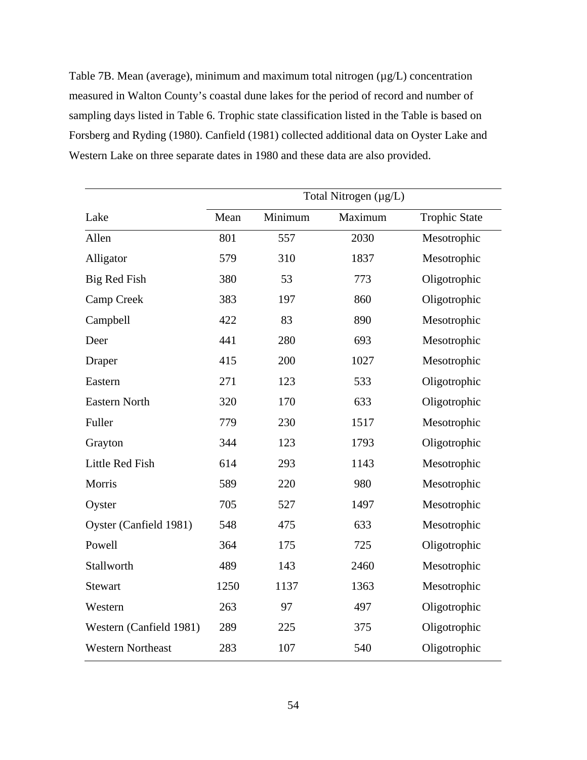Table 7B. Mean (average), minimum and maximum total nitrogen (µg/L) concentration measured in Walton County's coastal dune lakes for the period of record and number of sampling days listed in Table 6. Trophic state classification listed in the Table is based on Forsberg and Ryding (1980). Canfield (1981) collected additional data on Oyster Lake and Western Lake on three separate dates in 1980 and these data are also provided.

|                          | Total Nitrogen (µg/L) |         |         |                      |  |
|--------------------------|-----------------------|---------|---------|----------------------|--|
| Lake                     | Mean                  | Minimum | Maximum | <b>Trophic State</b> |  |
| Allen                    | 801                   | 557     | 2030    | Mesotrophic          |  |
| Alligator                | 579                   | 310     | 1837    | Mesotrophic          |  |
| <b>Big Red Fish</b>      | 380                   | 53      | 773     | Oligotrophic         |  |
| Camp Creek               | 383                   | 197     | 860     | Oligotrophic         |  |
| Campbell                 | 422                   | 83      | 890     | Mesotrophic          |  |
| Deer                     | 441                   | 280     | 693     | Mesotrophic          |  |
| Draper                   | 415                   | 200     | 1027    | Mesotrophic          |  |
| Eastern                  | 271                   | 123     | 533     | Oligotrophic         |  |
| <b>Eastern North</b>     | 320                   | 170     | 633     | Oligotrophic         |  |
| Fuller                   | 779                   | 230     | 1517    | Mesotrophic          |  |
| Grayton                  | 344                   | 123     | 1793    | Oligotrophic         |  |
| Little Red Fish          | 614                   | 293     | 1143    | Mesotrophic          |  |
| Morris                   | 589                   | 220     | 980     | Mesotrophic          |  |
| Oyster                   | 705                   | 527     | 1497    | Mesotrophic          |  |
| Oyster (Canfield 1981)   | 548                   | 475     | 633     | Mesotrophic          |  |
| Powell                   | 364                   | 175     | 725     | Oligotrophic         |  |
| Stallworth               | 489                   | 143     | 2460    | Mesotrophic          |  |
| Stewart                  | 1250                  | 1137    | 1363    | Mesotrophic          |  |
| Western                  | 263                   | 97      | 497     | Oligotrophic         |  |
| Western (Canfield 1981)  | 289                   | 225     | 375     | Oligotrophic         |  |
| <b>Western Northeast</b> | 283                   | 107     | 540     | Oligotrophic         |  |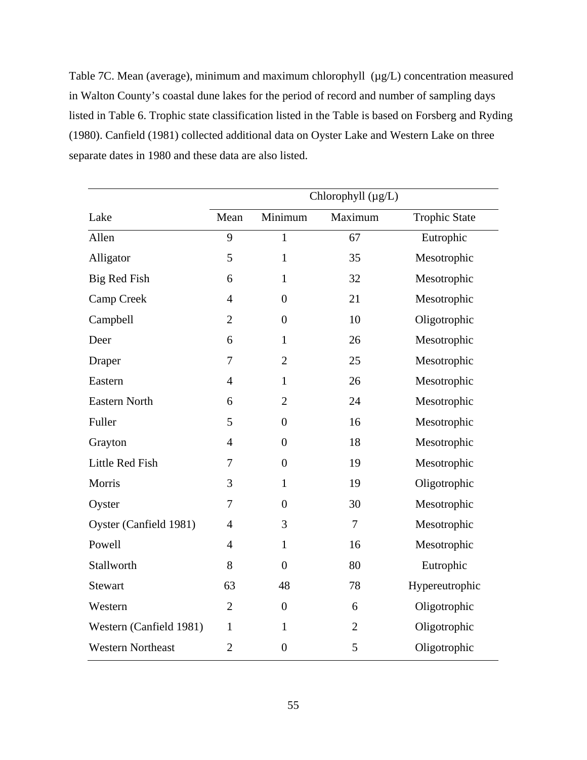Table 7C. Mean (average), minimum and maximum chlorophyll (µg/L) concentration measured in Walton County's coastal dune lakes for the period of record and number of sampling days listed in Table 6. Trophic state classification listed in the Table is based on Forsberg and Ryding (1980). Canfield (1981) collected additional data on Oyster Lake and Western Lake on three separate dates in 1980 and these data are also listed.

| Chlorophyll (µg/L) |                  |                |                      |  |
|--------------------|------------------|----------------|----------------------|--|
| Mean               | Minimum          | Maximum        | <b>Trophic State</b> |  |
| 9                  | $\mathbf{1}$     | 67             | Eutrophic            |  |
| 5                  | $\mathbf{1}$     | 35             | Mesotrophic          |  |
| 6                  | $\mathbf{1}$     | 32             | Mesotrophic          |  |
| $\overline{4}$     | $\overline{0}$   | 21             | Mesotrophic          |  |
| $\overline{2}$     | $\boldsymbol{0}$ | 10             | Oligotrophic         |  |
| 6                  | $\mathbf{1}$     | 26             | Mesotrophic          |  |
| 7                  | $\overline{2}$   | 25             | Mesotrophic          |  |
| $\overline{4}$     | $\mathbf{1}$     | 26             | Mesotrophic          |  |
| 6                  | $\overline{2}$   | 24             | Mesotrophic          |  |
| 5                  | $\overline{0}$   | 16             | Mesotrophic          |  |
| $\overline{4}$     | $\overline{0}$   | 18             | Mesotrophic          |  |
| 7                  | $\overline{0}$   | 19             | Mesotrophic          |  |
| 3                  | $\mathbf{1}$     | 19             | Oligotrophic         |  |
| 7                  | $\boldsymbol{0}$ | 30             | Mesotrophic          |  |
| $\overline{4}$     | 3                | 7              | Mesotrophic          |  |
| $\overline{4}$     | $\mathbf{1}$     | 16             | Mesotrophic          |  |
| 8                  | $\overline{0}$   | 80             | Eutrophic            |  |
| 63                 | 48               | 78             | Hypereutrophic       |  |
| $\overline{2}$     | $\boldsymbol{0}$ | 6              | Oligotrophic         |  |
| 1                  | 1                | $\overline{2}$ | Oligotrophic         |  |
| $\overline{2}$     | $\overline{0}$   | 5              | Oligotrophic         |  |
|                    |                  |                |                      |  |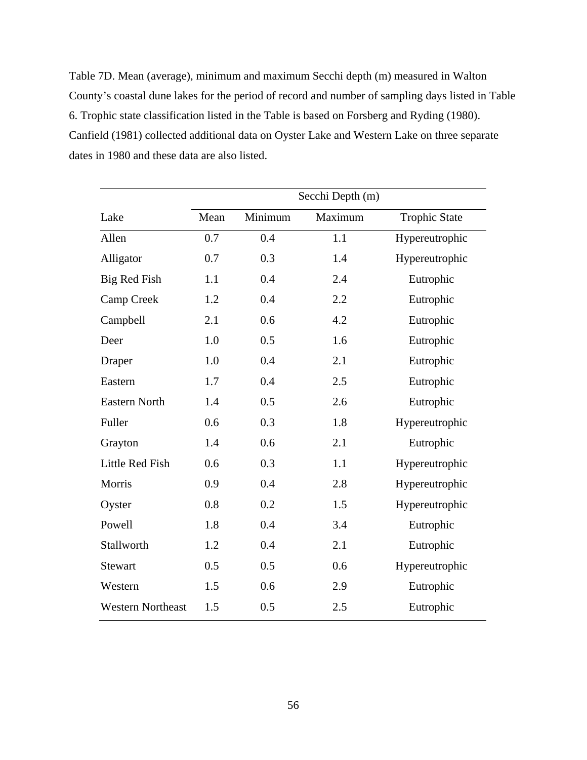Table 7D. Mean (average), minimum and maximum Secchi depth (m) measured in Walton County's coastal dune lakes for the period of record and number of sampling days listed in Table 6. Trophic state classification listed in the Table is based on Forsberg and Ryding (1980). Canfield (1981) collected additional data on Oyster Lake and Western Lake on three separate dates in 1980 and these data are also listed.

|                          | Secchi Depth (m) |         |         |                      |  |
|--------------------------|------------------|---------|---------|----------------------|--|
| Lake                     | Mean             | Minimum | Maximum | <b>Trophic State</b> |  |
| Allen                    | 0.7              | 0.4     | 1.1     | Hypereutrophic       |  |
| Alligator                | 0.7              | 0.3     | 1.4     | Hypereutrophic       |  |
| <b>Big Red Fish</b>      | 1.1              | 0.4     | 2.4     | Eutrophic            |  |
| <b>Camp Creek</b>        | 1.2              | 0.4     | 2.2     | Eutrophic            |  |
| Campbell                 | 2.1              | 0.6     | 4.2     | Eutrophic            |  |
| Deer                     | 1.0              | 0.5     | 1.6     | Eutrophic            |  |
| Draper                   | 1.0              | 0.4     | 2.1     | Eutrophic            |  |
| Eastern                  | 1.7              | 0.4     | 2.5     | Eutrophic            |  |
| <b>Eastern North</b>     | 1.4              | 0.5     | 2.6     | Eutrophic            |  |
| Fuller                   | 0.6              | 0.3     | 1.8     | Hypereutrophic       |  |
| Grayton                  | 1.4              | 0.6     | 2.1     | Eutrophic            |  |
| Little Red Fish          | 0.6              | 0.3     | 1.1     | Hypereutrophic       |  |
| Morris                   | 0.9              | 0.4     | 2.8     | Hypereutrophic       |  |
| Oyster                   | 0.8              | 0.2     | 1.5     | Hypereutrophic       |  |
| Powell                   | 1.8              | 0.4     | 3.4     | Eutrophic            |  |
| Stallworth               | 1.2              | 0.4     | 2.1     | Eutrophic            |  |
| <b>Stewart</b>           | 0.5              | 0.5     | 0.6     | Hypereutrophic       |  |
| Western                  | 1.5              | 0.6     | 2.9     | Eutrophic            |  |
| <b>Western Northeast</b> | 1.5              | 0.5     | 2.5     | Eutrophic            |  |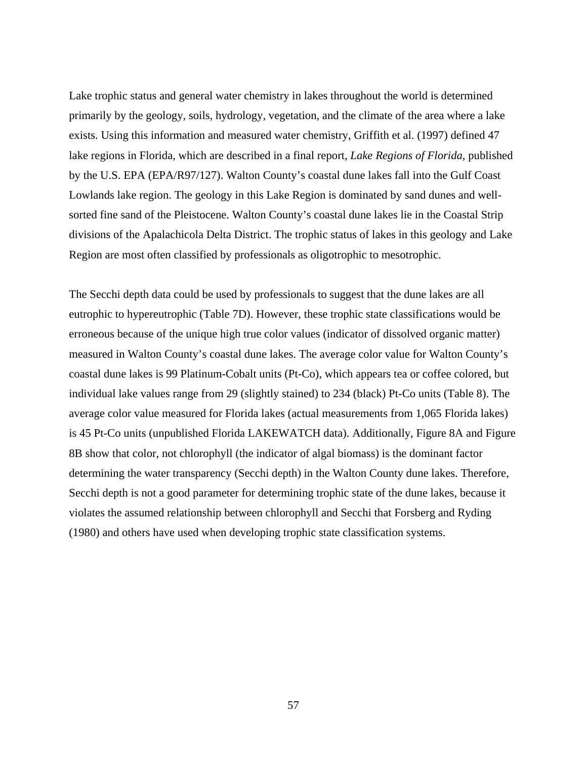Lake trophic status and general water chemistry in lakes throughout the world is determined primarily by the geology, soils, hydrology, vegetation, and the climate of the area where a lake exists. Using this information and measured water chemistry, Griffith et al. (1997) defined 47 lake regions in Florida, which are described in a final report, *Lake Regions of Florida*, published by the U.S. EPA (EPA/R97/127). Walton County's coastal dune lakes fall into the Gulf Coast Lowlands lake region. The geology in this Lake Region is dominated by sand dunes and wellsorted fine sand of the Pleistocene. Walton County's coastal dune lakes lie in the Coastal Strip divisions of the Apalachicola Delta District. The trophic status of lakes in this geology and Lake Region are most often classified by professionals as oligotrophic to mesotrophic.

The Secchi depth data could be used by professionals to suggest that the dune lakes are all eutrophic to hypereutrophic (Table 7D). However, these trophic state classifications would be erroneous because of the unique high true color values (indicator of dissolved organic matter) measured in Walton County's coastal dune lakes. The average color value for Walton County's coastal dune lakes is 99 Platinum-Cobalt units (Pt-Co), which appears tea or coffee colored, but individual lake values range from 29 (slightly stained) to 234 (black) Pt-Co units (Table 8). The average color value measured for Florida lakes (actual measurements from 1,065 Florida lakes) is 45 Pt-Co units (unpublished Florida LAKEWATCH data). Additionally, Figure 8A and Figure 8B show that color, not chlorophyll (the indicator of algal biomass) is the dominant factor determining the water transparency (Secchi depth) in the Walton County dune lakes. Therefore, Secchi depth is not a good parameter for determining trophic state of the dune lakes, because it violates the assumed relationship between chlorophyll and Secchi that Forsberg and Ryding (1980) and others have used when developing trophic state classification systems.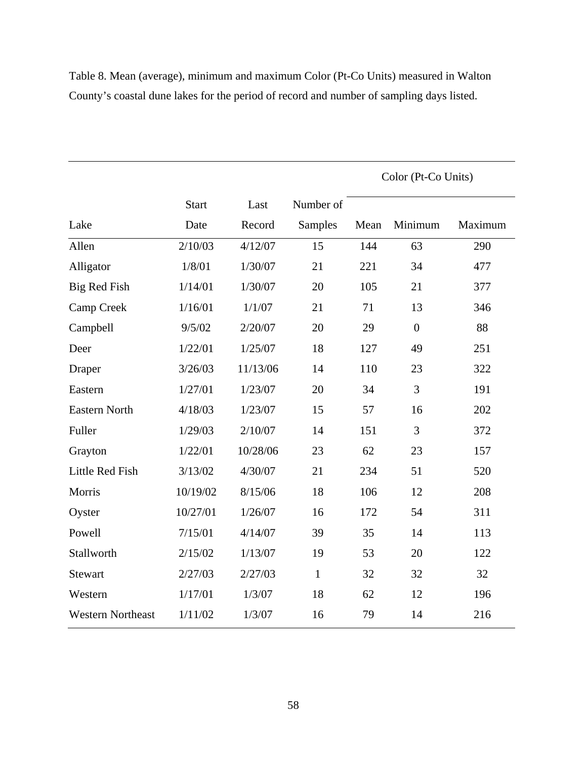|                          |              |          |              | Color (Pt-Co Units) |              |         |
|--------------------------|--------------|----------|--------------|---------------------|--------------|---------|
|                          | <b>Start</b> | Last     | Number of    |                     |              |         |
| Lake                     | Date         | Record   | Samples      | Mean                | Minimum      | Maximum |
| Allen                    | 2/10/03      | 4/12/07  | 15           | 144                 | 63           | 290     |
| Alligator                | 1/8/01       | 1/30/07  | 21           | 221                 | 34           | 477     |
| <b>Big Red Fish</b>      | 1/14/01      | 1/30/07  | 20           | 105                 | 21           | 377     |
| Camp Creek               | 1/16/01      | 1/1/07   | 21           | 71                  | 13           | 346     |
| Campbell                 | 9/5/02       | 2/20/07  | 20           | 29                  | $\mathbf{0}$ | 88      |
| Deer                     | 1/22/01      | 1/25/07  | 18           | 127                 | 49           | 251     |
| Draper                   | 3/26/03      | 11/13/06 | 14           | 110                 | 23           | 322     |
| Eastern                  | 1/27/01      | 1/23/07  | 20           | 34                  | 3            | 191     |
| <b>Eastern North</b>     | 4/18/03      | 1/23/07  | 15           | 57                  | 16           | 202     |
| Fuller                   | 1/29/03      | 2/10/07  | 14           | 151                 | 3            | 372     |
| Grayton                  | 1/22/01      | 10/28/06 | 23           | 62                  | 23           | 157     |
| Little Red Fish          | 3/13/02      | 4/30/07  | 21           | 234                 | 51           | 520     |
| Morris                   | 10/19/02     | 8/15/06  | 18           | 106                 | 12           | 208     |
| Oyster                   | 10/27/01     | 1/26/07  | 16           | 172                 | 54           | 311     |
| Powell                   | 7/15/01      | 4/14/07  | 39           | 35                  | 14           | 113     |
| Stallworth               | 2/15/02      | 1/13/07  | 19           | 53                  | 20           | 122     |
| <b>Stewart</b>           | 2/27/03      | 2/27/03  | $\mathbf{1}$ | 32                  | 32           | 32      |
| Western                  | 1/17/01      | 1/3/07   | 18           | 62                  | 12           | 196     |
| <b>Western Northeast</b> | 1/11/02      | 1/3/07   | 16           | 79                  | 14           | 216     |

Table 8. Mean (average), minimum and maximum Color (Pt-Co Units) measured in Walton County's coastal dune lakes for the period of record and number of sampling days listed.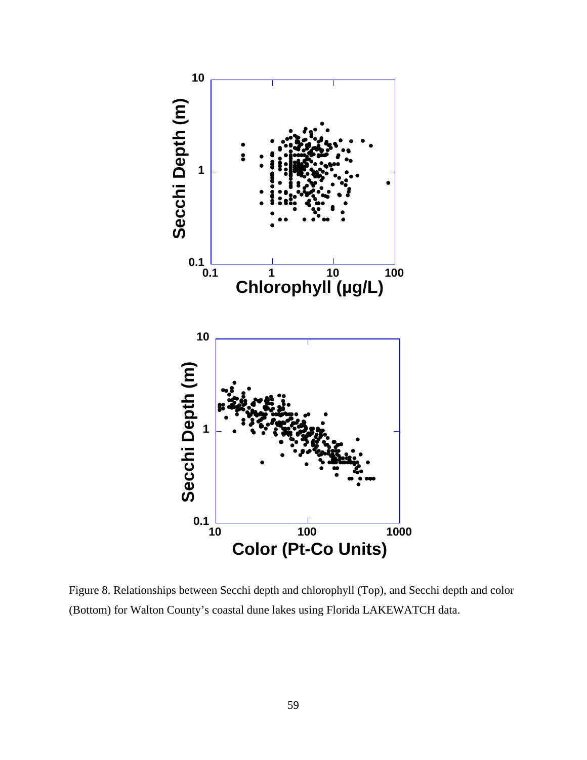

Figure 8. Relationships between Secchi depth and chlorophyll (Top), and Secchi depth and color (Bottom) for Walton County's coastal dune lakes using Florida LAKEWATCH data.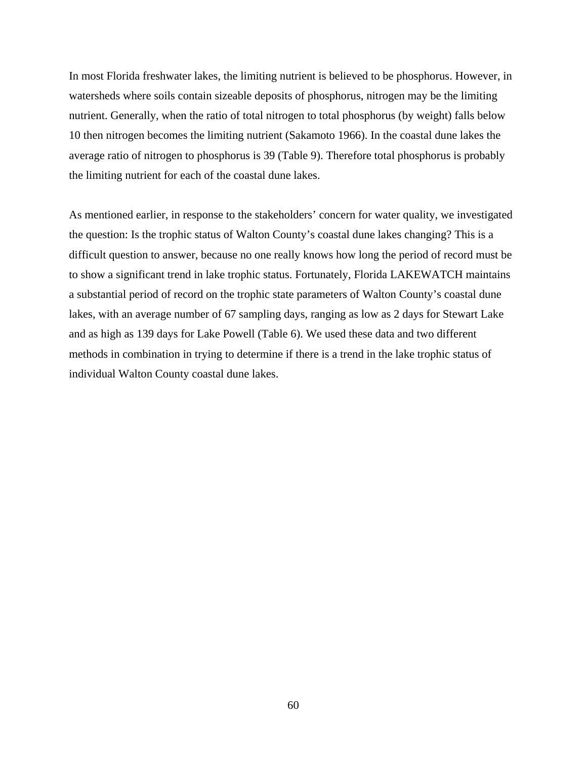In most Florida freshwater lakes, the limiting nutrient is believed to be phosphorus. However, in watersheds where soils contain sizeable deposits of phosphorus, nitrogen may be the limiting nutrient. Generally, when the ratio of total nitrogen to total phosphorus (by weight) falls below 10 then nitrogen becomes the limiting nutrient (Sakamoto 1966). In the coastal dune lakes the average ratio of nitrogen to phosphorus is 39 (Table 9). Therefore total phosphorus is probably the limiting nutrient for each of the coastal dune lakes.

As mentioned earlier, in response to the stakeholders' concern for water quality, we investigated the question: Is the trophic status of Walton County's coastal dune lakes changing? This is a difficult question to answer, because no one really knows how long the period of record must be to show a significant trend in lake trophic status. Fortunately, Florida LAKEWATCH maintains a substantial period of record on the trophic state parameters of Walton County's coastal dune lakes, with an average number of 67 sampling days, ranging as low as 2 days for Stewart Lake and as high as 139 days for Lake Powell (Table 6). We used these data and two different methods in combination in trying to determine if there is a trend in the lake trophic status of individual Walton County coastal dune lakes.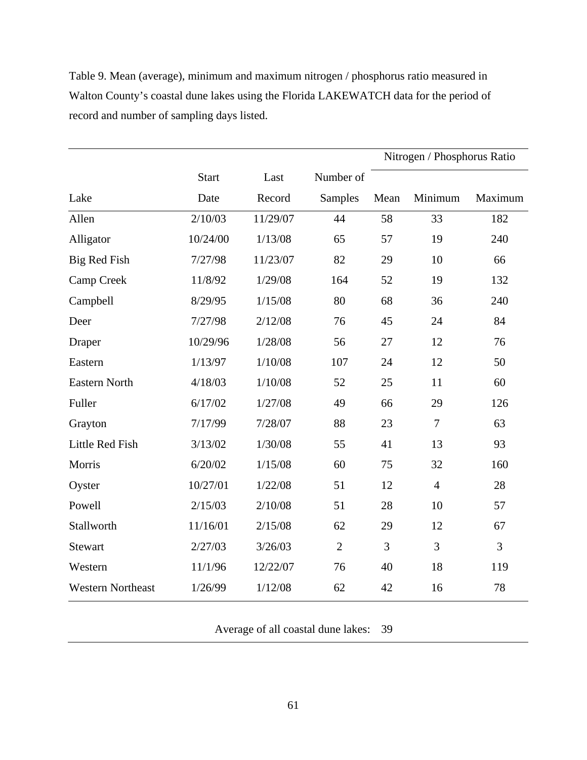|                          |              |          |                |      | Nitrogen / Phosphorus Ratio |         |
|--------------------------|--------------|----------|----------------|------|-----------------------------|---------|
|                          | <b>Start</b> | Last     | Number of      |      |                             |         |
| Lake                     | Date         | Record   | Samples        | Mean | Minimum                     | Maximum |
| Allen                    | 2/10/03      | 11/29/07 | 44             | 58   | 33                          | 182     |
| Alligator                | 10/24/00     | 1/13/08  | 65             | 57   | 19                          | 240     |
| <b>Big Red Fish</b>      | 7/27/98      | 11/23/07 | 82             | 29   | 10                          | 66      |
| Camp Creek               | 11/8/92      | 1/29/08  | 164            | 52   | 19                          | 132     |
| Campbell                 | 8/29/95      | 1/15/08  | 80             | 68   | 36                          | 240     |
| Deer                     | 7/27/98      | 2/12/08  | 76             | 45   | 24                          | 84      |
| Draper                   | 10/29/96     | 1/28/08  | 56             | 27   | 12                          | 76      |
| Eastern                  | 1/13/97      | 1/10/08  | 107            | 24   | 12                          | 50      |
| <b>Eastern North</b>     | 4/18/03      | 1/10/08  | 52             | 25   | 11                          | 60      |
| Fuller                   | 6/17/02      | 1/27/08  | 49             | 66   | 29                          | 126     |
| Grayton                  | 7/17/99      | 7/28/07  | 88             | 23   | $\tau$                      | 63      |
| Little Red Fish          | 3/13/02      | 1/30/08  | 55             | 41   | 13                          | 93      |
| Morris                   | 6/20/02      | 1/15/08  | 60             | 75   | 32                          | 160     |
| Oyster                   | 10/27/01     | 1/22/08  | 51             | 12   | $\overline{4}$              | 28      |
| Powell                   | 2/15/03      | 2/10/08  | 51             | 28   | 10                          | 57      |
| Stallworth               | 11/16/01     | 2/15/08  | 62             | 29   | 12                          | 67      |
| Stewart                  | 2/27/03      | 3/26/03  | $\overline{2}$ | 3    | $\overline{3}$              | 3       |
| Western                  | 11/1/96      | 12/22/07 | 76             | 40   | 18                          | 119     |
| <b>Western Northeast</b> | 1/26/99      | 1/12/08  | 62             | 42   | 16                          | 78      |

Table 9. Mean (average), minimum and maximum nitrogen / phosphorus ratio measured in Walton County's coastal dune lakes using the Florida LAKEWATCH data for the period of record and number of sampling days listed.

Average of all coastal dune lakes: 39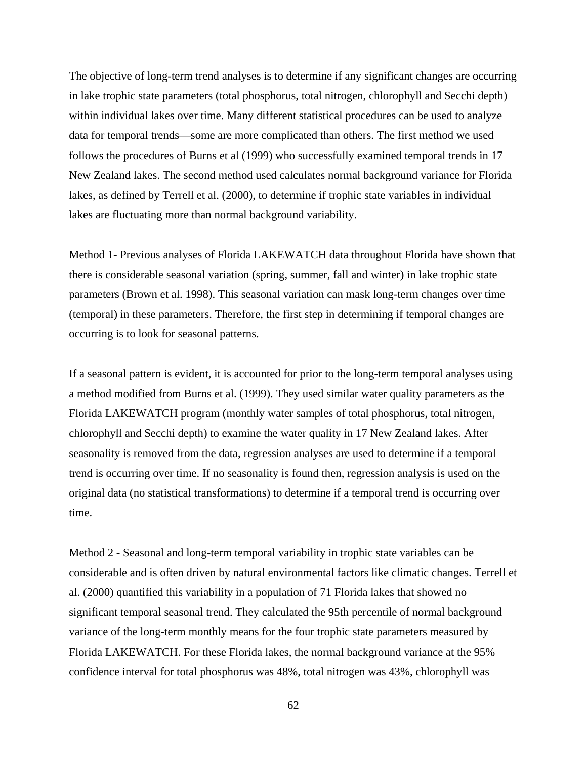The objective of long-term trend analyses is to determine if any significant changes are occurring in lake trophic state parameters (total phosphorus, total nitrogen, chlorophyll and Secchi depth) within individual lakes over time. Many different statistical procedures can be used to analyze data for temporal trends—some are more complicated than others. The first method we used follows the procedures of Burns et al (1999) who successfully examined temporal trends in 17 New Zealand lakes. The second method used calculates normal background variance for Florida lakes, as defined by Terrell et al. (2000), to determine if trophic state variables in individual lakes are fluctuating more than normal background variability.

Method 1- Previous analyses of Florida LAKEWATCH data throughout Florida have shown that there is considerable seasonal variation (spring, summer, fall and winter) in lake trophic state parameters (Brown et al. 1998). This seasonal variation can mask long-term changes over time (temporal) in these parameters. Therefore, the first step in determining if temporal changes are occurring is to look for seasonal patterns.

If a seasonal pattern is evident, it is accounted for prior to the long-term temporal analyses using a method modified from Burns et al. (1999). They used similar water quality parameters as the Florida LAKEWATCH program (monthly water samples of total phosphorus, total nitrogen, chlorophyll and Secchi depth) to examine the water quality in 17 New Zealand lakes. After seasonality is removed from the data, regression analyses are used to determine if a temporal trend is occurring over time. If no seasonality is found then, regression analysis is used on the original data (no statistical transformations) to determine if a temporal trend is occurring over time.

Method 2 - Seasonal and long-term temporal variability in trophic state variables can be considerable and is often driven by natural environmental factors like climatic changes. Terrell et al. (2000) quantified this variability in a population of 71 Florida lakes that showed no significant temporal seasonal trend. They calculated the 95th percentile of normal background variance of the long-term monthly means for the four trophic state parameters measured by Florida LAKEWATCH. For these Florida lakes, the normal background variance at the 95% confidence interval for total phosphorus was 48%, total nitrogen was 43%, chlorophyll was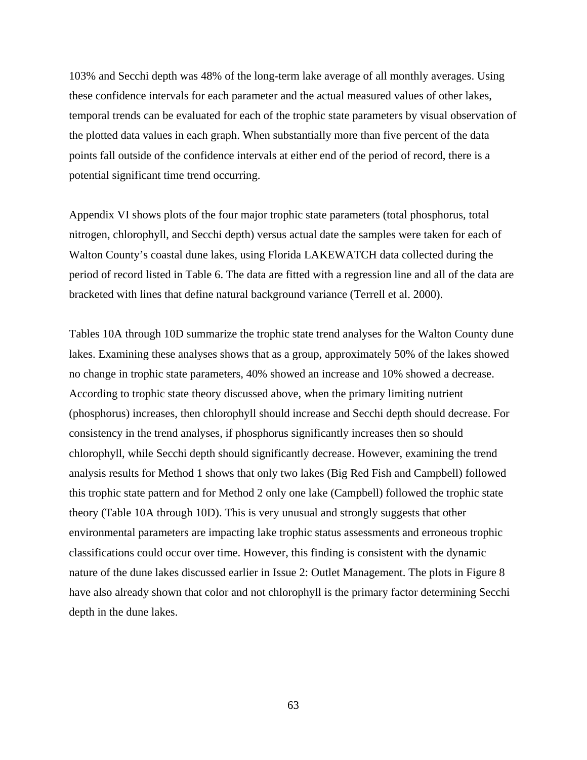103% and Secchi depth was 48% of the long-term lake average of all monthly averages. Using these confidence intervals for each parameter and the actual measured values of other lakes, temporal trends can be evaluated for each of the trophic state parameters by visual observation of the plotted data values in each graph. When substantially more than five percent of the data points fall outside of the confidence intervals at either end of the period of record, there is a potential significant time trend occurring.

Appendix VI shows plots of the four major trophic state parameters (total phosphorus, total nitrogen, chlorophyll, and Secchi depth) versus actual date the samples were taken for each of Walton County's coastal dune lakes, using Florida LAKEWATCH data collected during the period of record listed in Table 6. The data are fitted with a regression line and all of the data are bracketed with lines that define natural background variance (Terrell et al. 2000).

Tables 10A through 10D summarize the trophic state trend analyses for the Walton County dune lakes. Examining these analyses shows that as a group, approximately 50% of the lakes showed no change in trophic state parameters, 40% showed an increase and 10% showed a decrease. According to trophic state theory discussed above, when the primary limiting nutrient (phosphorus) increases, then chlorophyll should increase and Secchi depth should decrease. For consistency in the trend analyses, if phosphorus significantly increases then so should chlorophyll, while Secchi depth should significantly decrease. However, examining the trend analysis results for Method 1 shows that only two lakes (Big Red Fish and Campbell) followed this trophic state pattern and for Method 2 only one lake (Campbell) followed the trophic state theory (Table 10A through 10D). This is very unusual and strongly suggests that other environmental parameters are impacting lake trophic status assessments and erroneous trophic classifications could occur over time. However, this finding is consistent with the dynamic nature of the dune lakes discussed earlier in Issue 2: Outlet Management. The plots in Figure 8 have also already shown that color and not chlorophyll is the primary factor determining Secchi depth in the dune lakes.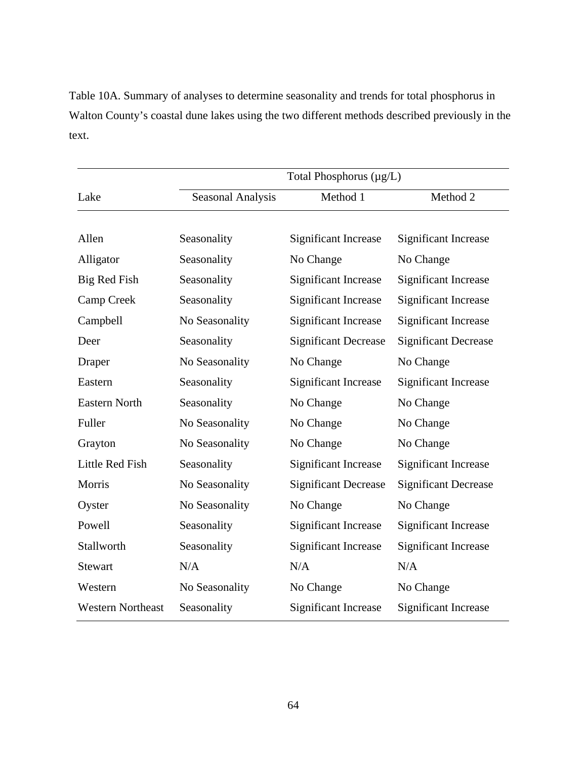Table 10A. Summary of analyses to determine seasonality and trends for total phosphorus in Walton County's coastal dune lakes using the two different methods described previously in the text.

|                          | Total Phosphorus (µg/L) |                             |                             |  |  |
|--------------------------|-------------------------|-----------------------------|-----------------------------|--|--|
| Lake                     | Seasonal Analysis       | Method 1                    | Method 2                    |  |  |
|                          |                         |                             |                             |  |  |
| Allen                    | Seasonality             | <b>Significant Increase</b> | <b>Significant Increase</b> |  |  |
| Alligator                | Seasonality             | No Change                   | No Change                   |  |  |
| Big Red Fish             | Seasonality             | <b>Significant Increase</b> | <b>Significant Increase</b> |  |  |
| Camp Creek               | Seasonality             | <b>Significant Increase</b> | <b>Significant Increase</b> |  |  |
| Campbell                 | No Seasonality          | <b>Significant Increase</b> | <b>Significant Increase</b> |  |  |
| Deer                     | Seasonality             | <b>Significant Decrease</b> | <b>Significant Decrease</b> |  |  |
| Draper                   | No Seasonality          | No Change                   | No Change                   |  |  |
| Eastern                  | Seasonality             | <b>Significant Increase</b> | <b>Significant Increase</b> |  |  |
| <b>Eastern North</b>     | Seasonality             | No Change                   | No Change                   |  |  |
| Fuller                   | No Seasonality          | No Change                   | No Change                   |  |  |
| Grayton                  | No Seasonality          | No Change                   | No Change                   |  |  |
| Little Red Fish          | Seasonality             | <b>Significant Increase</b> | <b>Significant Increase</b> |  |  |
| Morris                   | No Seasonality          | <b>Significant Decrease</b> | <b>Significant Decrease</b> |  |  |
| Oyster                   | No Seasonality          | No Change                   | No Change                   |  |  |
| Powell                   | Seasonality             | <b>Significant Increase</b> | <b>Significant Increase</b> |  |  |
| Stallworth               | Seasonality             | <b>Significant Increase</b> | <b>Significant Increase</b> |  |  |
| Stewart                  | N/A                     | N/A                         | N/A                         |  |  |
| Western                  | No Seasonality          | No Change                   | No Change                   |  |  |
| <b>Western Northeast</b> | Seasonality             | <b>Significant Increase</b> | <b>Significant Increase</b> |  |  |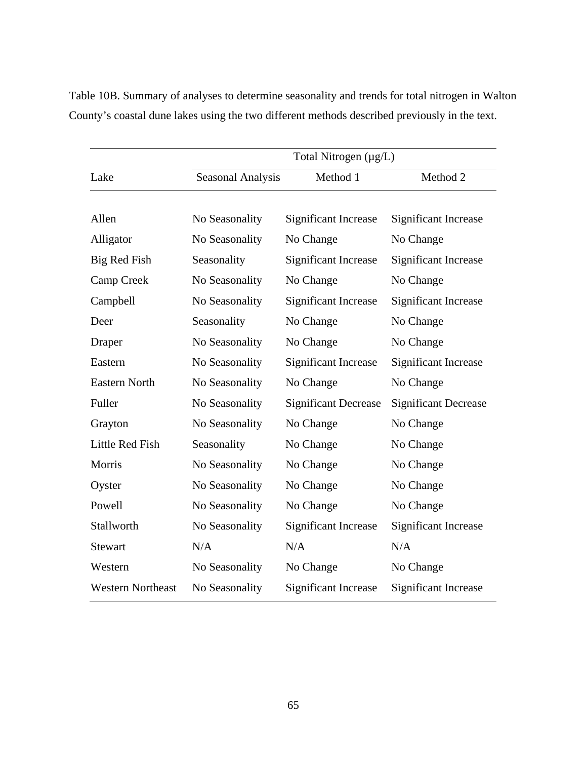|                          | Total Nitrogen (µg/L)    |                             |                             |  |  |
|--------------------------|--------------------------|-----------------------------|-----------------------------|--|--|
| Lake                     | <b>Seasonal Analysis</b> | Method 1                    | Method 2                    |  |  |
|                          |                          |                             |                             |  |  |
| Allen                    | No Seasonality           | <b>Significant Increase</b> | <b>Significant Increase</b> |  |  |
| Alligator                | No Seasonality           | No Change                   | No Change                   |  |  |
| <b>Big Red Fish</b>      | Seasonality              | <b>Significant Increase</b> | <b>Significant Increase</b> |  |  |
| Camp Creek               | No Seasonality           | No Change                   | No Change                   |  |  |
| Campbell                 | No Seasonality           | <b>Significant Increase</b> | <b>Significant Increase</b> |  |  |
| Deer                     | Seasonality              | No Change                   | No Change                   |  |  |
| Draper                   | No Seasonality           | No Change                   | No Change                   |  |  |
| Eastern                  | No Seasonality           | <b>Significant Increase</b> | <b>Significant Increase</b> |  |  |
| <b>Eastern North</b>     | No Seasonality           | No Change                   | No Change                   |  |  |
| Fuller                   | No Seasonality           | <b>Significant Decrease</b> | <b>Significant Decrease</b> |  |  |
| Grayton                  | No Seasonality           | No Change                   | No Change                   |  |  |
| Little Red Fish          | Seasonality              | No Change                   | No Change                   |  |  |
| Morris                   | No Seasonality           | No Change                   | No Change                   |  |  |
| Oyster                   | No Seasonality           | No Change                   | No Change                   |  |  |
| Powell                   | No Seasonality           | No Change                   | No Change                   |  |  |
| Stallworth               | No Seasonality           | <b>Significant Increase</b> | <b>Significant Increase</b> |  |  |
| <b>Stewart</b>           | N/A                      | N/A                         | N/A                         |  |  |
| Western                  | No Seasonality           | No Change                   | No Change                   |  |  |
| <b>Western Northeast</b> | No Seasonality           | <b>Significant Increase</b> | <b>Significant Increase</b> |  |  |

Table 10B. Summary of analyses to determine seasonality and trends for total nitrogen in Walton County's coastal dune lakes using the two different methods described previously in the text.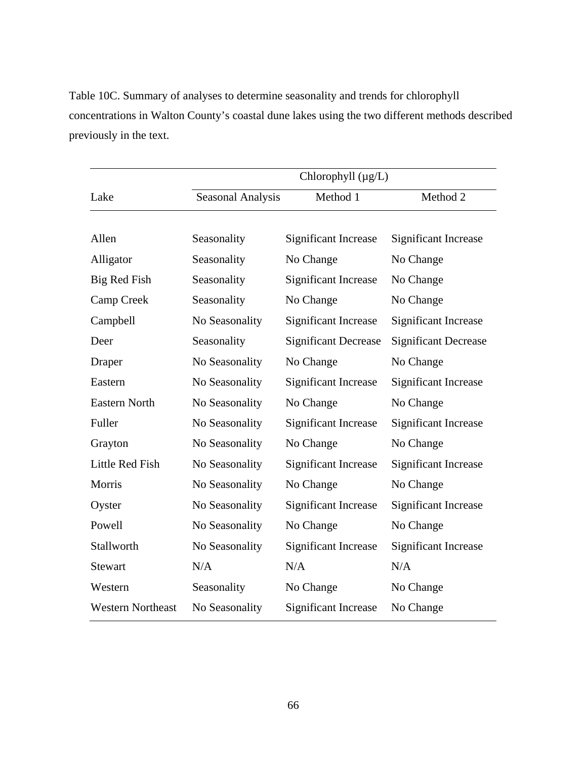Table 10C. Summary of analyses to determine seasonality and trends for chlorophyll concentrations in Walton County's coastal dune lakes using the two different methods described previously in the text.

|                          | Chlorophyll $(\mu g/L)$  |                             |                             |  |
|--------------------------|--------------------------|-----------------------------|-----------------------------|--|
| Lake                     | <b>Seasonal Analysis</b> | Method 1                    | Method 2                    |  |
|                          |                          |                             |                             |  |
| Allen                    | Seasonality              | <b>Significant Increase</b> | <b>Significant Increase</b> |  |
| Alligator                | Seasonality              | No Change                   | No Change                   |  |
| Big Red Fish             | Seasonality              | <b>Significant Increase</b> | No Change                   |  |
| Camp Creek               | Seasonality              | No Change                   | No Change                   |  |
| Campbell                 | No Seasonality           | <b>Significant Increase</b> | <b>Significant Increase</b> |  |
| Deer                     | Seasonality              | <b>Significant Decrease</b> | <b>Significant Decrease</b> |  |
| Draper                   | No Seasonality           | No Change                   | No Change                   |  |
| Eastern                  | No Seasonality           | <b>Significant Increase</b> | <b>Significant Increase</b> |  |
| <b>Eastern North</b>     | No Seasonality           | No Change                   | No Change                   |  |
| Fuller                   | No Seasonality           | <b>Significant Increase</b> | <b>Significant Increase</b> |  |
| Grayton                  | No Seasonality           | No Change                   | No Change                   |  |
| Little Red Fish          | No Seasonality           | <b>Significant Increase</b> | <b>Significant Increase</b> |  |
| Morris                   | No Seasonality           | No Change                   | No Change                   |  |
| Oyster                   | No Seasonality           | <b>Significant Increase</b> | <b>Significant Increase</b> |  |
| Powell                   | No Seasonality           | No Change                   | No Change                   |  |
| Stallworth               | No Seasonality           | <b>Significant Increase</b> | <b>Significant Increase</b> |  |
| <b>Stewart</b>           | N/A                      | N/A                         | N/A                         |  |
| Western                  | Seasonality              | No Change                   | No Change                   |  |
| <b>Western Northeast</b> | No Seasonality           | <b>Significant Increase</b> | No Change                   |  |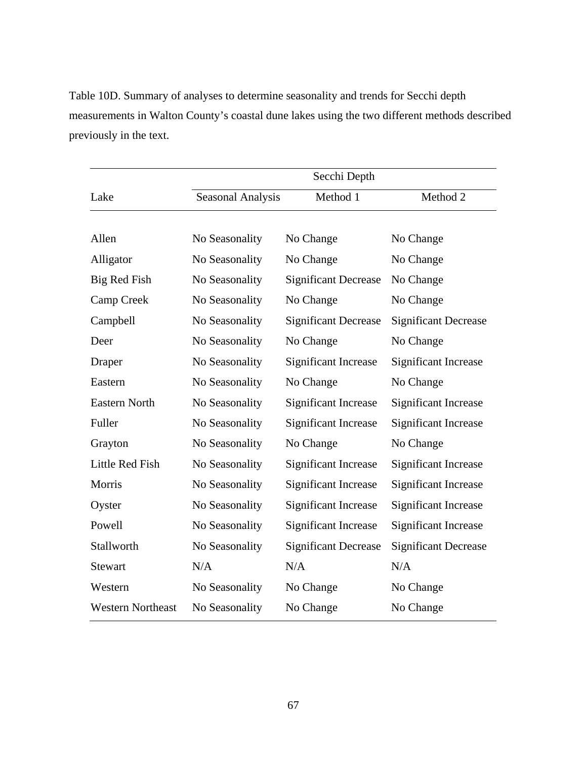Table 10D. Summary of analyses to determine seasonality and trends for Secchi depth measurements in Walton County's coastal dune lakes using the two different methods described previously in the text.

|                          | Secchi Depth             |                             |                             |  |
|--------------------------|--------------------------|-----------------------------|-----------------------------|--|
| Lake                     | <b>Seasonal Analysis</b> | Method 1                    | Method 2                    |  |
|                          |                          |                             |                             |  |
| Allen                    | No Seasonality           | No Change                   | No Change                   |  |
| Alligator                | No Seasonality           | No Change                   | No Change                   |  |
| Big Red Fish             | No Seasonality           | <b>Significant Decrease</b> | No Change                   |  |
| Camp Creek               | No Seasonality           | No Change                   | No Change                   |  |
| Campbell                 | No Seasonality           | <b>Significant Decrease</b> | <b>Significant Decrease</b> |  |
| Deer                     | No Seasonality           | No Change                   | No Change                   |  |
| Draper                   | No Seasonality           | <b>Significant Increase</b> | <b>Significant Increase</b> |  |
| Eastern                  | No Seasonality           | No Change                   | No Change                   |  |
| <b>Eastern North</b>     | No Seasonality           | <b>Significant Increase</b> | <b>Significant Increase</b> |  |
| Fuller                   | No Seasonality           | <b>Significant Increase</b> | <b>Significant Increase</b> |  |
| Grayton                  | No Seasonality           | No Change                   | No Change                   |  |
| Little Red Fish          | No Seasonality           | <b>Significant Increase</b> | <b>Significant Increase</b> |  |
| Morris                   | No Seasonality           | <b>Significant Increase</b> | <b>Significant Increase</b> |  |
| Oyster                   | No Seasonality           | <b>Significant Increase</b> | <b>Significant Increase</b> |  |
| Powell                   | No Seasonality           | <b>Significant Increase</b> | <b>Significant Increase</b> |  |
| Stallworth               | No Seasonality           | <b>Significant Decrease</b> | <b>Significant Decrease</b> |  |
| <b>Stewart</b>           | N/A                      | N/A                         | N/A                         |  |
| Western                  | No Seasonality           | No Change                   | No Change                   |  |
| <b>Western Northeast</b> | No Seasonality           | No Change                   | No Change                   |  |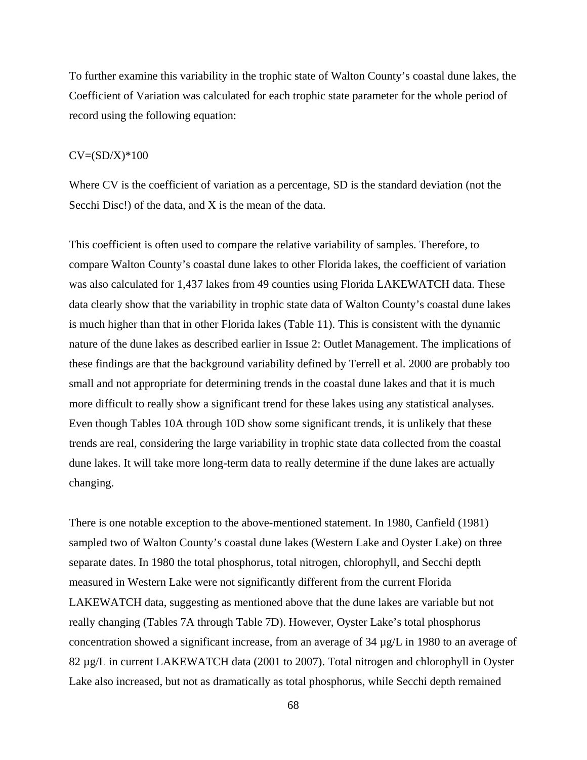To further examine this variability in the trophic state of Walton County's coastal dune lakes, the Coefficient of Variation was calculated for each trophic state parameter for the whole period of record using the following equation:

### $CV=(SD/X)*100$

Where CV is the coefficient of variation as a percentage, SD is the standard deviation (not the Secchi Disc!) of the data, and X is the mean of the data.

This coefficient is often used to compare the relative variability of samples. Therefore, to compare Walton County's coastal dune lakes to other Florida lakes, the coefficient of variation was also calculated for 1,437 lakes from 49 counties using Florida LAKEWATCH data. These data clearly show that the variability in trophic state data of Walton County's coastal dune lakes is much higher than that in other Florida lakes (Table 11). This is consistent with the dynamic nature of the dune lakes as described earlier in Issue 2: Outlet Management. The implications of these findings are that the background variability defined by Terrell et al. 2000 are probably too small and not appropriate for determining trends in the coastal dune lakes and that it is much more difficult to really show a significant trend for these lakes using any statistical analyses. Even though Tables 10A through 10D show some significant trends, it is unlikely that these trends are real, considering the large variability in trophic state data collected from the coastal dune lakes. It will take more long-term data to really determine if the dune lakes are actually changing.

There is one notable exception to the above-mentioned statement. In 1980, Canfield (1981) sampled two of Walton County's coastal dune lakes (Western Lake and Oyster Lake) on three separate dates. In 1980 the total phosphorus, total nitrogen, chlorophyll, and Secchi depth measured in Western Lake were not significantly different from the current Florida LAKEWATCH data, suggesting as mentioned above that the dune lakes are variable but not really changing (Tables 7A through Table 7D). However, Oyster Lake's total phosphorus concentration showed a significant increase, from an average of 34 µg/L in 1980 to an average of 82 µg/L in current LAKEWATCH data (2001 to 2007). Total nitrogen and chlorophyll in Oyster Lake also increased, but not as dramatically as total phosphorus, while Secchi depth remained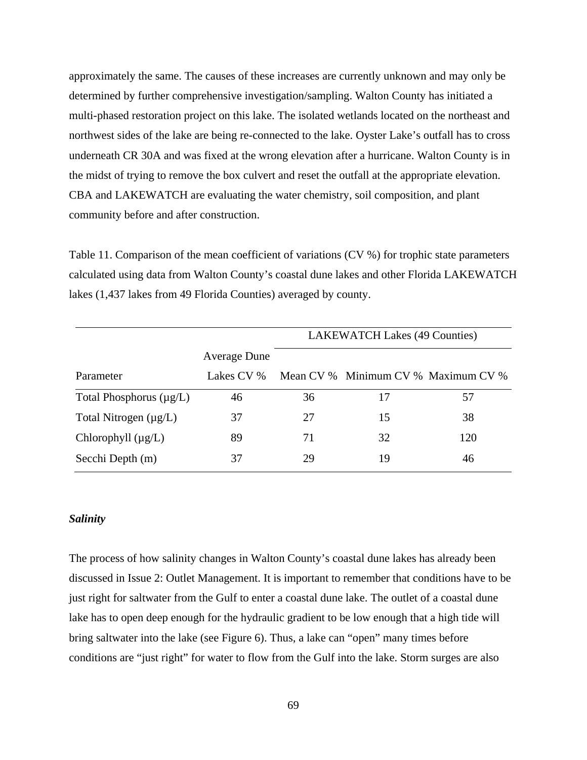approximately the same. The causes of these increases are currently unknown and may only be determined by further comprehensive investigation/sampling. Walton County has initiated a multi-phased restoration project on this lake. The isolated wetlands located on the northeast and northwest sides of the lake are being re-connected to the lake. Oyster Lake's outfall has to cross underneath CR 30A and was fixed at the wrong elevation after a hurricane. Walton County is in the midst of trying to remove the box culvert and reset the outfall at the appropriate elevation. CBA and LAKEWATCH are evaluating the water chemistry, soil composition, and plant community before and after construction.

Table 11. Comparison of the mean coefficient of variations (CV %) for trophic state parameters calculated using data from Walton County's coastal dune lakes and other Florida LAKEWATCH lakes (1,437 lakes from 49 Florida Counties) averaged by county.

|                              |                     | <b>LAKEWATCH Lakes (49 Counties)</b> |                                     |     |  |
|------------------------------|---------------------|--------------------------------------|-------------------------------------|-----|--|
|                              | <b>Average Dune</b> |                                      |                                     |     |  |
| Parameter                    | Lakes CV %          |                                      | Mean CV % Minimum CV % Maximum CV % |     |  |
| Total Phosphorus $(\mu g/L)$ | 46                  | 36                                   | 17                                  | 57  |  |
| Total Nitrogen $(\mu g/L)$   | 37                  | 27                                   | 15                                  | 38  |  |
| Chlorophyll $(\mu g/L)$      | 89                  | 71                                   | 32                                  | 120 |  |
| Secchi Depth (m)             | 37                  | 29                                   | 19                                  | 46  |  |

### *Salinity*

The process of how salinity changes in Walton County's coastal dune lakes has already been discussed in Issue 2: Outlet Management. It is important to remember that conditions have to be just right for saltwater from the Gulf to enter a coastal dune lake. The outlet of a coastal dune lake has to open deep enough for the hydraulic gradient to be low enough that a high tide will bring saltwater into the lake (see Figure 6). Thus, a lake can "open" many times before conditions are "just right" for water to flow from the Gulf into the lake. Storm surges are also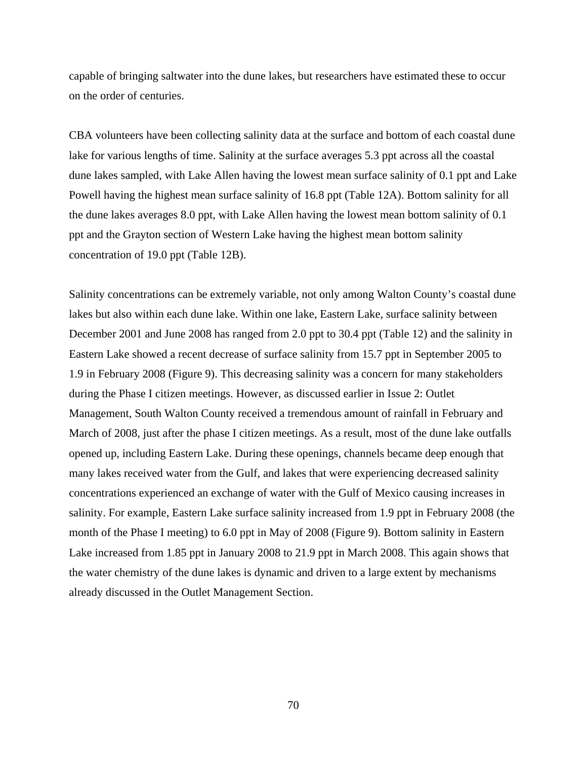capable of bringing saltwater into the dune lakes, but researchers have estimated these to occur on the order of centuries.

CBA volunteers have been collecting salinity data at the surface and bottom of each coastal dune lake for various lengths of time. Salinity at the surface averages 5.3 ppt across all the coastal dune lakes sampled, with Lake Allen having the lowest mean surface salinity of 0.1 ppt and Lake Powell having the highest mean surface salinity of 16.8 ppt (Table 12A). Bottom salinity for all the dune lakes averages 8.0 ppt, with Lake Allen having the lowest mean bottom salinity of 0.1 ppt and the Grayton section of Western Lake having the highest mean bottom salinity concentration of 19.0 ppt (Table 12B).

Salinity concentrations can be extremely variable, not only among Walton County's coastal dune lakes but also within each dune lake. Within one lake, Eastern Lake, surface salinity between December 2001 and June 2008 has ranged from 2.0 ppt to 30.4 ppt (Table 12) and the salinity in Eastern Lake showed a recent decrease of surface salinity from 15.7 ppt in September 2005 to 1.9 in February 2008 (Figure 9). This decreasing salinity was a concern for many stakeholders during the Phase I citizen meetings. However, as discussed earlier in Issue 2: Outlet Management, South Walton County received a tremendous amount of rainfall in February and March of 2008, just after the phase I citizen meetings. As a result, most of the dune lake outfalls opened up, including Eastern Lake. During these openings, channels became deep enough that many lakes received water from the Gulf, and lakes that were experiencing decreased salinity concentrations experienced an exchange of water with the Gulf of Mexico causing increases in salinity. For example, Eastern Lake surface salinity increased from 1.9 ppt in February 2008 (the month of the Phase I meeting) to 6.0 ppt in May of 2008 (Figure 9). Bottom salinity in Eastern Lake increased from 1.85 ppt in January 2008 to 21.9 ppt in March 2008. This again shows that the water chemistry of the dune lakes is dynamic and driven to a large extent by mechanisms already discussed in the Outlet Management Section.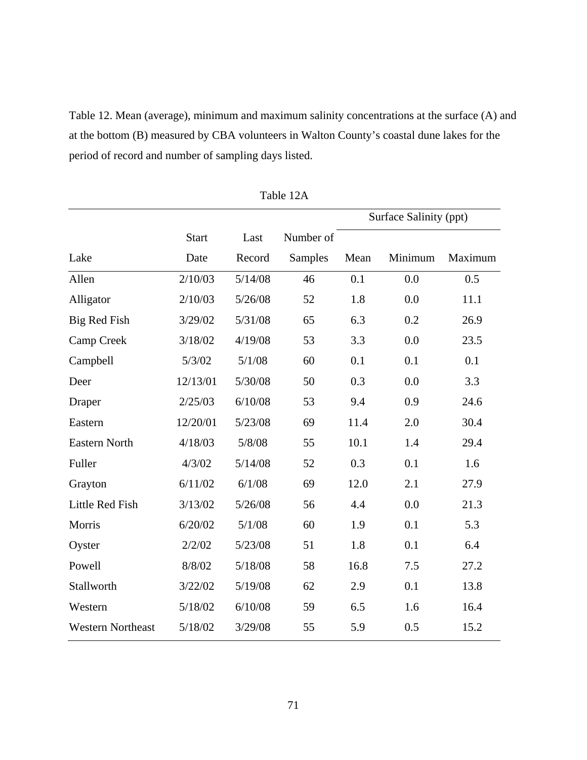Table 12. Mean (average), minimum and maximum salinity concentrations at the surface (A) and at the bottom (B) measured by CBA volunteers in Walton County's coastal dune lakes for the period of record and number of sampling days listed.

|                          |              |         |           | Surface Salinity (ppt) |         |         |
|--------------------------|--------------|---------|-----------|------------------------|---------|---------|
|                          | <b>Start</b> | Last    | Number of |                        |         |         |
| Lake                     | Date         | Record  | Samples   | Mean                   | Minimum | Maximum |
| Allen                    | 2/10/03      | 5/14/08 | 46        | 0.1                    | 0.0     | 0.5     |
| Alligator                | 2/10/03      | 5/26/08 | 52        | 1.8                    | 0.0     | 11.1    |
| <b>Big Red Fish</b>      | 3/29/02      | 5/31/08 | 65        | 6.3                    | 0.2     | 26.9    |
| Camp Creek               | 3/18/02      | 4/19/08 | 53        | 3.3                    | 0.0     | 23.5    |
| Campbell                 | 5/3/02       | 5/1/08  | 60        | 0.1                    | 0.1     | 0.1     |
| Deer                     | 12/13/01     | 5/30/08 | 50        | 0.3                    | 0.0     | 3.3     |
| Draper                   | 2/25/03      | 6/10/08 | 53        | 9.4                    | 0.9     | 24.6    |
| Eastern                  | 12/20/01     | 5/23/08 | 69        | 11.4                   | 2.0     | 30.4    |
| <b>Eastern North</b>     | 4/18/03      | 5/8/08  | 55        | 10.1                   | 1.4     | 29.4    |
| Fuller                   | 4/3/02       | 5/14/08 | 52        | 0.3                    | 0.1     | 1.6     |
| Grayton                  | 6/11/02      | 6/1/08  | 69        | 12.0                   | 2.1     | 27.9    |
| Little Red Fish          | 3/13/02      | 5/26/08 | 56        | 4.4                    | 0.0     | 21.3    |
| Morris                   | 6/20/02      | 5/1/08  | 60        | 1.9                    | 0.1     | 5.3     |
| Oyster                   | 2/2/02       | 5/23/08 | 51        | 1.8                    | 0.1     | 6.4     |
| Powell                   | 8/8/02       | 5/18/08 | 58        | 16.8                   | 7.5     | 27.2    |
| Stallworth               | 3/22/02      | 5/19/08 | 62        | 2.9                    | 0.1     | 13.8    |
| Western                  | 5/18/02      | 6/10/08 | 59        | 6.5                    | 1.6     | 16.4    |
| <b>Western Northeast</b> | 5/18/02      | 3/29/08 | 55        | 5.9                    | 0.5     | 15.2    |

Table 12A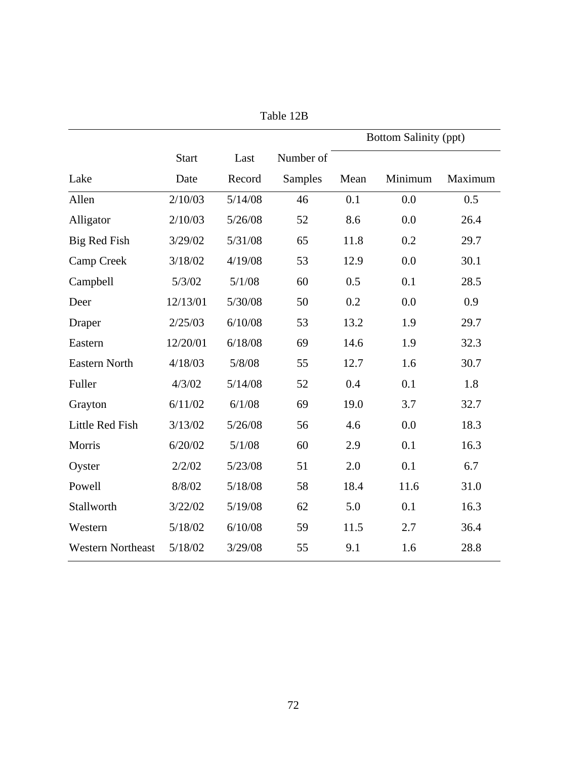|                          |              |         |           | Bottom Salinity (ppt) |         |         |
|--------------------------|--------------|---------|-----------|-----------------------|---------|---------|
|                          | <b>Start</b> | Last    | Number of |                       |         |         |
| Lake                     | Date         | Record  | Samples   | Mean                  | Minimum | Maximum |
| Allen                    | 2/10/03      | 5/14/08 | 46        | 0.1                   | 0.0     | 0.5     |
| Alligator                | 2/10/03      | 5/26/08 | 52        | 8.6                   | 0.0     | 26.4    |
| <b>Big Red Fish</b>      | 3/29/02      | 5/31/08 | 65        | 11.8                  | 0.2     | 29.7    |
| Camp Creek               | 3/18/02      | 4/19/08 | 53        | 12.9                  | 0.0     | 30.1    |
| Campbell                 | 5/3/02       | 5/1/08  | 60        | 0.5                   | 0.1     | 28.5    |
| Deer                     | 12/13/01     | 5/30/08 | 50        | 0.2                   | 0.0     | 0.9     |
| Draper                   | 2/25/03      | 6/10/08 | 53        | 13.2                  | 1.9     | 29.7    |
| Eastern                  | 12/20/01     | 6/18/08 | 69        | 14.6                  | 1.9     | 32.3    |
| <b>Eastern North</b>     | 4/18/03      | 5/8/08  | 55        | 12.7                  | 1.6     | 30.7    |
| Fuller                   | 4/3/02       | 5/14/08 | 52        | 0.4                   | 0.1     | 1.8     |
| Grayton                  | 6/11/02      | 6/1/08  | 69        | 19.0                  | 3.7     | 32.7    |
| Little Red Fish          | 3/13/02      | 5/26/08 | 56        | 4.6                   | 0.0     | 18.3    |
| Morris                   | 6/20/02      | 5/1/08  | 60        | 2.9                   | 0.1     | 16.3    |
| Oyster                   | 2/2/02       | 5/23/08 | 51        | 2.0                   | 0.1     | 6.7     |
| Powell                   | 8/8/02       | 5/18/08 | 58        | 18.4                  | 11.6    | 31.0    |
| Stallworth               | 3/22/02      | 5/19/08 | 62        | 5.0                   | 0.1     | 16.3    |
| Western                  | 5/18/02      | 6/10/08 | 59        | 11.5                  | 2.7     | 36.4    |
| <b>Western Northeast</b> | 5/18/02      | 3/29/08 | 55        | 9.1                   | 1.6     | 28.8    |

Table 12B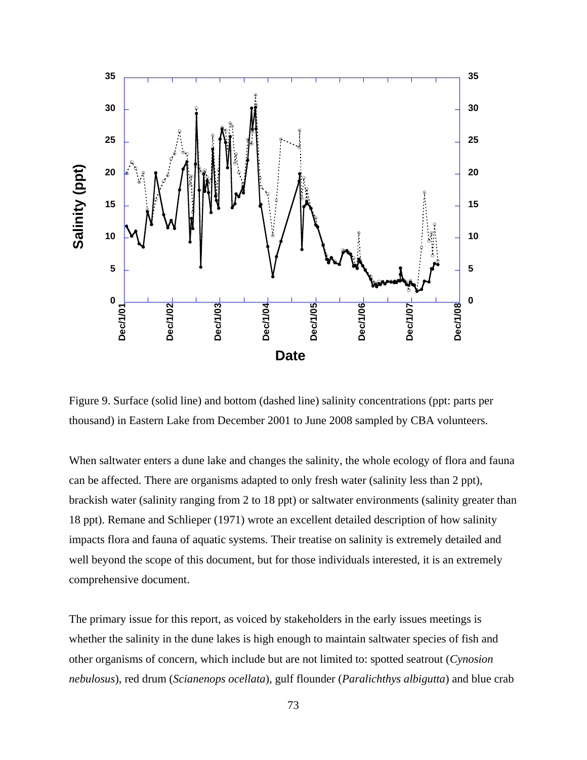

Figure 9. Surface (solid line) and bottom (dashed line) salinity concentrations (ppt: parts per thousand) in Eastern Lake from December 2001 to June 2008 sampled by CBA volunteers.

When saltwater enters a dune lake and changes the salinity, the whole ecology of flora and fauna can be affected. There are organisms adapted to only fresh water (salinity less than 2 ppt), brackish water (salinity ranging from 2 to 18 ppt) or saltwater environments (salinity greater than 18 ppt). Remane and Schlieper (1971) wrote an excellent detailed description of how salinity impacts flora and fauna of aquatic systems. Their treatise on salinity is extremely detailed and well beyond the scope of this document, but for those individuals interested, it is an extremely comprehensive document.

The primary issue for this report, as voiced by stakeholders in the early issues meetings is whether the salinity in the dune lakes is high enough to maintain saltwater species of fish and other organisms of concern, which include but are not limited to: spotted seatrout (*Cynosion nebulosus*), red drum (*Scianenops ocellata*), gulf flounder (*Paralichthys albigutta*) and blue crab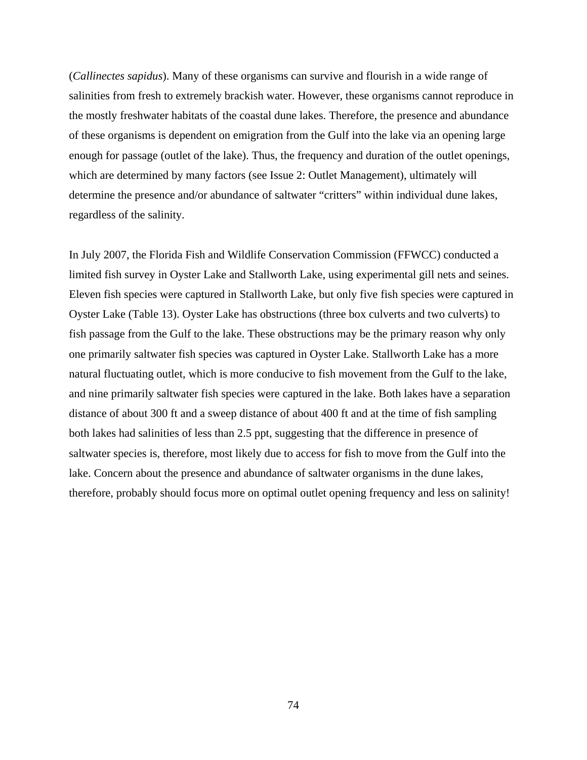(*Callinectes sapidus*). Many of these organisms can survive and flourish in a wide range of salinities from fresh to extremely brackish water. However, these organisms cannot reproduce in the mostly freshwater habitats of the coastal dune lakes. Therefore, the presence and abundance of these organisms is dependent on emigration from the Gulf into the lake via an opening large enough for passage (outlet of the lake). Thus, the frequency and duration of the outlet openings, which are determined by many factors (see Issue 2: Outlet Management), ultimately will determine the presence and/or abundance of saltwater "critters" within individual dune lakes, regardless of the salinity.

In July 2007, the Florida Fish and Wildlife Conservation Commission (FFWCC) conducted a limited fish survey in Oyster Lake and Stallworth Lake, using experimental gill nets and seines. Eleven fish species were captured in Stallworth Lake, but only five fish species were captured in Oyster Lake (Table 13). Oyster Lake has obstructions (three box culverts and two culverts) to fish passage from the Gulf to the lake. These obstructions may be the primary reason why only one primarily saltwater fish species was captured in Oyster Lake. Stallworth Lake has a more natural fluctuating outlet, which is more conducive to fish movement from the Gulf to the lake, and nine primarily saltwater fish species were captured in the lake. Both lakes have a separation distance of about 300 ft and a sweep distance of about 400 ft and at the time of fish sampling both lakes had salinities of less than 2.5 ppt, suggesting that the difference in presence of saltwater species is, therefore, most likely due to access for fish to move from the Gulf into the lake. Concern about the presence and abundance of saltwater organisms in the dune lakes, therefore, probably should focus more on optimal outlet opening frequency and less on salinity!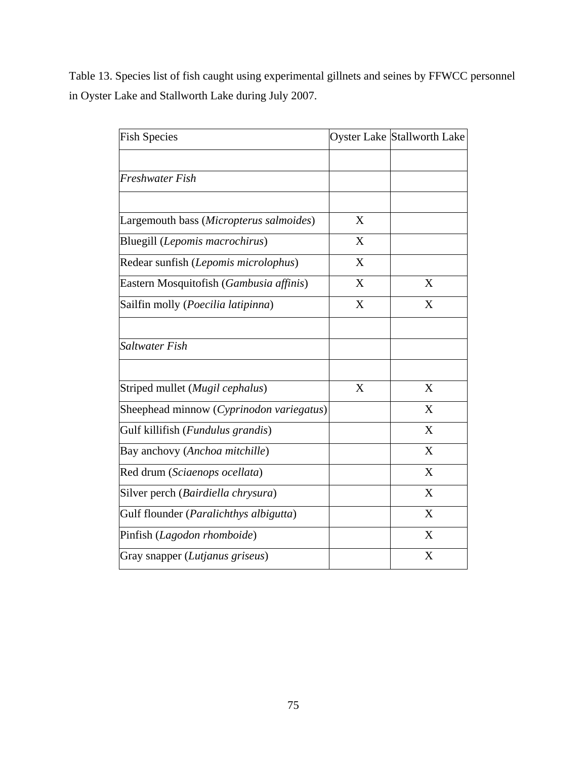Table 13. Species list of fish caught using experimental gillnets and seines by FFWCC personnel in Oyster Lake and Stallworth Lake during July 2007.

| <b>Fish Species</b>                             |   | Oyster Lake Stallworth Lake |
|-------------------------------------------------|---|-----------------------------|
|                                                 |   |                             |
| <b>Freshwater Fish</b>                          |   |                             |
|                                                 |   |                             |
| Largemouth bass (Micropterus salmoides)         | X |                             |
| Bluegill (Lepomis macrochirus)                  | X |                             |
| Redear sunfish (Lepomis microlophus)            | X |                             |
| Eastern Mosquitofish (Gambusia affinis)         | X | X                           |
| Sailfin molly (Poecilia latipinna)              | X | X                           |
| Saltwater Fish                                  |   |                             |
| Striped mullet (Mugil cephalus)                 | X | X                           |
| Sheephead minnow (Cyprinodon variegatus)        |   | X                           |
| Gulf killifish (Fundulus grandis)               |   | X                           |
| Bay anchovy (Anchoa mitchille)                  |   | X                           |
| Red drum (Sciaenops ocellata)                   |   | X                           |
| Silver perch (Bairdiella chrysura)              |   | X                           |
| Gulf flounder ( <i>Paralichthys albigutta</i> ) |   | X                           |
| Pinfish (Lagodon rhomboide)                     |   | X                           |
| Gray snapper (Lutjanus griseus)                 |   | X                           |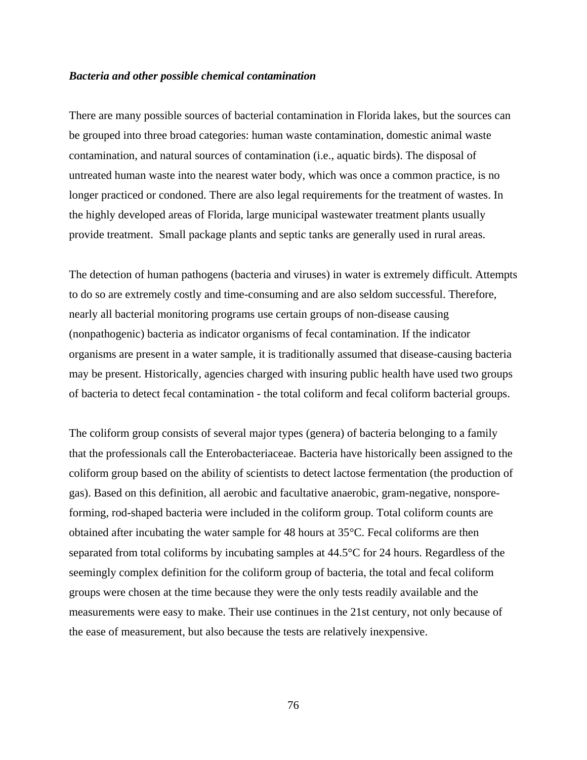#### *Bacteria and other possible chemical contamination*

There are many possible sources of bacterial contamination in Florida lakes, but the sources can be grouped into three broad categories: human waste contamination, domestic animal waste contamination, and natural sources of contamination (i.e., aquatic birds). The disposal of untreated human waste into the nearest water body, which was once a common practice, is no longer practiced or condoned. There are also legal requirements for the treatment of wastes. In the highly developed areas of Florida, large municipal wastewater treatment plants usually provide treatment. Small package plants and septic tanks are generally used in rural areas.

The detection of human pathogens (bacteria and viruses) in water is extremely difficult. Attempts to do so are extremely costly and time-consuming and are also seldom successful. Therefore, nearly all bacterial monitoring programs use certain groups of non-disease causing (nonpathogenic) bacteria as indicator organisms of fecal contamination. If the indicator organisms are present in a water sample, it is traditionally assumed that disease-causing bacteria may be present. Historically, agencies charged with insuring public health have used two groups of bacteria to detect fecal contamination - the total coliform and fecal coliform bacterial groups.

The coliform group consists of several major types (genera) of bacteria belonging to a family that the professionals call the Enterobacteriaceae. Bacteria have historically been assigned to the coliform group based on the ability of scientists to detect lactose fermentation (the production of gas). Based on this definition, all aerobic and facultative anaerobic, gram-negative, nonsporeforming, rod-shaped bacteria were included in the coliform group. Total coliform counts are obtained after incubating the water sample for 48 hours at 35°C. Fecal coliforms are then separated from total coliforms by incubating samples at 44.5°C for 24 hours. Regardless of the seemingly complex definition for the coliform group of bacteria, the total and fecal coliform groups were chosen at the time because they were the only tests readily available and the measurements were easy to make. Their use continues in the 21st century, not only because of the ease of measurement, but also because the tests are relatively inexpensive.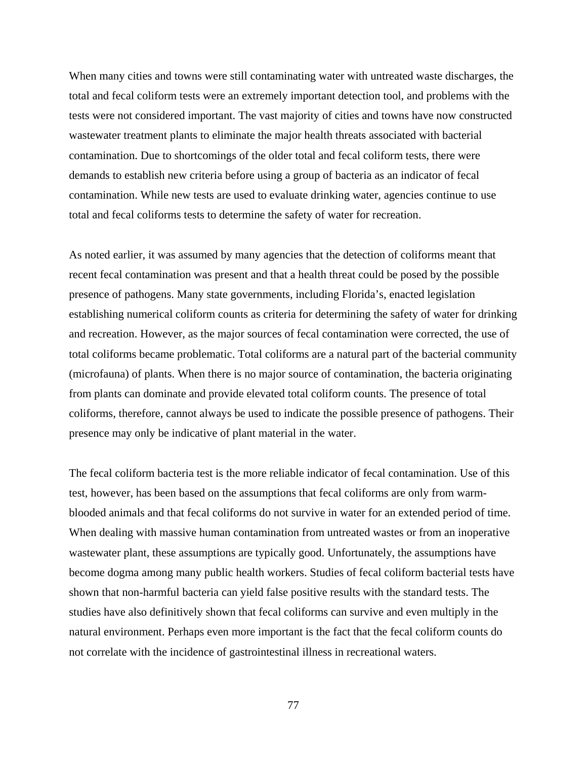When many cities and towns were still contaminating water with untreated waste discharges, the total and fecal coliform tests were an extremely important detection tool, and problems with the tests were not considered important. The vast majority of cities and towns have now constructed wastewater treatment plants to eliminate the major health threats associated with bacterial contamination. Due to shortcomings of the older total and fecal coliform tests, there were demands to establish new criteria before using a group of bacteria as an indicator of fecal contamination. While new tests are used to evaluate drinking water, agencies continue to use total and fecal coliforms tests to determine the safety of water for recreation.

As noted earlier, it was assumed by many agencies that the detection of coliforms meant that recent fecal contamination was present and that a health threat could be posed by the possible presence of pathogens. Many state governments, including Florida's, enacted legislation establishing numerical coliform counts as criteria for determining the safety of water for drinking and recreation. However, as the major sources of fecal contamination were corrected, the use of total coliforms became problematic. Total coliforms are a natural part of the bacterial community (microfauna) of plants. When there is no major source of contamination, the bacteria originating from plants can dominate and provide elevated total coliform counts. The presence of total coliforms, therefore, cannot always be used to indicate the possible presence of pathogens. Their presence may only be indicative of plant material in the water.

The fecal coliform bacteria test is the more reliable indicator of fecal contamination. Use of this test, however, has been based on the assumptions that fecal coliforms are only from warmblooded animals and that fecal coliforms do not survive in water for an extended period of time. When dealing with massive human contamination from untreated wastes or from an inoperative wastewater plant, these assumptions are typically good. Unfortunately, the assumptions have become dogma among many public health workers. Studies of fecal coliform bacterial tests have shown that non-harmful bacteria can yield false positive results with the standard tests. The studies have also definitively shown that fecal coliforms can survive and even multiply in the natural environment. Perhaps even more important is the fact that the fecal coliform counts do not correlate with the incidence of gastrointestinal illness in recreational waters.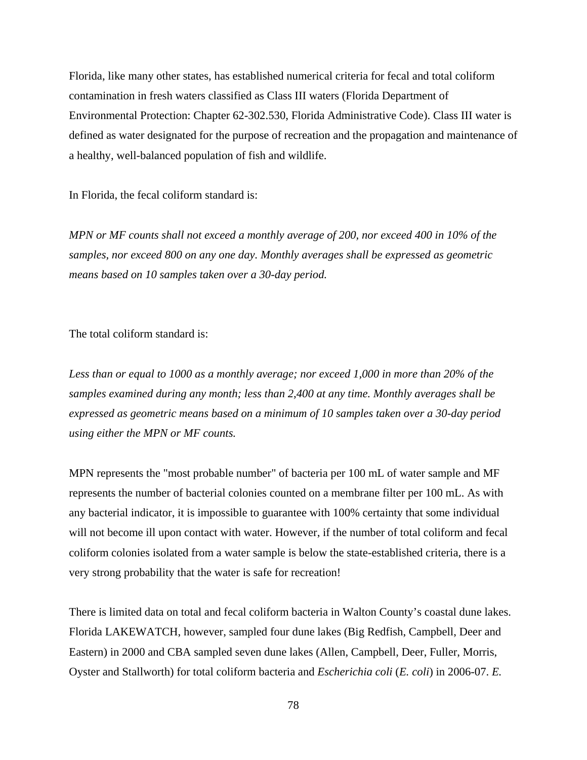Florida, like many other states, has established numerical criteria for fecal and total coliform contamination in fresh waters classified as Class III waters (Florida Department of Environmental Protection: Chapter 62-302.530, Florida Administrative Code). Class III water is defined as water designated for the purpose of recreation and the propagation and maintenance of a healthy, well-balanced population of fish and wildlife.

In Florida, the fecal coliform standard is:

*MPN or MF counts shall not exceed a monthly average of 200, nor exceed 400 in 10% of the samples, nor exceed 800 on any one day. Monthly averages shall be expressed as geometric means based on 10 samples taken over a 30-day period.* 

The total coliform standard is:

*Less than or equal to 1000 as a monthly average; nor exceed 1,000 in more than 20% of the samples examined during any month; less than 2,400 at any time. Monthly averages shall be expressed as geometric means based on a minimum of 10 samples taken over a 30-day period using either the MPN or MF counts.* 

MPN represents the "most probable number" of bacteria per 100 mL of water sample and MF represents the number of bacterial colonies counted on a membrane filter per 100 mL. As with any bacterial indicator, it is impossible to guarantee with 100% certainty that some individual will not become ill upon contact with water. However, if the number of total coliform and fecal coliform colonies isolated from a water sample is below the state-established criteria, there is a very strong probability that the water is safe for recreation!

There is limited data on total and fecal coliform bacteria in Walton County's coastal dune lakes. Florida LAKEWATCH, however, sampled four dune lakes (Big Redfish, Campbell, Deer and Eastern) in 2000 and CBA sampled seven dune lakes (Allen, Campbell, Deer, Fuller, Morris, Oyster and Stallworth) for total coliform bacteria and *Escherichia coli* (*E. coli*) in 2006-07. *E.*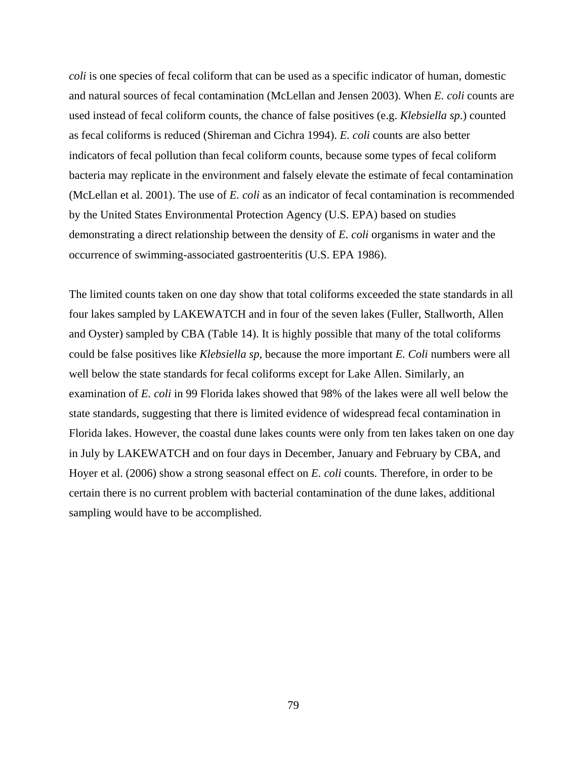*coli* is one species of fecal coliform that can be used as a specific indicator of human, domestic and natural sources of fecal contamination (McLellan and Jensen 2003). When *E. coli* counts are used instead of fecal coliform counts, the chance of false positives (e.g. *Klebsiella sp*.) counted as fecal coliforms is reduced (Shireman and Cichra 1994). *E. coli* counts are also better indicators of fecal pollution than fecal coliform counts, because some types of fecal coliform bacteria may replicate in the environment and falsely elevate the estimate of fecal contamination (McLellan et al. 2001). The use of *E. coli* as an indicator of fecal contamination is recommended by the United States Environmental Protection Agency (U.S. EPA) based on studies demonstrating a direct relationship between the density of *E. coli* organisms in water and the occurrence of swimming-associated gastroenteritis (U.S. EPA 1986).

The limited counts taken on one day show that total coliforms exceeded the state standards in all four lakes sampled by LAKEWATCH and in four of the seven lakes (Fuller, Stallworth, Allen and Oyster) sampled by CBA (Table 14). It is highly possible that many of the total coliforms could be false positives like *Klebsiella sp,* because the more important *E. Coli* numbers were all well below the state standards for fecal coliforms except for Lake Allen. Similarly, an examination of *E. coli* in 99 Florida lakes showed that 98% of the lakes were all well below the state standards, suggesting that there is limited evidence of widespread fecal contamination in Florida lakes. However, the coastal dune lakes counts were only from ten lakes taken on one day in July by LAKEWATCH and on four days in December, January and February by CBA, and Hoyer et al. (2006) show a strong seasonal effect on *E. coli* counts. Therefore, in order to be certain there is no current problem with bacterial contamination of the dune lakes, additional sampling would have to be accomplished.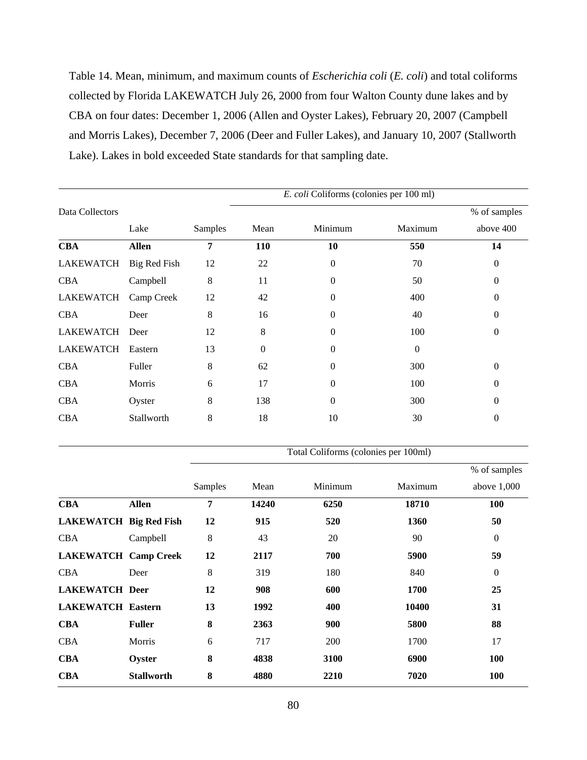Table 14. Mean, minimum, and maximum counts of *Escherichia coli* (*E. coli*) and total coliforms collected by Florida LAKEWATCH July 26, 2000 from four Walton County dune lakes and by CBA on four dates: December 1, 2006 (Allen and Oyster Lakes), February 20, 2007 (Campbell and Morris Lakes), December 7, 2006 (Deer and Fuller Lakes), and January 10, 2007 (Stallworth Lake). Lakes in bold exceeded State standards for that sampling date.

|                  |                     | E. coli Coliforms (colonies per 100 ml) |                  |          |          |                  |  |
|------------------|---------------------|-----------------------------------------|------------------|----------|----------|------------------|--|
| Data Collectors  |                     |                                         |                  |          |          | % of samples     |  |
|                  | Lake                | Samples                                 | Mean             | Minimum  | Maximum  | above 400        |  |
| <b>CBA</b>       | <b>Allen</b>        | 7                                       | 110              | 10       | 550      | 14               |  |
| LAKEWATCH        | <b>Big Red Fish</b> | 12                                      | 22               | $\theta$ | 70       | $\boldsymbol{0}$ |  |
| <b>CBA</b>       | Campbell            | 8                                       | 11               | 0        | 50       | $\overline{0}$   |  |
| <b>LAKEWATCH</b> | Camp Creek          | 12                                      | 42               | $\Omega$ | 400      | 0                |  |
| <b>CBA</b>       | Deer                | 8                                       | 16               | $\theta$ | 40       | $\boldsymbol{0}$ |  |
| <b>LAKEWATCH</b> | Deer                | 12                                      | 8                | 0        | 100      | $\Omega$         |  |
| <b>LAKEWATCH</b> | Eastern             | 13                                      | $\boldsymbol{0}$ | $\Omega$ | $\Omega$ |                  |  |
| <b>CBA</b>       | Fuller              | 8                                       | 62               | 0        | 300      | $\theta$         |  |
| <b>CBA</b>       | Morris              | 6                                       | 17               | $\Omega$ | 100      | $\Omega$         |  |
| <b>CBA</b>       | Oyster              | 8                                       | 138              | $\theta$ | 300      | $\theta$         |  |
| <b>CBA</b>       | Stallworth          | 8                                       | 18               | 10       | 30       | $\theta$         |  |

|                               |                   | Total Coliforms (colonies per 100ml) |       |         |         |                  |
|-------------------------------|-------------------|--------------------------------------|-------|---------|---------|------------------|
|                               |                   |                                      |       |         |         | % of samples     |
|                               |                   | Samples                              | Mean  | Minimum | Maximum | above $1,000$    |
| <b>CBA</b>                    | <b>Allen</b>      | 7                                    | 14240 | 6250    | 18710   | 100              |
| <b>LAKEWATCH Big Red Fish</b> |                   | 12                                   | 915   | 520     | 1360    | 50               |
| <b>CBA</b>                    | Campbell          | 8                                    | 43    | 20      | 90      | $\boldsymbol{0}$ |
| <b>LAKEWATCH Camp Creek</b>   |                   | 12                                   | 2117  | 700     | 5900    | 59               |
| <b>CBA</b>                    | Deer              | 8                                    | 319   | 180     | 840     | $\boldsymbol{0}$ |
| <b>LAKEWATCH Deer</b>         |                   | 12                                   | 908   | 600     | 1700    | 25               |
| <b>LAKEWATCH Eastern</b>      |                   | 13                                   | 1992  | 400     | 10400   | 31               |
| <b>CBA</b>                    | <b>Fuller</b>     | 8                                    | 2363  | 900     | 5800    | 88               |
| <b>CBA</b>                    | Morris            | 6                                    | 717   | 200     | 1700    | 17               |
| <b>CBA</b>                    | Oyster            | 8                                    | 4838  | 3100    | 6900    | <b>100</b>       |
| <b>CBA</b>                    | <b>Stallworth</b> | 8                                    | 4880  | 2210    | 7020    | 100              |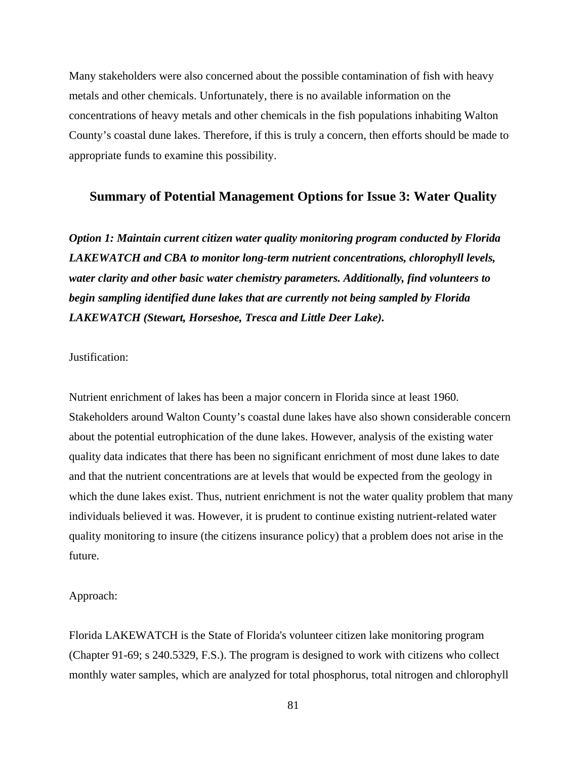Many stakeholders were also concerned about the possible contamination of fish with heavy metals and other chemicals. Unfortunately, there is no available information on the concentrations of heavy metals and other chemicals in the fish populations inhabiting Walton County's coastal dune lakes. Therefore, if this is truly a concern, then efforts should be made to appropriate funds to examine this possibility.

# **Summary of Potential Management Options for Issue 3: Water Quality**

*Option 1: Maintain current citizen water quality monitoring program conducted by Florida LAKEWATCH and CBA to monitor long-term nutrient concentrations, chlorophyll levels, water clarity and other basic water chemistry parameters. Additionally, find volunteers to begin sampling identified dune lakes that are currently not being sampled by Florida LAKEWATCH (Stewart, Horseshoe, Tresca and Little Deer Lake).* 

#### Justification:

Nutrient enrichment of lakes has been a major concern in Florida since at least 1960. Stakeholders around Walton County's coastal dune lakes have also shown considerable concern about the potential eutrophication of the dune lakes. However, analysis of the existing water quality data indicates that there has been no significant enrichment of most dune lakes to date and that the nutrient concentrations are at levels that would be expected from the geology in which the dune lakes exist. Thus, nutrient enrichment is not the water quality problem that many individuals believed it was. However, it is prudent to continue existing nutrient-related water quality monitoring to insure (the citizens insurance policy) that a problem does not arise in the future.

## Approach:

Florida LAKEWATCH is the State of Florida's volunteer citizen lake monitoring program (Chapter 91-69; s 240.5329, F.S.). The program is designed to work with citizens who collect monthly water samples, which are analyzed for total phosphorus, total nitrogen and chlorophyll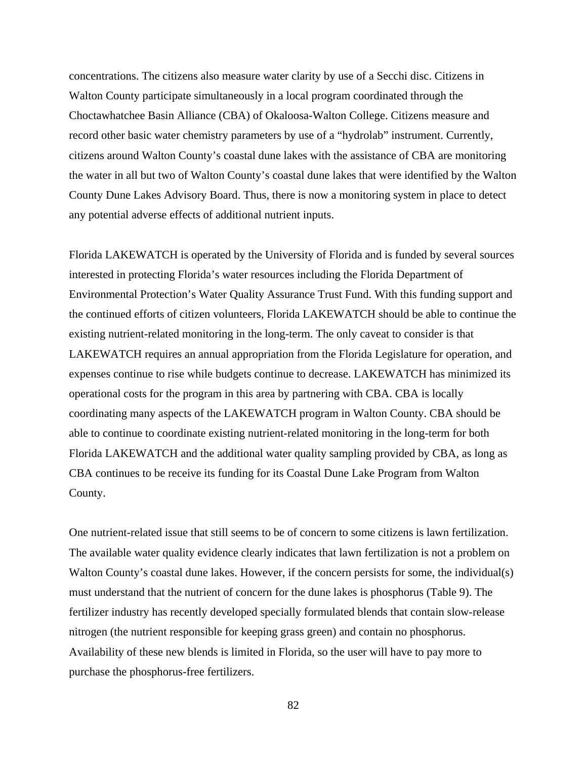concentrations. The citizens also measure water clarity by use of a Secchi disc. Citizens in Walton County participate simultaneously in a local program coordinated through the Choctawhatchee Basin Alliance (CBA) of Okaloosa-Walton College. Citizens measure and record other basic water chemistry parameters by use of a "hydrolab" instrument. Currently, citizens around Walton County's coastal dune lakes with the assistance of CBA are monitoring the water in all but two of Walton County's coastal dune lakes that were identified by the Walton County Dune Lakes Advisory Board. Thus, there is now a monitoring system in place to detect any potential adverse effects of additional nutrient inputs.

Florida LAKEWATCH is operated by the University of Florida and is funded by several sources interested in protecting Florida's water resources including the Florida Department of Environmental Protection's Water Quality Assurance Trust Fund. With this funding support and the continued efforts of citizen volunteers, Florida LAKEWATCH should be able to continue the existing nutrient-related monitoring in the long-term. The only caveat to consider is that LAKEWATCH requires an annual appropriation from the Florida Legislature for operation, and expenses continue to rise while budgets continue to decrease. LAKEWATCH has minimized its operational costs for the program in this area by partnering with CBA. CBA is locally coordinating many aspects of the LAKEWATCH program in Walton County. CBA should be able to continue to coordinate existing nutrient-related monitoring in the long-term for both Florida LAKEWATCH and the additional water quality sampling provided by CBA, as long as CBA continues to be receive its funding for its Coastal Dune Lake Program from Walton County.

One nutrient-related issue that still seems to be of concern to some citizens is lawn fertilization. The available water quality evidence clearly indicates that lawn fertilization is not a problem on Walton County's coastal dune lakes. However, if the concern persists for some, the individual(s) must understand that the nutrient of concern for the dune lakes is phosphorus (Table 9). The fertilizer industry has recently developed specially formulated blends that contain slow-release nitrogen (the nutrient responsible for keeping grass green) and contain no phosphorus. Availability of these new blends is limited in Florida, so the user will have to pay more to purchase the phosphorus-free fertilizers.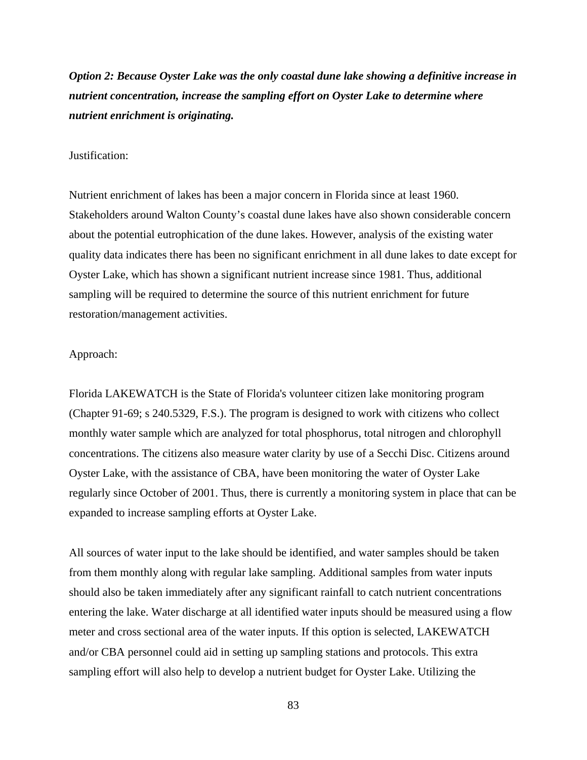*Option 2: Because Oyster Lake was the only coastal dune lake showing a definitive increase in nutrient concentration, increase the sampling effort on Oyster Lake to determine where nutrient enrichment is originating.* 

#### Justification:

Nutrient enrichment of lakes has been a major concern in Florida since at least 1960. Stakeholders around Walton County's coastal dune lakes have also shown considerable concern about the potential eutrophication of the dune lakes. However, analysis of the existing water quality data indicates there has been no significant enrichment in all dune lakes to date except for Oyster Lake, which has shown a significant nutrient increase since 1981. Thus, additional sampling will be required to determine the source of this nutrient enrichment for future restoration/management activities.

#### Approach:

Florida LAKEWATCH is the State of Florida's volunteer citizen lake monitoring program (Chapter 91-69; s 240.5329, F.S.). The program is designed to work with citizens who collect monthly water sample which are analyzed for total phosphorus, total nitrogen and chlorophyll concentrations. The citizens also measure water clarity by use of a Secchi Disc. Citizens around Oyster Lake, with the assistance of CBA, have been monitoring the water of Oyster Lake regularly since October of 2001. Thus, there is currently a monitoring system in place that can be expanded to increase sampling efforts at Oyster Lake.

All sources of water input to the lake should be identified, and water samples should be taken from them monthly along with regular lake sampling. Additional samples from water inputs should also be taken immediately after any significant rainfall to catch nutrient concentrations entering the lake. Water discharge at all identified water inputs should be measured using a flow meter and cross sectional area of the water inputs. If this option is selected, LAKEWATCH and/or CBA personnel could aid in setting up sampling stations and protocols. This extra sampling effort will also help to develop a nutrient budget for Oyster Lake. Utilizing the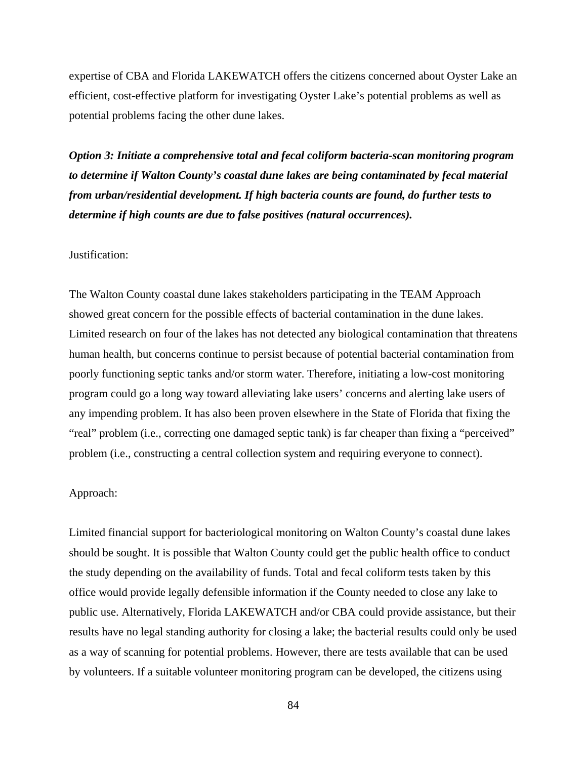expertise of CBA and Florida LAKEWATCH offers the citizens concerned about Oyster Lake an efficient, cost-effective platform for investigating Oyster Lake's potential problems as well as potential problems facing the other dune lakes.

*Option 3: Initiate a comprehensive total and fecal coliform bacteria-scan monitoring program to determine if Walton County's coastal dune lakes are being contaminated by fecal material from urban/residential development. If high bacteria counts are found, do further tests to determine if high counts are due to false positives (natural occurrences).* 

#### Justification:

The Walton County coastal dune lakes stakeholders participating in the TEAM Approach showed great concern for the possible effects of bacterial contamination in the dune lakes. Limited research on four of the lakes has not detected any biological contamination that threatens human health, but concerns continue to persist because of potential bacterial contamination from poorly functioning septic tanks and/or storm water. Therefore, initiating a low-cost monitoring program could go a long way toward alleviating lake users' concerns and alerting lake users of any impending problem. It has also been proven elsewhere in the State of Florida that fixing the "real" problem (i.e., correcting one damaged septic tank) is far cheaper than fixing a "perceived" problem (i.e., constructing a central collection system and requiring everyone to connect).

## Approach:

Limited financial support for bacteriological monitoring on Walton County's coastal dune lakes should be sought. It is possible that Walton County could get the public health office to conduct the study depending on the availability of funds. Total and fecal coliform tests taken by this office would provide legally defensible information if the County needed to close any lake to public use. Alternatively, Florida LAKEWATCH and/or CBA could provide assistance, but their results have no legal standing authority for closing a lake; the bacterial results could only be used as a way of scanning for potential problems. However, there are tests available that can be used by volunteers. If a suitable volunteer monitoring program can be developed, the citizens using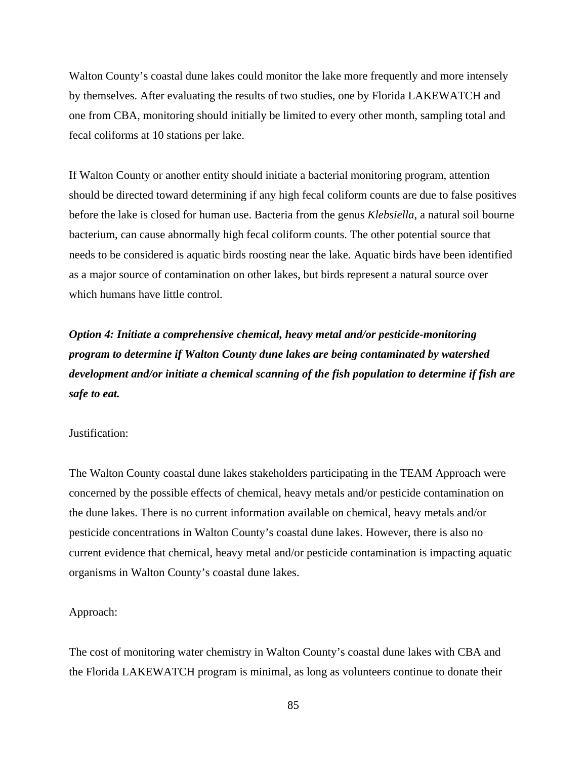Walton County's coastal dune lakes could monitor the lake more frequently and more intensely by themselves. After evaluating the results of two studies, one by Florida LAKEWATCH and one from CBA, monitoring should initially be limited to every other month, sampling total and fecal coliforms at 10 stations per lake.

If Walton County or another entity should initiate a bacterial monitoring program, attention should be directed toward determining if any high fecal coliform counts are due to false positives before the lake is closed for human use. Bacteria from the genus *Klebsiella*, a natural soil bourne bacterium, can cause abnormally high fecal coliform counts. The other potential source that needs to be considered is aquatic birds roosting near the lake. Aquatic birds have been identified as a major source of contamination on other lakes, but birds represent a natural source over which humans have little control.

*Option 4: Initiate a comprehensive chemical, heavy metal and/or pesticide-monitoring program to determine if Walton County dune lakes are being contaminated by watershed development and/or initiate a chemical scanning of the fish population to determine if fish are safe to eat.* 

## Justification:

The Walton County coastal dune lakes stakeholders participating in the TEAM Approach were concerned by the possible effects of chemical, heavy metals and/or pesticide contamination on the dune lakes. There is no current information available on chemical, heavy metals and/or pesticide concentrations in Walton County's coastal dune lakes. However, there is also no current evidence that chemical, heavy metal and/or pesticide contamination is impacting aquatic organisms in Walton County's coastal dune lakes.

#### Approach:

The cost of monitoring water chemistry in Walton County's coastal dune lakes with CBA and the Florida LAKEWATCH program is minimal, as long as volunteers continue to donate their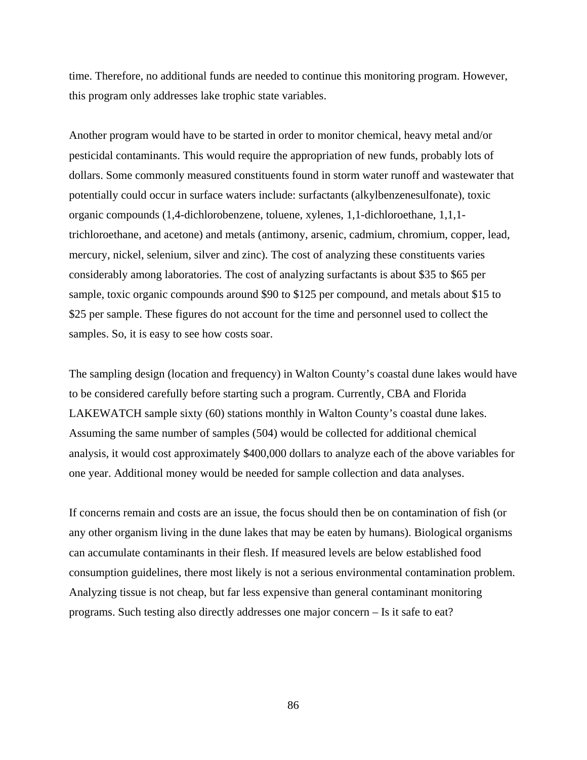time. Therefore, no additional funds are needed to continue this monitoring program. However, this program only addresses lake trophic state variables.

Another program would have to be started in order to monitor chemical, heavy metal and/or pesticidal contaminants. This would require the appropriation of new funds, probably lots of dollars. Some commonly measured constituents found in storm water runoff and wastewater that potentially could occur in surface waters include: surfactants (alkylbenzenesulfonate), toxic organic compounds (1,4-dichlorobenzene, toluene, xylenes, 1,1-dichloroethane, 1,1,1 trichloroethane, and acetone) and metals (antimony, arsenic, cadmium, chromium, copper, lead, mercury, nickel, selenium, silver and zinc). The cost of analyzing these constituents varies considerably among laboratories. The cost of analyzing surfactants is about \$35 to \$65 per sample, toxic organic compounds around \$90 to \$125 per compound, and metals about \$15 to \$25 per sample. These figures do not account for the time and personnel used to collect the samples. So, it is easy to see how costs soar.

The sampling design (location and frequency) in Walton County's coastal dune lakes would have to be considered carefully before starting such a program. Currently, CBA and Florida LAKEWATCH sample sixty (60) stations monthly in Walton County's coastal dune lakes. Assuming the same number of samples (504) would be collected for additional chemical analysis, it would cost approximately \$400,000 dollars to analyze each of the above variables for one year. Additional money would be needed for sample collection and data analyses.

If concerns remain and costs are an issue, the focus should then be on contamination of fish (or any other organism living in the dune lakes that may be eaten by humans). Biological organisms can accumulate contaminants in their flesh. If measured levels are below established food consumption guidelines, there most likely is not a serious environmental contamination problem. Analyzing tissue is not cheap, but far less expensive than general contaminant monitoring programs. Such testing also directly addresses one major concern – Is it safe to eat?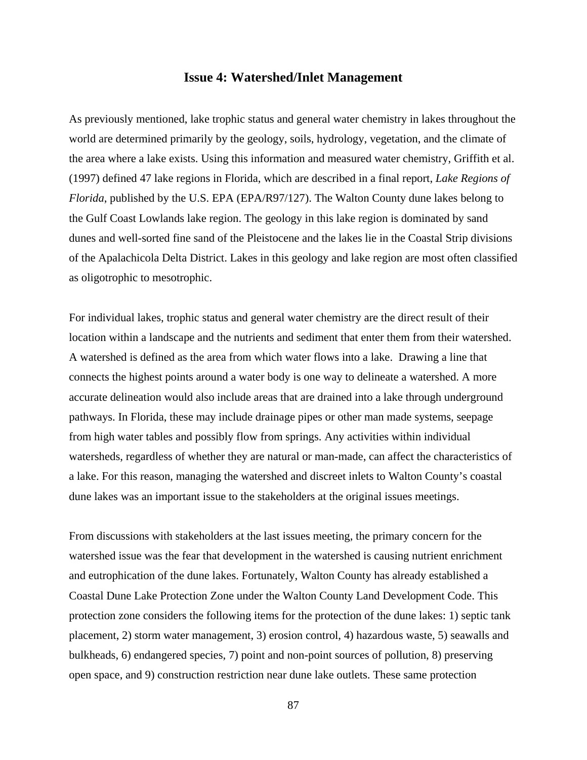### **Issue 4: Watershed/Inlet Management**

As previously mentioned, lake trophic status and general water chemistry in lakes throughout the world are determined primarily by the geology, soils, hydrology, vegetation, and the climate of the area where a lake exists. Using this information and measured water chemistry, Griffith et al. (1997) defined 47 lake regions in Florida, which are described in a final report, *Lake Regions of Florida*, published by the U.S. EPA (EPA/R97/127). The Walton County dune lakes belong to the Gulf Coast Lowlands lake region. The geology in this lake region is dominated by sand dunes and well-sorted fine sand of the Pleistocene and the lakes lie in the Coastal Strip divisions of the Apalachicola Delta District. Lakes in this geology and lake region are most often classified as oligotrophic to mesotrophic.

For individual lakes, trophic status and general water chemistry are the direct result of their location within a landscape and the nutrients and sediment that enter them from their watershed. A watershed is defined as the area from which water flows into a lake. Drawing a line that connects the highest points around a water body is one way to delineate a watershed. A more accurate delineation would also include areas that are drained into a lake through underground pathways. In Florida, these may include drainage pipes or other man made systems, seepage from high water tables and possibly flow from springs. Any activities within individual watersheds, regardless of whether they are natural or man-made, can affect the characteristics of a lake. For this reason, managing the watershed and discreet inlets to Walton County's coastal dune lakes was an important issue to the stakeholders at the original issues meetings.

From discussions with stakeholders at the last issues meeting, the primary concern for the watershed issue was the fear that development in the watershed is causing nutrient enrichment and eutrophication of the dune lakes. Fortunately, Walton County has already established a Coastal Dune Lake Protection Zone under the Walton County Land Development Code. This protection zone considers the following items for the protection of the dune lakes: 1) septic tank placement, 2) storm water management, 3) erosion control, 4) hazardous waste, 5) seawalls and bulkheads, 6) endangered species, 7) point and non-point sources of pollution, 8) preserving open space, and 9) construction restriction near dune lake outlets. These same protection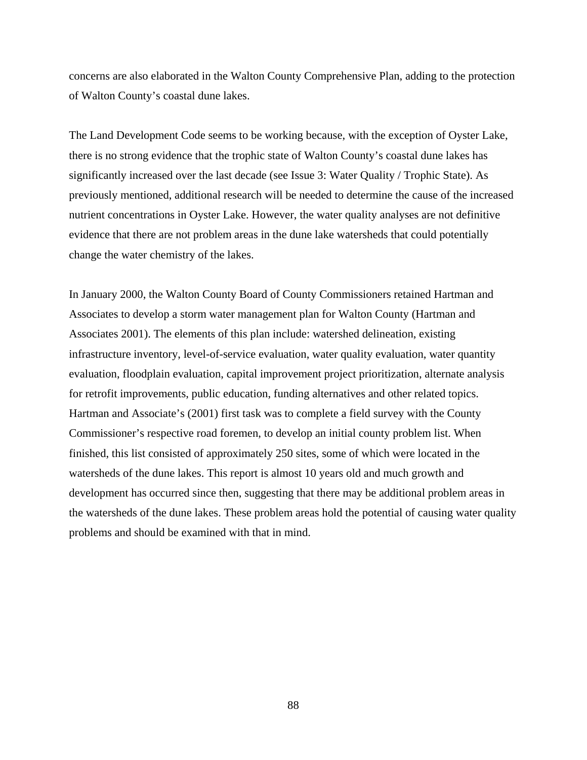concerns are also elaborated in the Walton County Comprehensive Plan, adding to the protection of Walton County's coastal dune lakes.

The Land Development Code seems to be working because, with the exception of Oyster Lake, there is no strong evidence that the trophic state of Walton County's coastal dune lakes has significantly increased over the last decade (see Issue 3: Water Quality / Trophic State). As previously mentioned, additional research will be needed to determine the cause of the increased nutrient concentrations in Oyster Lake. However, the water quality analyses are not definitive evidence that there are not problem areas in the dune lake watersheds that could potentially change the water chemistry of the lakes.

In January 2000, the Walton County Board of County Commissioners retained Hartman and Associates to develop a storm water management plan for Walton County (Hartman and Associates 2001). The elements of this plan include: watershed delineation, existing infrastructure inventory, level-of-service evaluation, water quality evaluation, water quantity evaluation, floodplain evaluation, capital improvement project prioritization, alternate analysis for retrofit improvements, public education, funding alternatives and other related topics. Hartman and Associate's (2001) first task was to complete a field survey with the County Commissioner's respective road foremen, to develop an initial county problem list. When finished, this list consisted of approximately 250 sites, some of which were located in the watersheds of the dune lakes. This report is almost 10 years old and much growth and development has occurred since then, suggesting that there may be additional problem areas in the watersheds of the dune lakes. These problem areas hold the potential of causing water quality problems and should be examined with that in mind.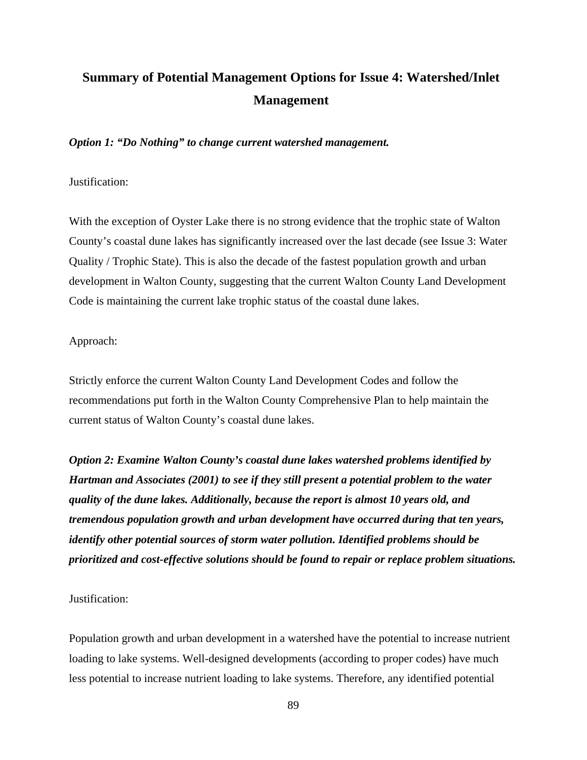# **Summary of Potential Management Options for Issue 4: Watershed/Inlet Management**

*Option 1: "Do Nothing" to change current watershed management.* 

Justification:

With the exception of Oyster Lake there is no strong evidence that the trophic state of Walton County's coastal dune lakes has significantly increased over the last decade (see Issue 3: Water Quality / Trophic State). This is also the decade of the fastest population growth and urban development in Walton County, suggesting that the current Walton County Land Development Code is maintaining the current lake trophic status of the coastal dune lakes.

#### Approach:

Strictly enforce the current Walton County Land Development Codes and follow the recommendations put forth in the Walton County Comprehensive Plan to help maintain the current status of Walton County's coastal dune lakes.

*Option 2: Examine Walton County's coastal dune lakes watershed problems identified by Hartman and Associates (2001) to see if they still present a potential problem to the water quality of the dune lakes. Additionally, because the report is almost 10 years old, and tremendous population growth and urban development have occurred during that ten years, identify other potential sources of storm water pollution. Identified problems should be prioritized and cost-effective solutions should be found to repair or replace problem situations.* 

#### Justification:

Population growth and urban development in a watershed have the potential to increase nutrient loading to lake systems. Well-designed developments (according to proper codes) have much less potential to increase nutrient loading to lake systems. Therefore, any identified potential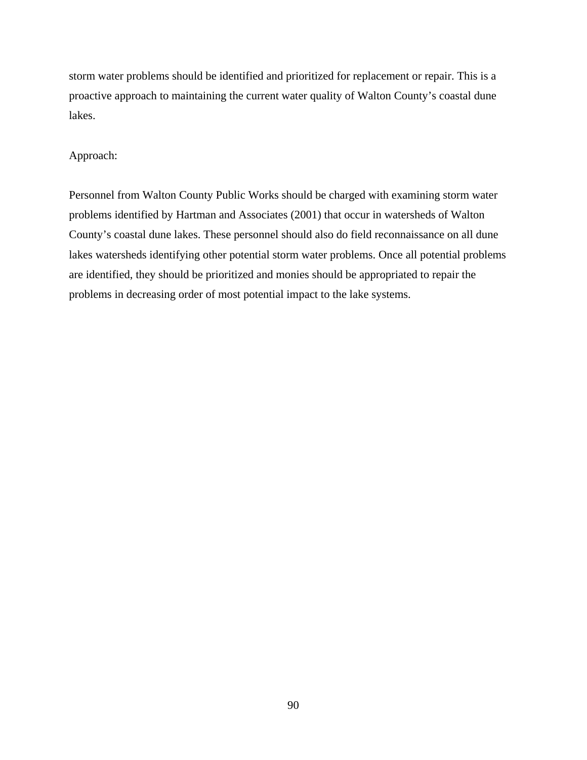storm water problems should be identified and prioritized for replacement or repair. This is a proactive approach to maintaining the current water quality of Walton County's coastal dune lakes.

## Approach:

Personnel from Walton County Public Works should be charged with examining storm water problems identified by Hartman and Associates (2001) that occur in watersheds of Walton County's coastal dune lakes. These personnel should also do field reconnaissance on all dune lakes watersheds identifying other potential storm water problems. Once all potential problems are identified, they should be prioritized and monies should be appropriated to repair the problems in decreasing order of most potential impact to the lake systems.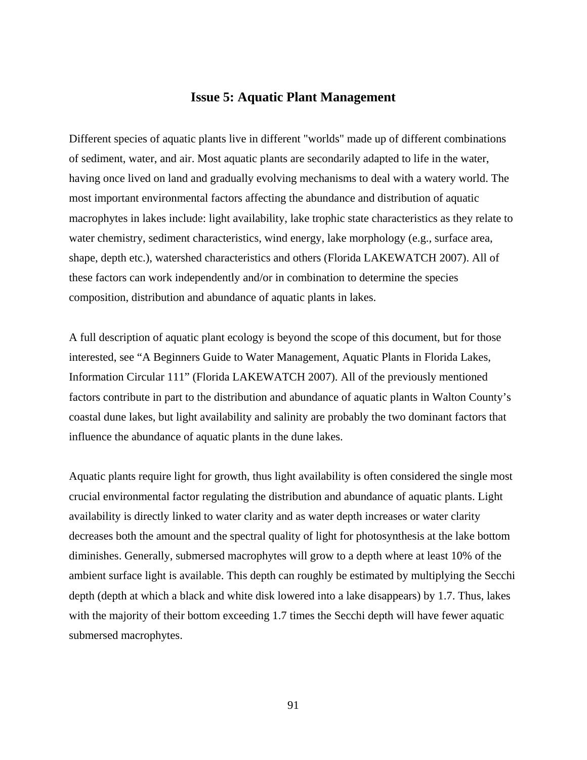# **Issue 5: Aquatic Plant Management**

Different species of aquatic plants live in different "worlds" made up of different combinations of sediment, water, and air. Most aquatic plants are secondarily adapted to life in the water, having once lived on land and gradually evolving mechanisms to deal with a watery world. The most important environmental factors affecting the abundance and distribution of aquatic macrophytes in lakes include: light availability, lake trophic state characteristics as they relate to water chemistry, sediment characteristics, wind energy, lake morphology (e.g., surface area, shape, depth etc.), watershed characteristics and others (Florida LAKEWATCH 2007). All of these factors can work independently and/or in combination to determine the species composition, distribution and abundance of aquatic plants in lakes.

A full description of aquatic plant ecology is beyond the scope of this document, but for those interested, see "A Beginners Guide to Water Management, Aquatic Plants in Florida Lakes, Information Circular 111" (Florida LAKEWATCH 2007). All of the previously mentioned factors contribute in part to the distribution and abundance of aquatic plants in Walton County's coastal dune lakes, but light availability and salinity are probably the two dominant factors that influence the abundance of aquatic plants in the dune lakes.

Aquatic plants require light for growth, thus light availability is often considered the single most crucial environmental factor regulating the distribution and abundance of aquatic plants. Light availability is directly linked to water clarity and as water depth increases or water clarity decreases both the amount and the spectral quality of light for photosynthesis at the lake bottom diminishes. Generally, submersed macrophytes will grow to a depth where at least 10% of the ambient surface light is available. This depth can roughly be estimated by multiplying the Secchi depth (depth at which a black and white disk lowered into a lake disappears) by 1.7. Thus, lakes with the majority of their bottom exceeding 1.7 times the Secchi depth will have fewer aquatic submersed macrophytes.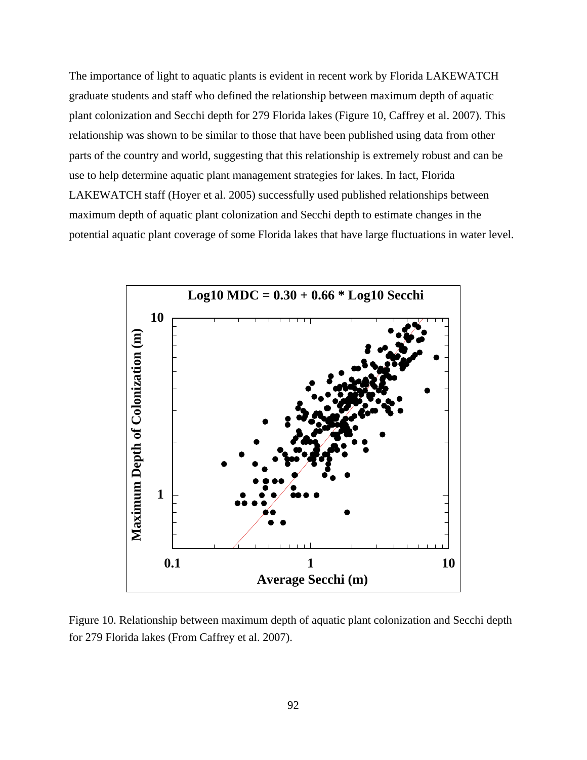The importance of light to aquatic plants is evident in recent work by Florida LAKEWATCH graduate students and staff who defined the relationship between maximum depth of aquatic plant colonization and Secchi depth for 279 Florida lakes (Figure 10, Caffrey et al. 2007). This relationship was shown to be similar to those that have been published using data from other parts of the country and world, suggesting that this relationship is extremely robust and can be use to help determine aquatic plant management strategies for lakes. In fact, Florida LAKEWATCH staff (Hoyer et al. 2005) successfully used published relationships between maximum depth of aquatic plant colonization and Secchi depth to estimate changes in the potential aquatic plant coverage of some Florida lakes that have large fluctuations in water level.



Figure 10. Relationship between maximum depth of aquatic plant colonization and Secchi depth for 279 Florida lakes (From Caffrey et al. 2007).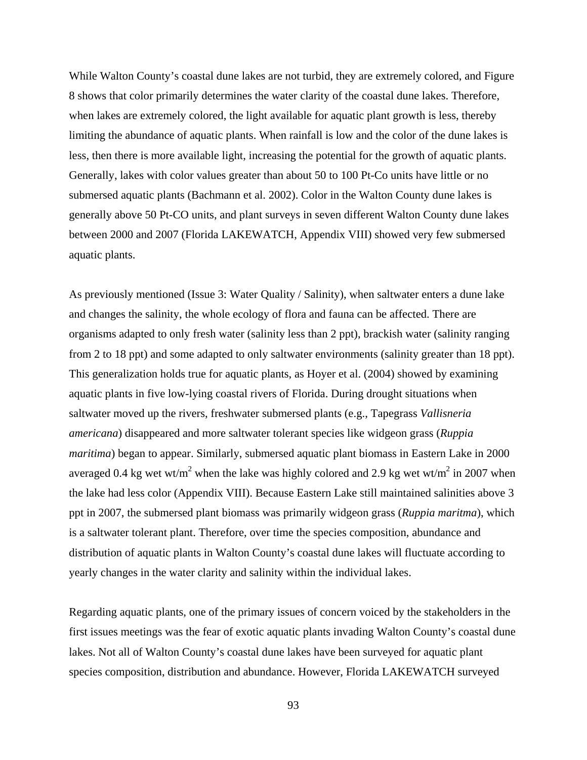While Walton County's coastal dune lakes are not turbid, they are extremely colored, and Figure 8 shows that color primarily determines the water clarity of the coastal dune lakes. Therefore, when lakes are extremely colored, the light available for aquatic plant growth is less, thereby limiting the abundance of aquatic plants. When rainfall is low and the color of the dune lakes is less, then there is more available light, increasing the potential for the growth of aquatic plants. Generally, lakes with color values greater than about 50 to 100 Pt-Co units have little or no submersed aquatic plants (Bachmann et al. 2002). Color in the Walton County dune lakes is generally above 50 Pt-CO units, and plant surveys in seven different Walton County dune lakes between 2000 and 2007 (Florida LAKEWATCH, Appendix VIII) showed very few submersed aquatic plants.

As previously mentioned (Issue 3: Water Quality / Salinity), when saltwater enters a dune lake and changes the salinity, the whole ecology of flora and fauna can be affected. There are organisms adapted to only fresh water (salinity less than 2 ppt), brackish water (salinity ranging from 2 to 18 ppt) and some adapted to only saltwater environments (salinity greater than 18 ppt). This generalization holds true for aquatic plants, as Hoyer et al. (2004) showed by examining aquatic plants in five low-lying coastal rivers of Florida. During drought situations when saltwater moved up the rivers, freshwater submersed plants (e.g., Tapegrass *Vallisneria americana*) disappeared and more saltwater tolerant species like widgeon grass (*Ruppia maritima*) began to appear. Similarly, submersed aquatic plant biomass in Eastern Lake in 2000 averaged 0.4 kg wet wt/m<sup>2</sup> when the lake was highly colored and 2.9 kg wet wt/m<sup>2</sup> in 2007 when the lake had less color (Appendix VIII). Because Eastern Lake still maintained salinities above 3 ppt in 2007, the submersed plant biomass was primarily widgeon grass (*Ruppia maritma*), which is a saltwater tolerant plant. Therefore, over time the species composition, abundance and distribution of aquatic plants in Walton County's coastal dune lakes will fluctuate according to yearly changes in the water clarity and salinity within the individual lakes.

Regarding aquatic plants, one of the primary issues of concern voiced by the stakeholders in the first issues meetings was the fear of exotic aquatic plants invading Walton County's coastal dune lakes. Not all of Walton County's coastal dune lakes have been surveyed for aquatic plant species composition, distribution and abundance. However, Florida LAKEWATCH surveyed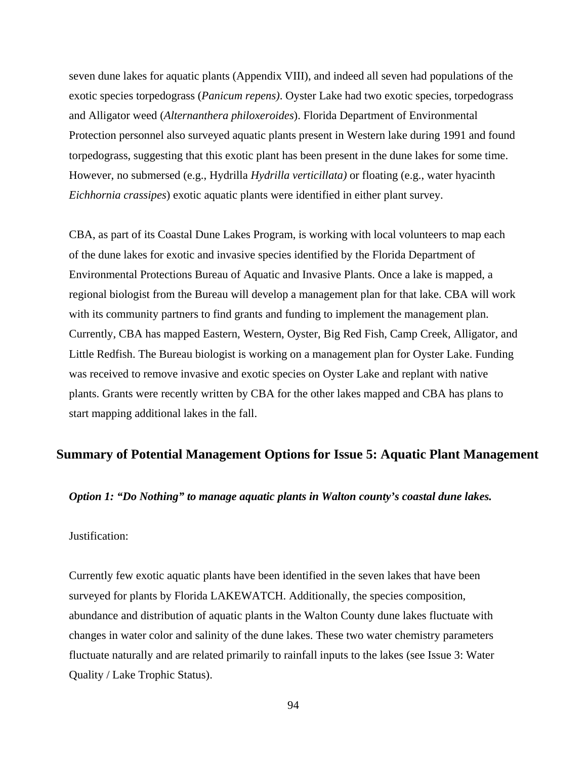seven dune lakes for aquatic plants (Appendix VIII), and indeed all seven had populations of the exotic species torpedograss (*Panicum repens)*. Oyster Lake had two exotic species, torpedograss and Alligator weed (*Alternanthera philoxeroides*). Florida Department of Environmental Protection personnel also surveyed aquatic plants present in Western lake during 1991 and found torpedograss, suggesting that this exotic plant has been present in the dune lakes for some time. However, no submersed (e.g., Hydrilla *Hydrilla verticillata)* or floating (e.g., water hyacinth *Eichhornia crassipes*) exotic aquatic plants were identified in either plant survey.

CBA, as part of its Coastal Dune Lakes Program, is working with local volunteers to map each of the dune lakes for exotic and invasive species identified by the Florida Department of Environmental Protections Bureau of Aquatic and Invasive Plants. Once a lake is mapped, a regional biologist from the Bureau will develop a management plan for that lake. CBA will work with its community partners to find grants and funding to implement the management plan. Currently, CBA has mapped Eastern, Western, Oyster, Big Red Fish, Camp Creek, Alligator, and Little Redfish. The Bureau biologist is working on a management plan for Oyster Lake. Funding was received to remove invasive and exotic species on Oyster Lake and replant with native plants. Grants were recently written by CBA for the other lakes mapped and CBA has plans to start mapping additional lakes in the fall.

# **Summary of Potential Management Options for Issue 5: Aquatic Plant Management**

*Option 1: "Do Nothing" to manage aquatic plants in Walton county's coastal dune lakes.* 

#### Justification:

Currently few exotic aquatic plants have been identified in the seven lakes that have been surveyed for plants by Florida LAKEWATCH. Additionally, the species composition, abundance and distribution of aquatic plants in the Walton County dune lakes fluctuate with changes in water color and salinity of the dune lakes. These two water chemistry parameters fluctuate naturally and are related primarily to rainfall inputs to the lakes (see Issue 3: Water Quality / Lake Trophic Status).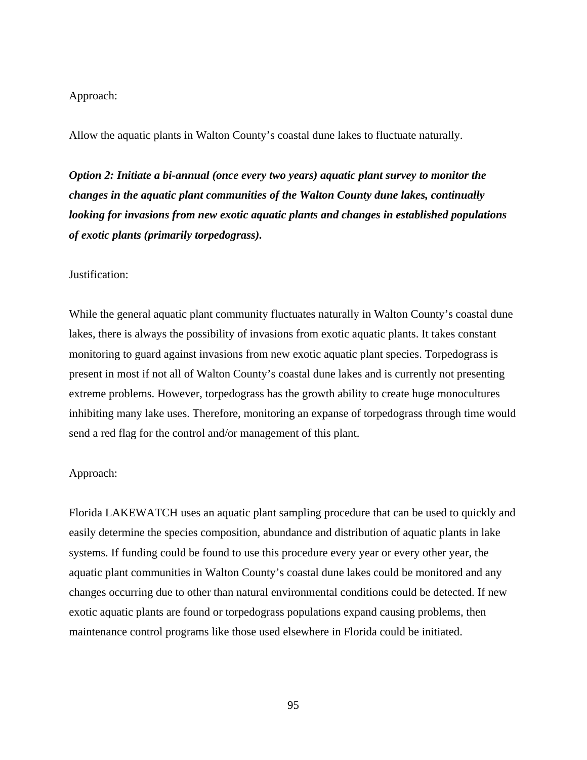#### Approach:

Allow the aquatic plants in Walton County's coastal dune lakes to fluctuate naturally.

*Option 2: Initiate a bi-annual (once every two years) aquatic plant survey to monitor the changes in the aquatic plant communities of the Walton County dune lakes, continually looking for invasions from new exotic aquatic plants and changes in established populations of exotic plants (primarily torpedograss).* 

## Justification:

While the general aquatic plant community fluctuates naturally in Walton County's coastal dune lakes, there is always the possibility of invasions from exotic aquatic plants. It takes constant monitoring to guard against invasions from new exotic aquatic plant species. Torpedograss is present in most if not all of Walton County's coastal dune lakes and is currently not presenting extreme problems. However, torpedograss has the growth ability to create huge monocultures inhibiting many lake uses. Therefore, monitoring an expanse of torpedograss through time would send a red flag for the control and/or management of this plant.

#### Approach:

Florida LAKEWATCH uses an aquatic plant sampling procedure that can be used to quickly and easily determine the species composition, abundance and distribution of aquatic plants in lake systems. If funding could be found to use this procedure every year or every other year, the aquatic plant communities in Walton County's coastal dune lakes could be monitored and any changes occurring due to other than natural environmental conditions could be detected. If new exotic aquatic plants are found or torpedograss populations expand causing problems, then maintenance control programs like those used elsewhere in Florida could be initiated.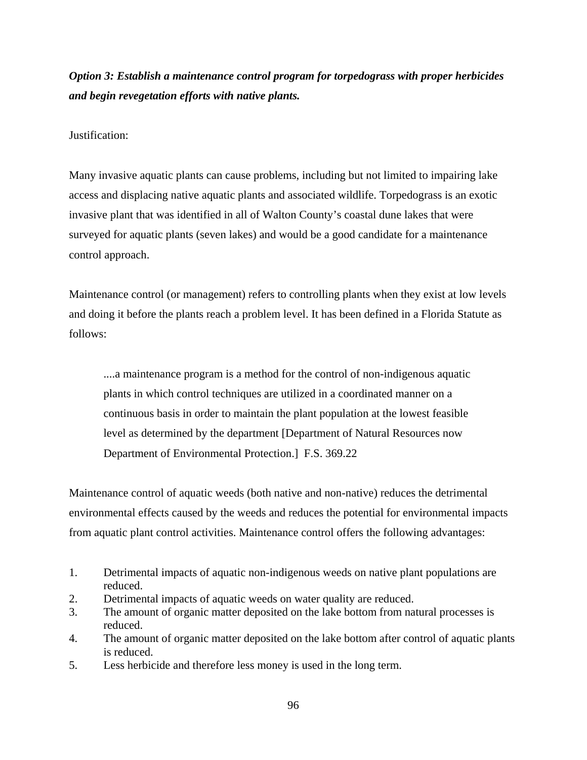*Option 3: Establish a maintenance control program for torpedograss with proper herbicides and begin revegetation efforts with native plants.* 

Justification:

Many invasive aquatic plants can cause problems, including but not limited to impairing lake access and displacing native aquatic plants and associated wildlife. Torpedograss is an exotic invasive plant that was identified in all of Walton County's coastal dune lakes that were surveyed for aquatic plants (seven lakes) and would be a good candidate for a maintenance control approach.

Maintenance control (or management) refers to controlling plants when they exist at low levels and doing it before the plants reach a problem level. It has been defined in a Florida Statute as follows:

....a maintenance program is a method for the control of non-indigenous aquatic plants in which control techniques are utilized in a coordinated manner on a continuous basis in order to maintain the plant population at the lowest feasible level as determined by the department [Department of Natural Resources now Department of Environmental Protection.] F.S. 369.22

Maintenance control of aquatic weeds (both native and non-native) reduces the detrimental environmental effects caused by the weeds and reduces the potential for environmental impacts from aquatic plant control activities. Maintenance control offers the following advantages:

- 1. Detrimental impacts of aquatic non-indigenous weeds on native plant populations are reduced.
- 2. Detrimental impacts of aquatic weeds on water quality are reduced.
- 3. The amount of organic matter deposited on the lake bottom from natural processes is reduced.
- 4. The amount of organic matter deposited on the lake bottom after control of aquatic plants is reduced.
- 5. Less herbicide and therefore less money is used in the long term.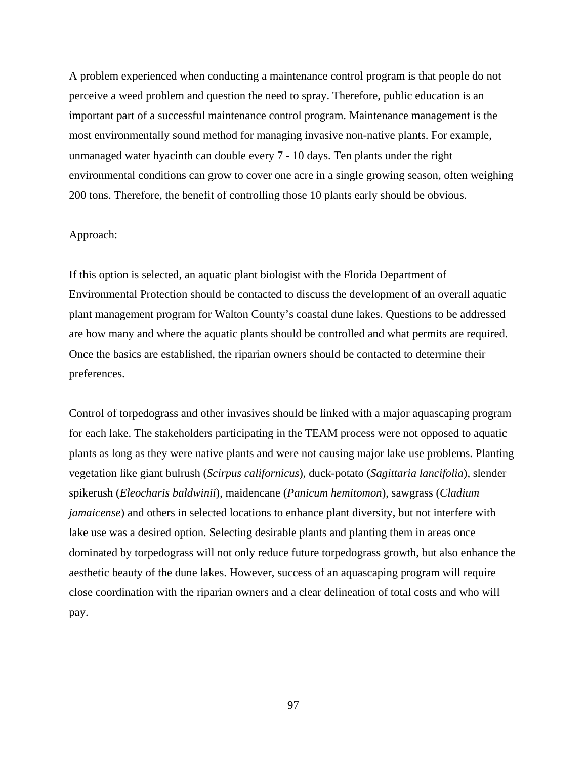A problem experienced when conducting a maintenance control program is that people do not perceive a weed problem and question the need to spray. Therefore, public education is an important part of a successful maintenance control program. Maintenance management is the most environmentally sound method for managing invasive non-native plants. For example, unmanaged water hyacinth can double every 7 - 10 days. Ten plants under the right environmental conditions can grow to cover one acre in a single growing season, often weighing 200 tons. Therefore, the benefit of controlling those 10 plants early should be obvious.

#### Approach:

If this option is selected, an aquatic plant biologist with the Florida Department of Environmental Protection should be contacted to discuss the development of an overall aquatic plant management program for Walton County's coastal dune lakes. Questions to be addressed are how many and where the aquatic plants should be controlled and what permits are required. Once the basics are established, the riparian owners should be contacted to determine their preferences.

Control of torpedograss and other invasives should be linked with a major aquascaping program for each lake. The stakeholders participating in the TEAM process were not opposed to aquatic plants as long as they were native plants and were not causing major lake use problems. Planting vegetation like giant bulrush (*Scirpus californicus*), duck-potato (*Sagittaria lancifolia*), slender spikerush (*Eleocharis baldwinii*), maidencane (*Panicum hemitomon*), sawgrass (*Cladium jamaicense*) and others in selected locations to enhance plant diversity, but not interfere with lake use was a desired option. Selecting desirable plants and planting them in areas once dominated by torpedograss will not only reduce future torpedograss growth, but also enhance the aesthetic beauty of the dune lakes. However, success of an aquascaping program will require close coordination with the riparian owners and a clear delineation of total costs and who will pay.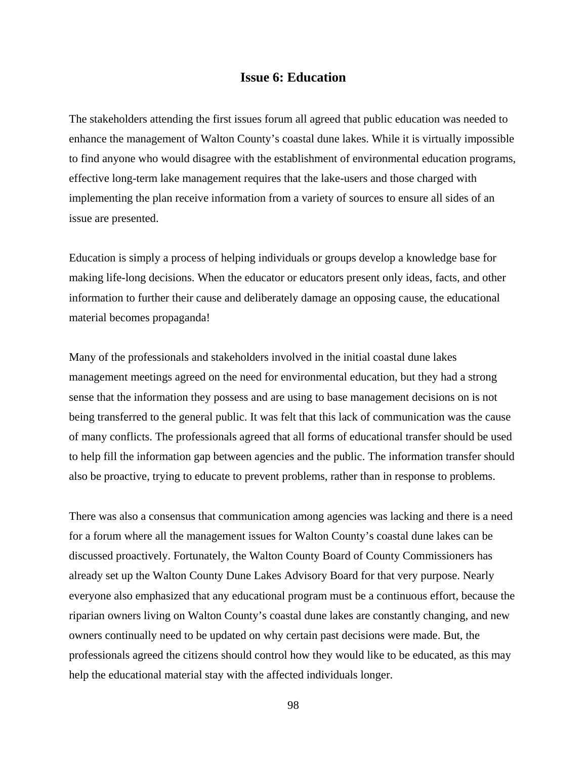# **Issue 6: Education**

The stakeholders attending the first issues forum all agreed that public education was needed to enhance the management of Walton County's coastal dune lakes. While it is virtually impossible to find anyone who would disagree with the establishment of environmental education programs, effective long-term lake management requires that the lake-users and those charged with implementing the plan receive information from a variety of sources to ensure all sides of an issue are presented.

Education is simply a process of helping individuals or groups develop a knowledge base for making life-long decisions. When the educator or educators present only ideas, facts, and other information to further their cause and deliberately damage an opposing cause, the educational material becomes propaganda!

Many of the professionals and stakeholders involved in the initial coastal dune lakes management meetings agreed on the need for environmental education, but they had a strong sense that the information they possess and are using to base management decisions on is not being transferred to the general public. It was felt that this lack of communication was the cause of many conflicts. The professionals agreed that all forms of educational transfer should be used to help fill the information gap between agencies and the public. The information transfer should also be proactive, trying to educate to prevent problems, rather than in response to problems.

There was also a consensus that communication among agencies was lacking and there is a need for a forum where all the management issues for Walton County's coastal dune lakes can be discussed proactively. Fortunately, the Walton County Board of County Commissioners has already set up the Walton County Dune Lakes Advisory Board for that very purpose. Nearly everyone also emphasized that any educational program must be a continuous effort, because the riparian owners living on Walton County's coastal dune lakes are constantly changing, and new owners continually need to be updated on why certain past decisions were made. But, the professionals agreed the citizens should control how they would like to be educated, as this may help the educational material stay with the affected individuals longer.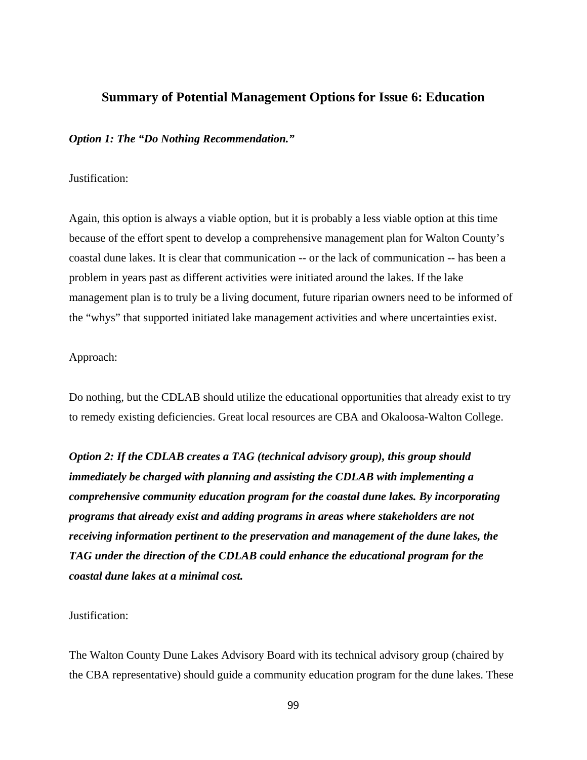# **Summary of Potential Management Options for Issue 6: Education**

*Option 1: The "Do Nothing Recommendation."* 

Justification:

Again, this option is always a viable option, but it is probably a less viable option at this time because of the effort spent to develop a comprehensive management plan for Walton County's coastal dune lakes. It is clear that communication -- or the lack of communication -- has been a problem in years past as different activities were initiated around the lakes. If the lake management plan is to truly be a living document, future riparian owners need to be informed of the "whys" that supported initiated lake management activities and where uncertainties exist.

#### Approach:

Do nothing, but the CDLAB should utilize the educational opportunities that already exist to try to remedy existing deficiencies. Great local resources are CBA and Okaloosa-Walton College.

*Option 2: If the CDLAB creates a TAG (technical advisory group), this group should immediately be charged with planning and assisting the CDLAB with implementing a comprehensive community education program for the coastal dune lakes. By incorporating programs that already exist and adding programs in areas where stakeholders are not receiving information pertinent to the preservation and management of the dune lakes, the TAG under the direction of the CDLAB could enhance the educational program for the coastal dune lakes at a minimal cost.* 

#### Justification:

The Walton County Dune Lakes Advisory Board with its technical advisory group (chaired by the CBA representative) should guide a community education program for the dune lakes. These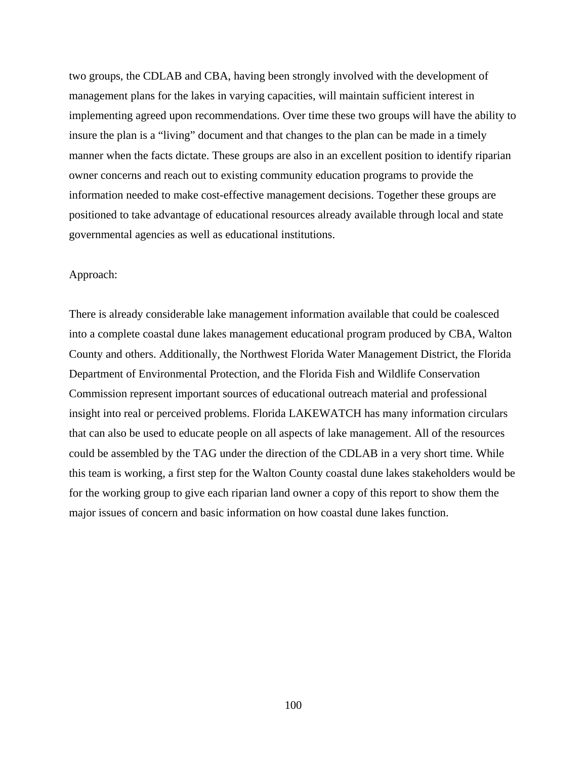two groups, the CDLAB and CBA, having been strongly involved with the development of management plans for the lakes in varying capacities, will maintain sufficient interest in implementing agreed upon recommendations. Over time these two groups will have the ability to insure the plan is a "living" document and that changes to the plan can be made in a timely manner when the facts dictate. These groups are also in an excellent position to identify riparian owner concerns and reach out to existing community education programs to provide the information needed to make cost-effective management decisions. Together these groups are positioned to take advantage of educational resources already available through local and state governmental agencies as well as educational institutions.

#### Approach:

There is already considerable lake management information available that could be coalesced into a complete coastal dune lakes management educational program produced by CBA, Walton County and others. Additionally, the Northwest Florida Water Management District, the Florida Department of Environmental Protection, and the Florida Fish and Wildlife Conservation Commission represent important sources of educational outreach material and professional insight into real or perceived problems. Florida LAKEWATCH has many information circulars that can also be used to educate people on all aspects of lake management. All of the resources could be assembled by the TAG under the direction of the CDLAB in a very short time. While this team is working, a first step for the Walton County coastal dune lakes stakeholders would be for the working group to give each riparian land owner a copy of this report to show them the major issues of concern and basic information on how coastal dune lakes function.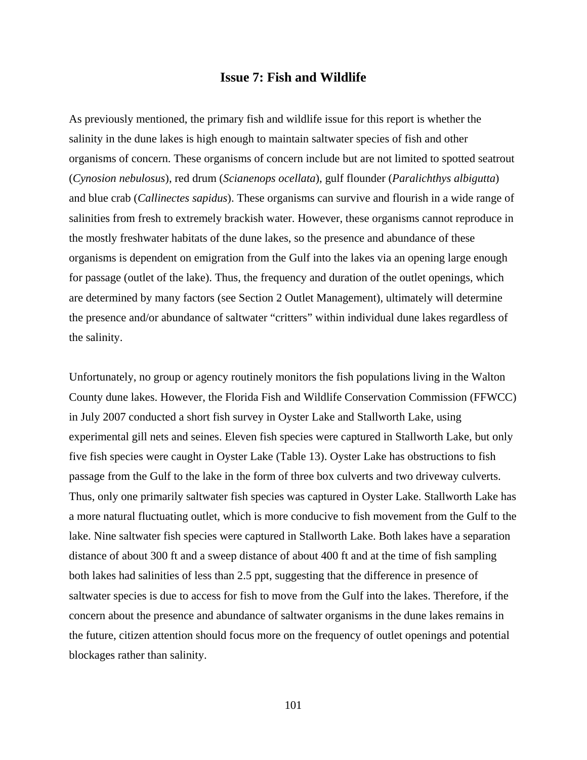## **Issue 7: Fish and Wildlife**

As previously mentioned, the primary fish and wildlife issue for this report is whether the salinity in the dune lakes is high enough to maintain saltwater species of fish and other organisms of concern. These organisms of concern include but are not limited to spotted seatrout (*Cynosion nebulosus*), red drum (*Scianenops ocellata*), gulf flounder (*Paralichthys albigutta*) and blue crab (*Callinectes sapidus*). These organisms can survive and flourish in a wide range of salinities from fresh to extremely brackish water. However, these organisms cannot reproduce in the mostly freshwater habitats of the dune lakes, so the presence and abundance of these organisms is dependent on emigration from the Gulf into the lakes via an opening large enough for passage (outlet of the lake). Thus, the frequency and duration of the outlet openings, which are determined by many factors (see Section 2 Outlet Management), ultimately will determine the presence and/or abundance of saltwater "critters" within individual dune lakes regardless of the salinity.

Unfortunately, no group or agency routinely monitors the fish populations living in the Walton County dune lakes. However, the Florida Fish and Wildlife Conservation Commission (FFWCC) in July 2007 conducted a short fish survey in Oyster Lake and Stallworth Lake, using experimental gill nets and seines. Eleven fish species were captured in Stallworth Lake, but only five fish species were caught in Oyster Lake (Table 13). Oyster Lake has obstructions to fish passage from the Gulf to the lake in the form of three box culverts and two driveway culverts. Thus, only one primarily saltwater fish species was captured in Oyster Lake. Stallworth Lake has a more natural fluctuating outlet, which is more conducive to fish movement from the Gulf to the lake. Nine saltwater fish species were captured in Stallworth Lake. Both lakes have a separation distance of about 300 ft and a sweep distance of about 400 ft and at the time of fish sampling both lakes had salinities of less than 2.5 ppt, suggesting that the difference in presence of saltwater species is due to access for fish to move from the Gulf into the lakes. Therefore, if the concern about the presence and abundance of saltwater organisms in the dune lakes remains in the future, citizen attention should focus more on the frequency of outlet openings and potential blockages rather than salinity.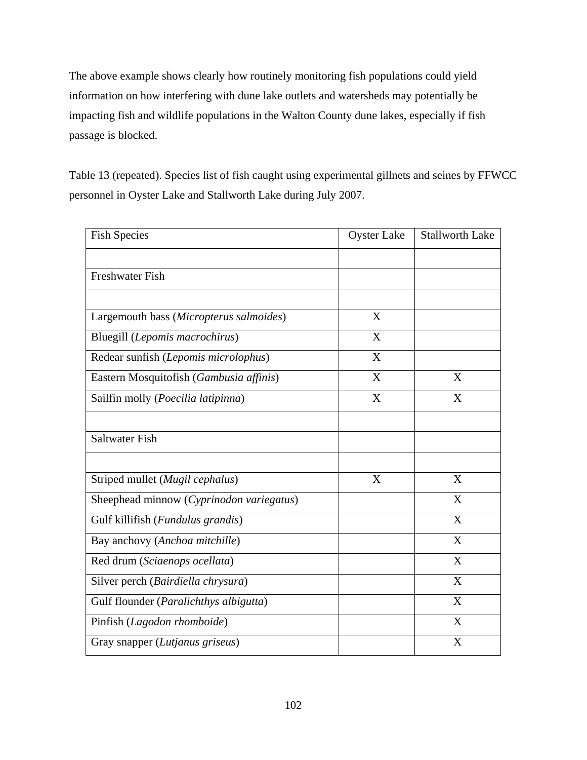The above example shows clearly how routinely monitoring fish populations could yield information on how interfering with dune lake outlets and watersheds may potentially be impacting fish and wildlife populations in the Walton County dune lakes, especially if fish passage is blocked.

Table 13 (repeated). Species list of fish caught using experimental gillnets and seines by FFWCC personnel in Oyster Lake and Stallworth Lake during July 2007.

| <b>Fish Species</b>                             | <b>Oyster Lake</b> | <b>Stallworth Lake</b> |
|-------------------------------------------------|--------------------|------------------------|
|                                                 |                    |                        |
| <b>Freshwater Fish</b>                          |                    |                        |
|                                                 |                    |                        |
| Largemouth bass (Micropterus salmoides)         | X                  |                        |
| Bluegill (Lepomis macrochirus)                  | X                  |                        |
| Redear sunfish (Lepomis microlophus)            | $\overline{X}$     |                        |
| Eastern Mosquitofish (Gambusia affinis)         | X                  | X                      |
| Sailfin molly (Poecilia latipinna)              | X                  | X                      |
|                                                 |                    |                        |
| <b>Saltwater Fish</b>                           |                    |                        |
|                                                 |                    |                        |
| Striped mullet (Mugil cephalus)                 | X                  | X                      |
| Sheephead minnow (Cyprinodon variegatus)        |                    | $\overline{X}$         |
| Gulf killifish (Fundulus grandis)               |                    | X                      |
| Bay anchovy (Anchoa mitchille)                  |                    | $\overline{X}$         |
| Red drum (Sciaenops ocellata)                   |                    | X                      |
| Silver perch (Bairdiella chrysura)              |                    | X                      |
| Gulf flounder ( <i>Paralichthys albigutta</i> ) |                    | X                      |
| Pinfish (Lagodon rhomboide)                     |                    | X                      |
| Gray snapper (Lutjanus griseus)                 |                    | X                      |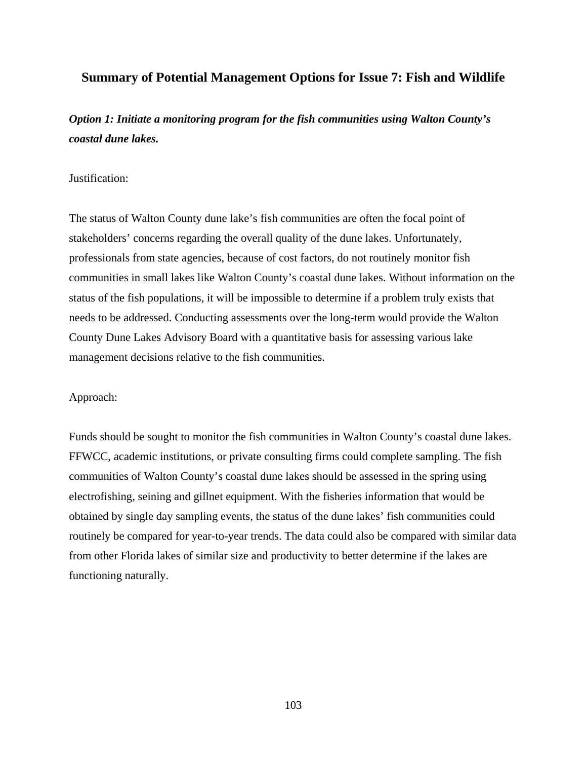# **Summary of Potential Management Options for Issue 7: Fish and Wildlife**

*Option 1: Initiate a monitoring program for the fish communities using Walton County's coastal dune lakes.* 

#### Justification:

The status of Walton County dune lake's fish communities are often the focal point of stakeholders' concerns regarding the overall quality of the dune lakes. Unfortunately, professionals from state agencies, because of cost factors, do not routinely monitor fish communities in small lakes like Walton County's coastal dune lakes. Without information on the status of the fish populations, it will be impossible to determine if a problem truly exists that needs to be addressed. Conducting assessments over the long-term would provide the Walton County Dune Lakes Advisory Board with a quantitative basis for assessing various lake management decisions relative to the fish communities.

#### Approach:

Funds should be sought to monitor the fish communities in Walton County's coastal dune lakes. FFWCC, academic institutions, or private consulting firms could complete sampling. The fish communities of Walton County's coastal dune lakes should be assessed in the spring using electrofishing, seining and gillnet equipment. With the fisheries information that would be obtained by single day sampling events, the status of the dune lakes' fish communities could routinely be compared for year-to-year trends. The data could also be compared with similar data from other Florida lakes of similar size and productivity to better determine if the lakes are functioning naturally.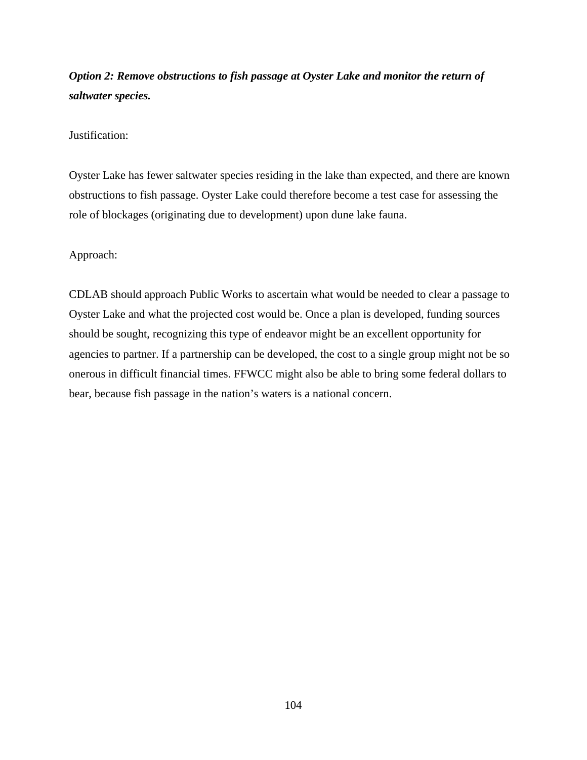*Option 2: Remove obstructions to fish passage at Oyster Lake and monitor the return of saltwater species.* 

### Justification:

Oyster Lake has fewer saltwater species residing in the lake than expected, and there are known obstructions to fish passage. Oyster Lake could therefore become a test case for assessing the role of blockages (originating due to development) upon dune lake fauna.

## Approach:

CDLAB should approach Public Works to ascertain what would be needed to clear a passage to Oyster Lake and what the projected cost would be. Once a plan is developed, funding sources should be sought, recognizing this type of endeavor might be an excellent opportunity for agencies to partner. If a partnership can be developed, the cost to a single group might not be so onerous in difficult financial times. FFWCC might also be able to bring some federal dollars to bear, because fish passage in the nation's waters is a national concern.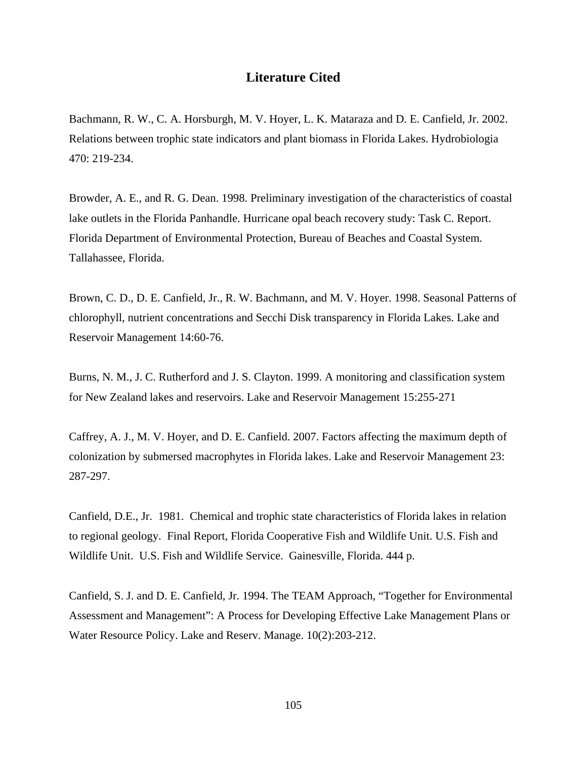# **Literature Cited**

Bachmann, R. W., C. A. Horsburgh, M. V. Hoyer, L. K. Mataraza and D. E. Canfield, Jr. 2002. Relations between trophic state indicators and plant biomass in Florida Lakes. Hydrobiologia 470: 219-234.

Browder, A. E., and R. G. Dean. 1998. Preliminary investigation of the characteristics of coastal lake outlets in the Florida Panhandle. Hurricane opal beach recovery study: Task C. Report. Florida Department of Environmental Protection, Bureau of Beaches and Coastal System. Tallahassee, Florida.

Brown, C. D., D. E. Canfield, Jr., R. W. Bachmann, and M. V. Hoyer. 1998. Seasonal Patterns of chlorophyll, nutrient concentrations and Secchi Disk transparency in Florida Lakes. Lake and Reservoir Management 14:60-76.

Burns, N. M., J. C. Rutherford and J. S. Clayton. 1999. A monitoring and classification system for New Zealand lakes and reservoirs. Lake and Reservoir Management 15:255-271

Caffrey, A. J., M. V. Hoyer, and D. E. Canfield. 2007. Factors affecting the maximum depth of colonization by submersed macrophytes in Florida lakes. Lake and Reservoir Management 23: 287-297.

Canfield, D.E., Jr. 1981. Chemical and trophic state characteristics of Florida lakes in relation to regional geology. Final Report, Florida Cooperative Fish and Wildlife Unit. U.S. Fish and Wildlife Unit. U.S. Fish and Wildlife Service. Gainesville, Florida. 444 p.

Canfield, S. J. and D. E. Canfield, Jr. 1994. The TEAM Approach, "Together for Environmental Assessment and Management": A Process for Developing Effective Lake Management Plans or Water Resource Policy. Lake and Reserv. Manage. 10(2):203-212.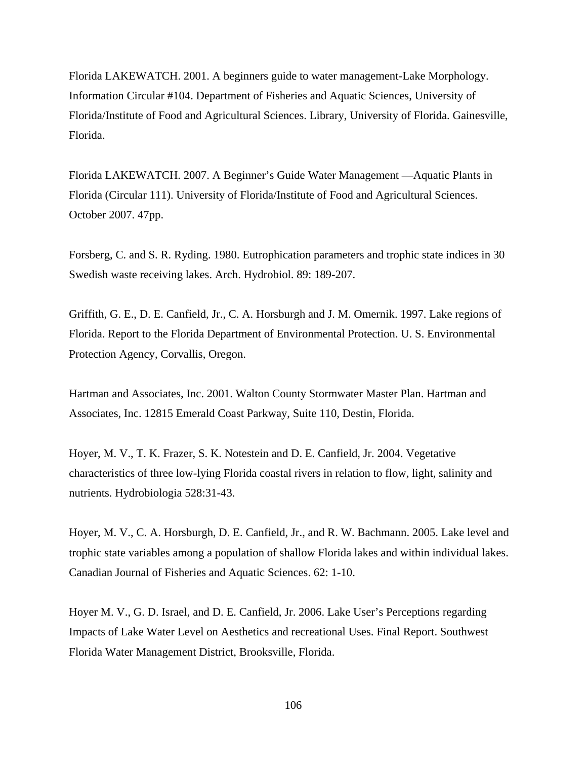Florida LAKEWATCH. 2001. A beginners guide to water management-Lake Morphology. Information Circular #104. Department of Fisheries and Aquatic Sciences, University of Florida/Institute of Food and Agricultural Sciences. Library, University of Florida. Gainesville, Florida.

Florida LAKEWATCH. 2007. A Beginner's Guide Water Management —Aquatic Plants in Florida (Circular 111). University of Florida/Institute of Food and Agricultural Sciences. October 2007. 47pp.

Forsberg, C. and S. R. Ryding. 1980. Eutrophication parameters and trophic state indices in 30 Swedish waste receiving lakes. Arch. Hydrobiol. 89: 189-207.

Griffith, G. E., D. E. Canfield, Jr., C. A. Horsburgh and J. M. Omernik. 1997. Lake regions of Florida. Report to the Florida Department of Environmental Protection. U. S. Environmental Protection Agency, Corvallis, Oregon.

Hartman and Associates, Inc. 2001. Walton County Stormwater Master Plan. Hartman and Associates, Inc. 12815 Emerald Coast Parkway, Suite 110, Destin, Florida.

Hoyer, M. V., T. K. Frazer, S. K. Notestein and D. E. Canfield, Jr. 2004. Vegetative characteristics of three low-lying Florida coastal rivers in relation to flow, light, salinity and nutrients. Hydrobiologia 528:31-43.

Hoyer, M. V., C. A. Horsburgh, D. E. Canfield, Jr., and R. W. Bachmann. 2005. Lake level and trophic state variables among a population of shallow Florida lakes and within individual lakes. Canadian Journal of Fisheries and Aquatic Sciences. 62: 1-10.

Hoyer M. V., G. D. Israel, and D. E. Canfield, Jr. 2006. Lake User's Perceptions regarding Impacts of Lake Water Level on Aesthetics and recreational Uses. Final Report. Southwest Florida Water Management District, Brooksville, Florida.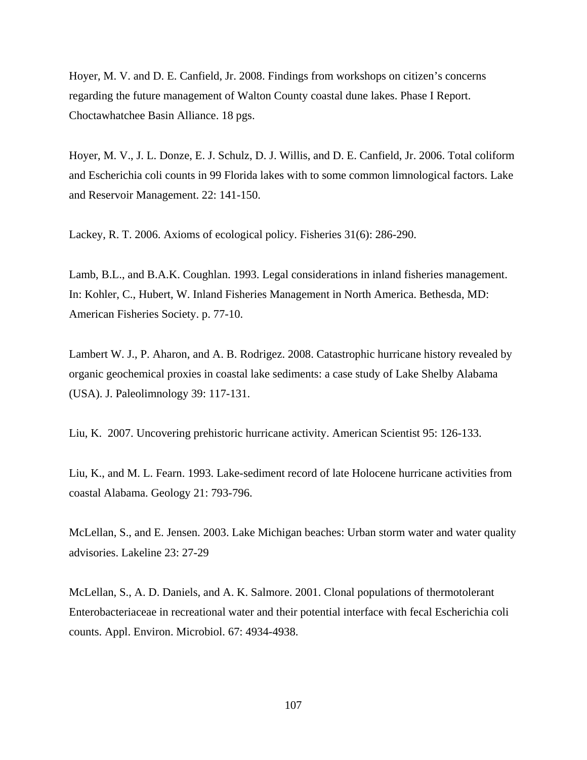Hoyer, M. V. and D. E. Canfield, Jr. 2008. Findings from workshops on citizen's concerns regarding the future management of Walton County coastal dune lakes. Phase I Report. Choctawhatchee Basin Alliance. 18 pgs.

Hoyer, M. V., J. L. Donze, E. J. Schulz, D. J. Willis, and D. E. Canfield, Jr. 2006. Total coliform and Escherichia coli counts in 99 Florida lakes with to some common limnological factors. Lake and Reservoir Management. 22: 141-150.

Lackey, R. T. 2006. Axioms of ecological policy. Fisheries 31(6): 286-290.

Lamb, B.L., and B.A.K. Coughlan. 1993. Legal considerations in inland fisheries management. In: Kohler, C., Hubert, W. Inland Fisheries Management in North America. Bethesda, MD: American Fisheries Society. p. 77-10.

Lambert W. J., P. Aharon, and A. B. Rodrigez. 2008. Catastrophic hurricane history revealed by organic geochemical proxies in coastal lake sediments: a case study of Lake Shelby Alabama (USA). J. Paleolimnology 39: 117-131.

Liu, K. 2007. Uncovering prehistoric hurricane activity. American Scientist 95: 126-133.

Liu, K., and M. L. Fearn. 1993. Lake-sediment record of late Holocene hurricane activities from coastal Alabama. Geology 21: 793-796.

McLellan, S., and E. Jensen. 2003. Lake Michigan beaches: Urban storm water and water quality advisories. Lakeline 23: 27-29

McLellan, S., A. D. Daniels, and A. K. Salmore. 2001. Clonal populations of thermotolerant Enterobacteriaceae in recreational water and their potential interface with fecal Escherichia coli counts. Appl. Environ. Microbiol. 67: 4934-4938.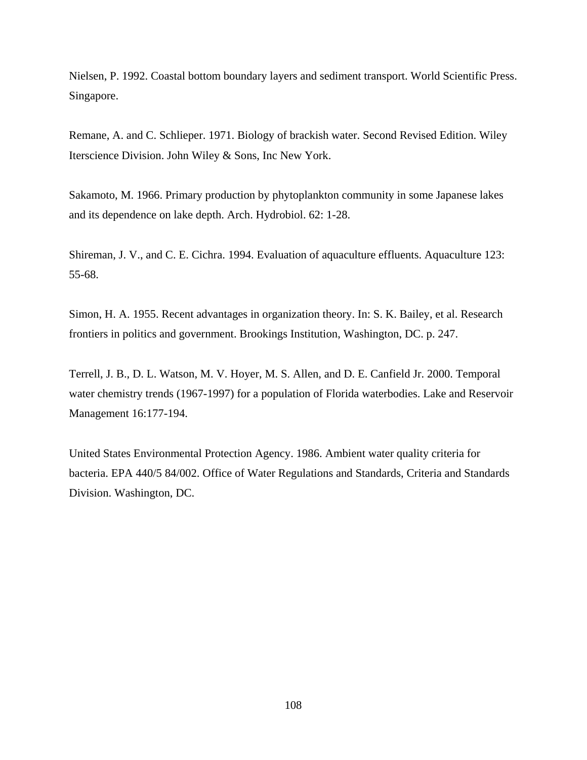Nielsen, P. 1992. Coastal bottom boundary layers and sediment transport. World Scientific Press. Singapore.

Remane, A. and C. Schlieper. 1971. Biology of brackish water. Second Revised Edition. Wiley Iterscience Division. John Wiley & Sons, Inc New York.

Sakamoto, M. 1966. Primary production by phytoplankton community in some Japanese lakes and its dependence on lake depth. Arch. Hydrobiol. 62: 1-28.

Shireman, J. V., and C. E. Cichra. 1994. Evaluation of aquaculture effluents. Aquaculture 123: 55-68.

Simon, H. A. 1955. Recent advantages in organization theory. In: S. K. Bailey, et al. Research frontiers in politics and government. Brookings Institution, Washington, DC. p. 247.

Terrell, J. B., D. L. Watson, M. V. Hoyer, M. S. Allen, and D. E. Canfield Jr. 2000. Temporal water chemistry trends (1967-1997) for a population of Florida waterbodies. Lake and Reservoir Management 16:177-194.

United States Environmental Protection Agency. 1986. Ambient water quality criteria for bacteria. EPA 440/5 84/002. Office of Water Regulations and Standards, Criteria and Standards Division. Washington, DC.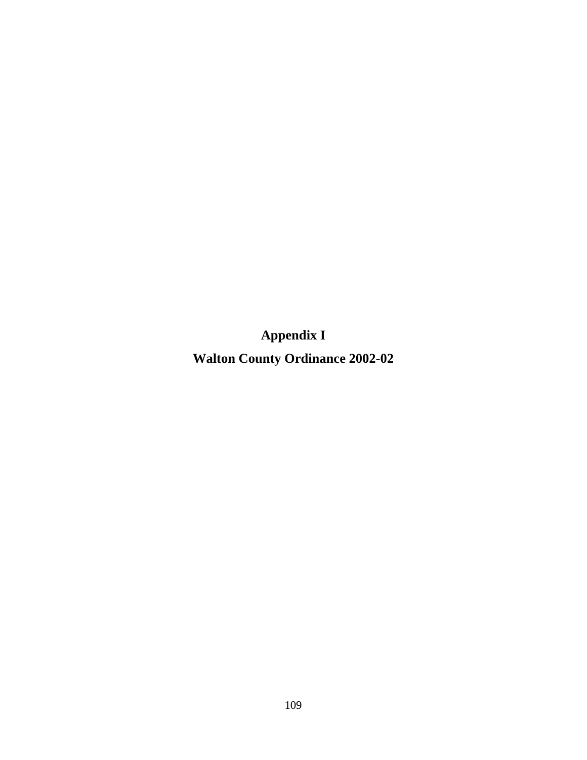**Appendix I** 

**Walton County Ordinance 2002-02**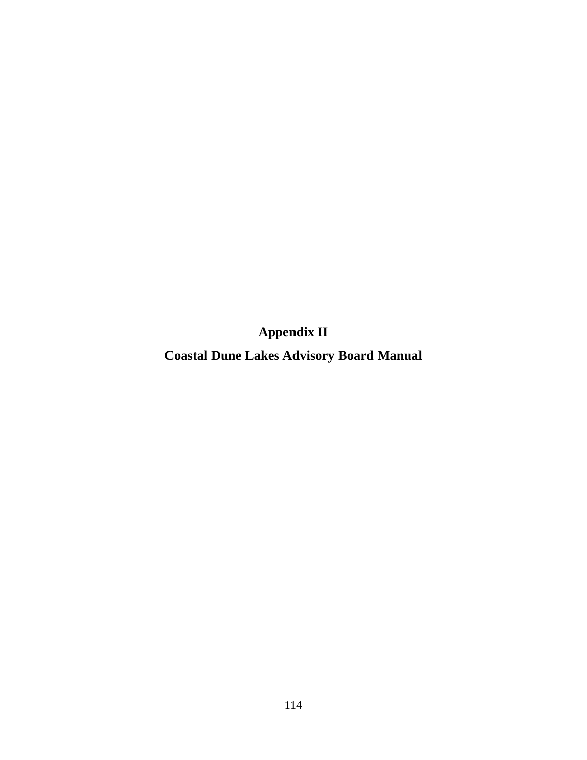**Appendix II** 

**Coastal Dune Lakes Advisory Board Manual**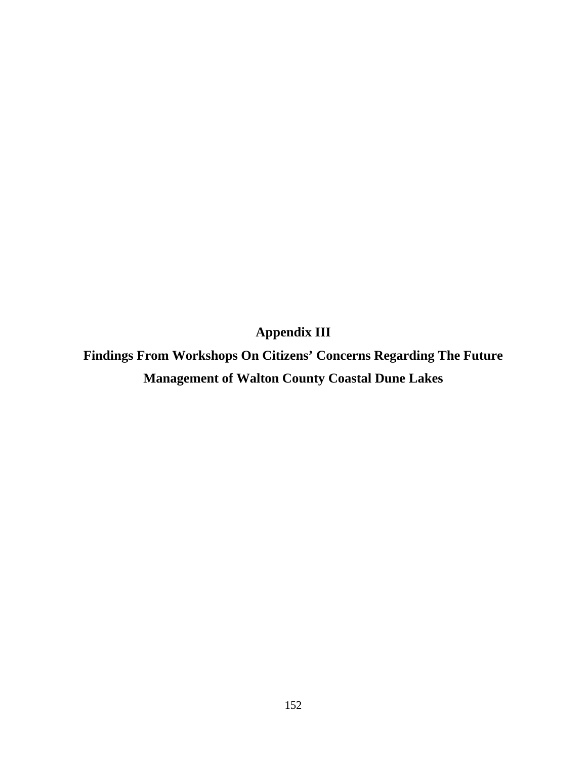**Appendix III** 

**Findings From Workshops On Citizens' Concerns Regarding The Future Management of Walton County Coastal Dune Lakes**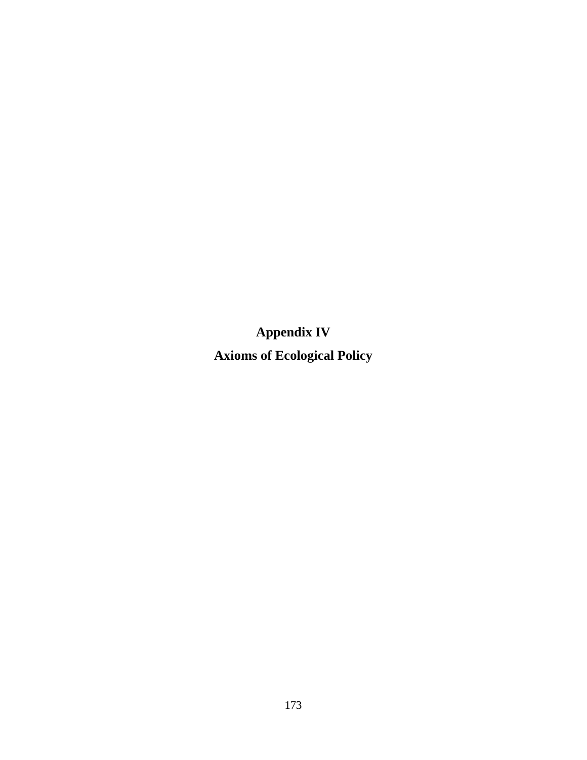**Appendix IV Axioms of Ecological Policy**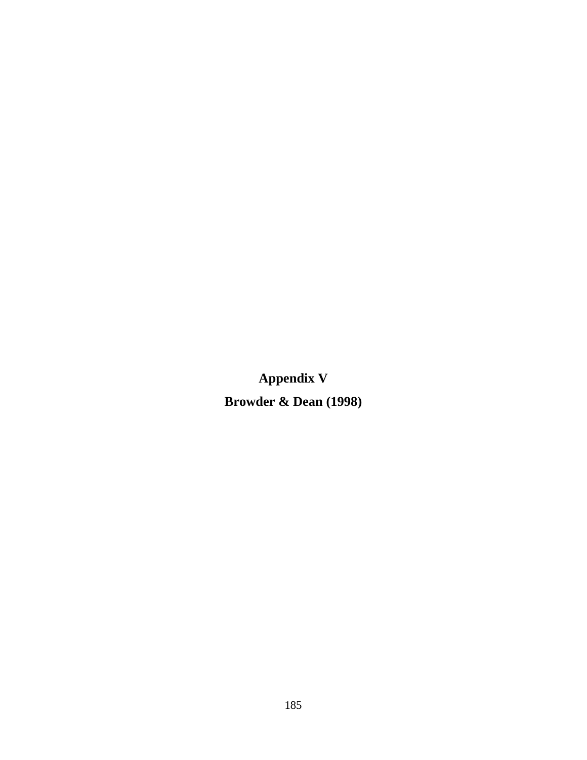**Appendix V Browder & Dean (1998)**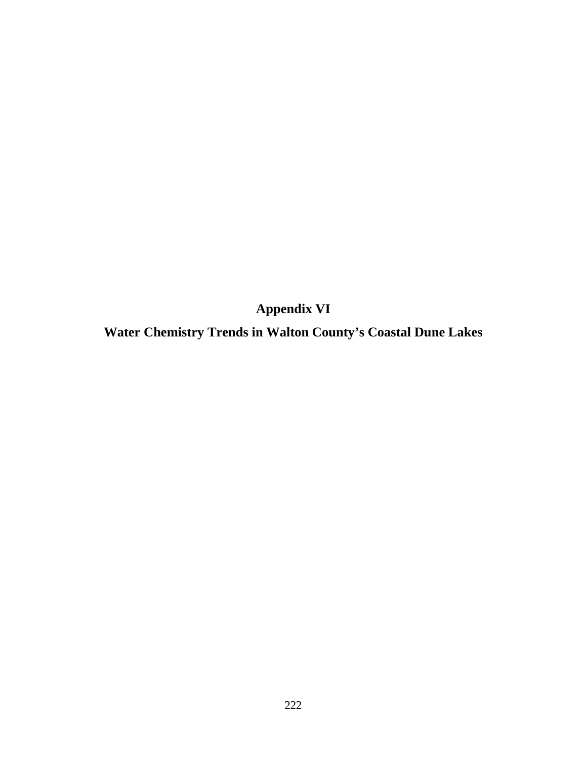**Appendix VI** 

**Water Chemistry Trends in Walton County's Coastal Dune Lakes**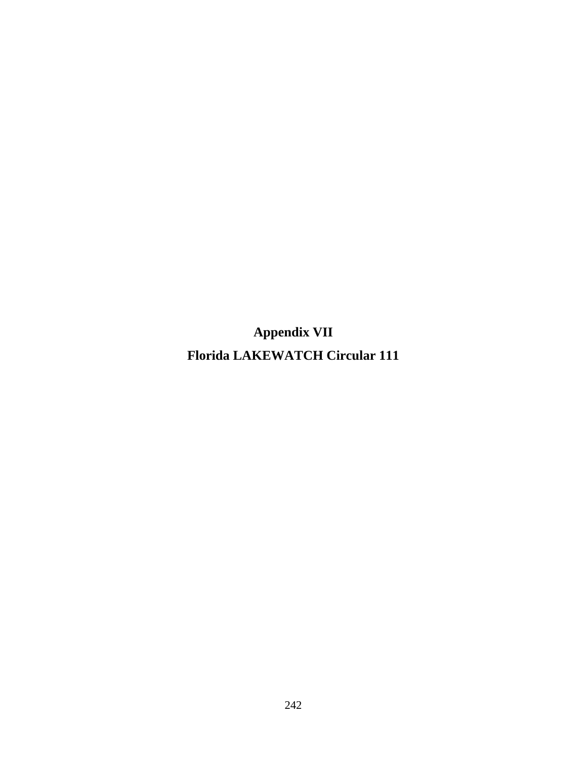**Appendix VII Florida LAKEWATCH Circular 111**